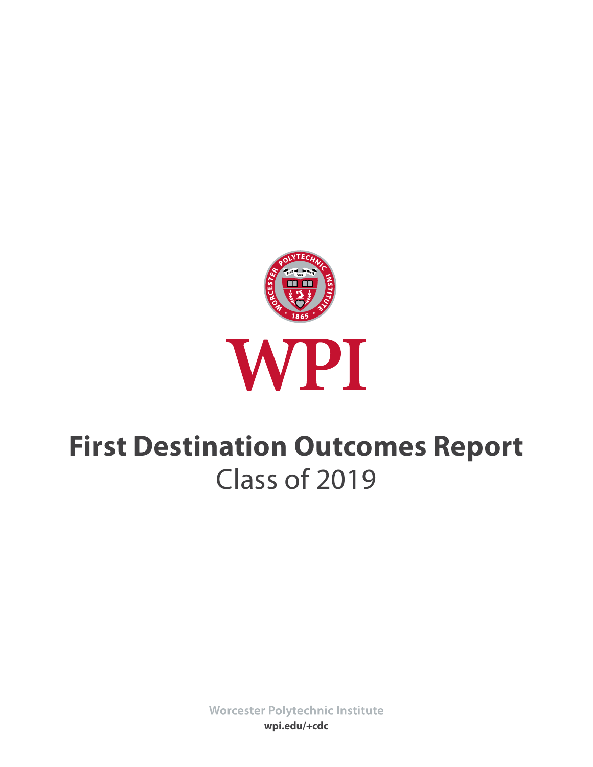

# **First Destination Outcomes Report** Class of 2019

Worcester Polytechnic Institute **wpi.edu/+cdc**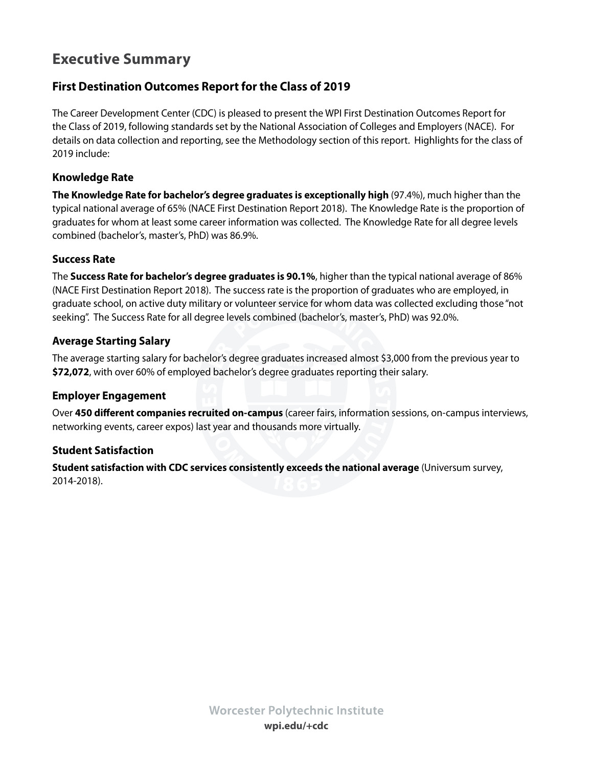# **Executive Summary**

### **First Destination Outcomes Report for the Class of 2019**

The Career Development Center (CDC) is pleased to present the WPI First Destination Outcomes Report for the Class of 2019, following standards set by the National Association of Colleges and Employers (NACE). For details on data collection and reporting, see the Methodology section of this report. Highlights for the class of 2019 include:

### **Knowledge Rate**

**The Knowledge Rate for bachelor's degree graduates is exceptionally high** (97.4%), much higher than the typical national average of 65% (NACE First Destination Report 2018). The Knowledge Rate is the proportion of graduates for whom at least some career information was collected. The Knowledge Rate for all degree levels combined (bachelor's, master's, PhD) was 86.9%.

### **Success Rate**

The **Success Rate for bachelor's degree graduates is 90.1%**, higher than the typical national average of 86% (NACE First Destination Report 2018). The success rate is the proportion of graduates who are employed, in graduate school, on active duty military or volunteer service for whom data was collected excluding those "not seeking". The Success Rate for all degree levels combined (bachelor's, master's, PhD) was 92.0%.

### **Average Starting Salary**

The average starting salary for bachelor's degree graduates increased almost \$3,000 from the previous year to **\$72,072**, with over 60% of employed bachelor's degree graduates reporting their salary.

### **Employer Engagement**

Over **450 different companies recruited on-campus** (career fairs, information sessions, on-campus interviews, networking events, career expos) last year and thousands more virtually.

### **Student Satisfaction**

**Student satisfaction with CDC services consistently exceeds the national average** (Universum survey, 2014-2018).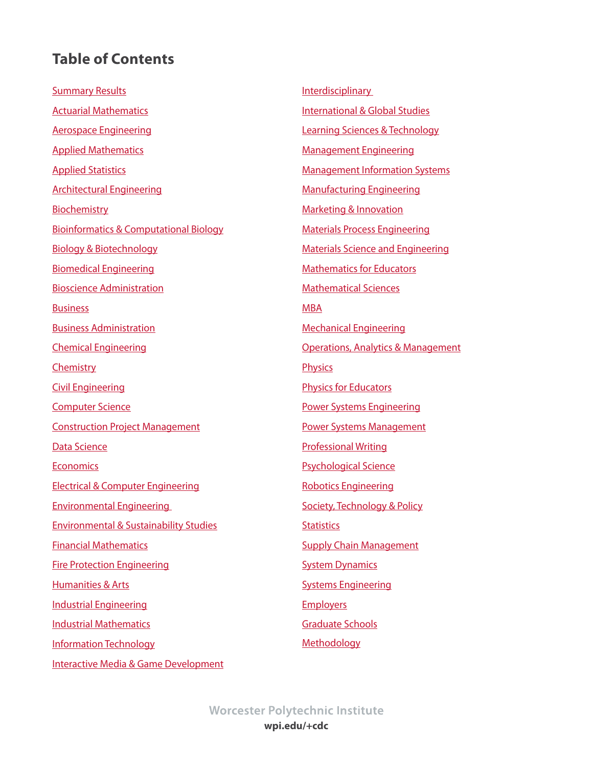# <span id="page-2-0"></span>**Table of Contents**

**[Summary Results](#page-3-0)** [Actuarial Mathematics](#page-4-0) [Aerospace Engineering](#page-5-0) [Applied Mathematics](#page-6-0) [Applied](#page-7-0) Statistics [Architectural Engineering](#page-8-0) [Biochemistry](#page-9-0) [Bioinformatics & Computational Biology](#page-10-0) [Biology & Biotechnology](#page-11-0)  [Biomedical Engineering](#page-12-0) [Bioscience Administration](#page-13-0) **[Business](#page-14-0)** [Business Administration](#page-15-0) [Chemical Engineering](#page-16-0) **[Chemistry](#page-17-0)** [Civil Engineering](#page-18-0) [Computer Science](#page-19-0) [Construction Project Management](#page-20-0) [Data Science](#page-21-0) **[Economics](#page-22-0)** [Electrical & Computer Engineering](#page-23-0) [Environmental Engineering](#page-24-0)  [Environmental & Sustainability Studies](#page-25-0) [Financial Mathematics](#page-26-0) [Fire Protection Engineering](#page-27-0) [Humanities & Arts](#page-28-0) [Industrial Engineering](#page-29-0) [Industrial Mathematics](#page-30-0) [Information Technology](#page-31-0) [Interactive Media & Game Development](#page-32-0) **[Interdisciplinary](#page-33-0)** [International & Global Studies](#page-34-0) [Learning Sciences & Technology](#page-35-0) [Management Engineering](#page-36-0) [Management Information Systems](#page-37-0) [Manufacturing Engineering](#page-38-0) [Marketing & Innovation](#page-39-0) [Materials Process Engineering](#page-40-0) [Materials Science and Engineering](#page-41-0) [Mathematics for Educators](#page-42-0) [Mathematical Sciences](#page-43-0) [MBA](#page-44-0) [Mechanical Engineering](#page-45-0) [Operations, Analytics & Management](#page-46-0) **[Physics](#page-47-0)** [Physics for Educators](#page-48-0) [Power Systems Engineering](#page-49-0) [Power Systems Management](#page-50-0) [Professional Writing](#page-51-0) [Psychological Science](#page-52-0) [Robotics Engineering](#page-53-0) [Society, Technology & Policy](#page-54-0) **[Statistics](#page-55-0) [Supply Chain Management](#page-56-0)** [System Dynamics](#page-57-0) [Systems Engineering](#page-58-0) **[Employers](#page-59-0)** [Graduate Schools](#page-65-0) [Methodology](#page-66-0)

**Worcester Polytechnic Institute wpi.edu/+cdc**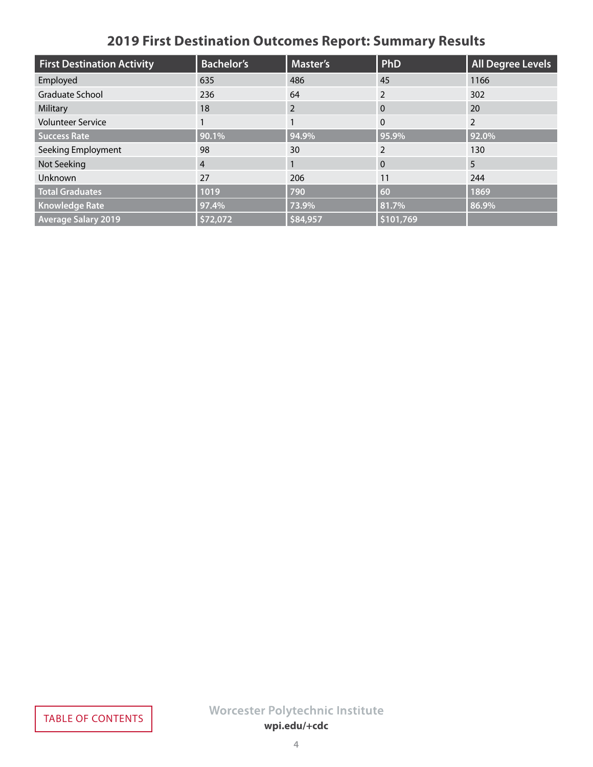# **2019 First Destination Outcomes Report: Summary Results**

<span id="page-3-0"></span>

| <b>First Destination Activity</b> | <b>Bachelor's</b> | Master's | PhD          | <b>All Degree Levels</b> |
|-----------------------------------|-------------------|----------|--------------|--------------------------|
| Employed                          | 635               | 486      | 45           | 1166                     |
| Graduate School                   | 236               | 64       |              | 302                      |
| Military                          | 18                | 2        | $\Omega$     | 20                       |
| <b>Volunteer Service</b>          |                   |          | $\mathbf{0}$ | $\overline{2}$           |
| <b>Success Rate</b>               | 90.1%             | 94.9%    | 95.9%        | 92.0%                    |
| Seeking Employment                | 98                | 30       | 2            | 130                      |
| Not Seeking                       | $\overline{4}$    |          | $\mathbf{0}$ | 5                        |
| Unknown                           | 27                | 206      | 11           | 244                      |
| <b>Total Graduates</b>            | 1019              | 790      | 60           | 1869                     |
| <b>Knowledge Rate</b>             | 97.4%             | 73.9%    | 81.7%        | 86.9%                    |
| <b>Average Salary 2019</b>        | \$72,072          | \$84,957 | \$101,769    |                          |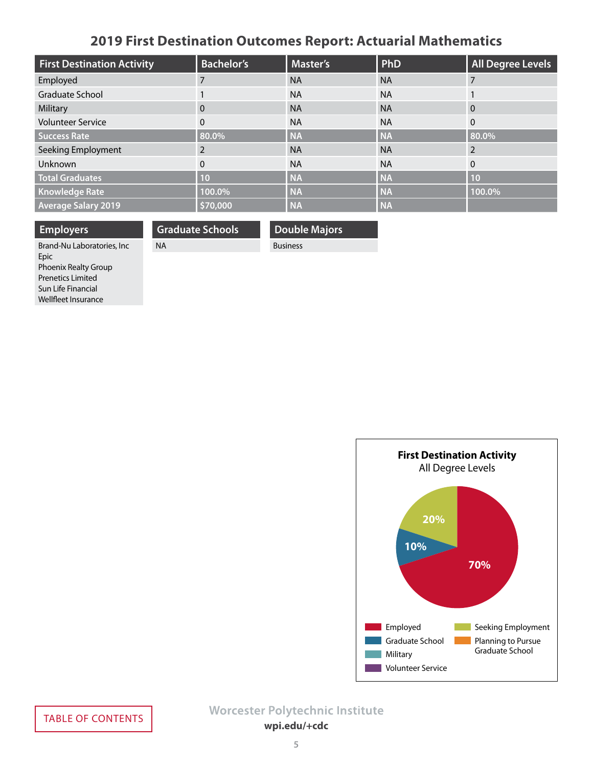# **2019 First Destination Outcomes Report: Actuarial Mathematics**

<span id="page-4-0"></span>

| <b>First Destination Activity</b> | <b>Bachelor's</b> | <b>Master's</b> | <b>PhD</b> | <b>All Degree Levels</b> |
|-----------------------------------|-------------------|-----------------|------------|--------------------------|
| Employed                          |                   | <b>NA</b>       | <b>NA</b>  |                          |
| Graduate School                   |                   | <b>NA</b>       | <b>NA</b>  |                          |
| Military                          | $\Omega$          | <b>NA</b>       | <b>NA</b>  | $\Omega$                 |
| <b>Volunteer Service</b>          | $\Omega$          | <b>NA</b>       | <b>NA</b>  | $\mathbf{0}$             |
| <b>Success Rate</b>               | 80.0%             | <b>NA</b>       | <b>NA</b>  | 80.0%                    |
| Seeking Employment                |                   | <b>NA</b>       | <b>NA</b>  |                          |
| <b>Unknown</b>                    | $\Omega$          | <b>NA</b>       | <b>NA</b>  | $\mathbf{0}$             |
| <b>Total Graduates</b>            | 10                | <b>NA</b>       | <b>NA</b>  | 10                       |
| <b>Knowledge Rate</b>             | 100.0%            | <b>NA</b>       | <b>NA</b>  | 100.0%                   |
| <b>Average Salary 2019</b>        | \$70,000          | <b>NA</b>       | <b>NA</b>  |                          |

**Double Majors**

Business

**Graduate Schools**

NA

**Employers** Brand-Nu Laboratories, Inc Epic Phoenix Realty Group Prenetics Limited Sun Life Financial Wellfleet Insurance

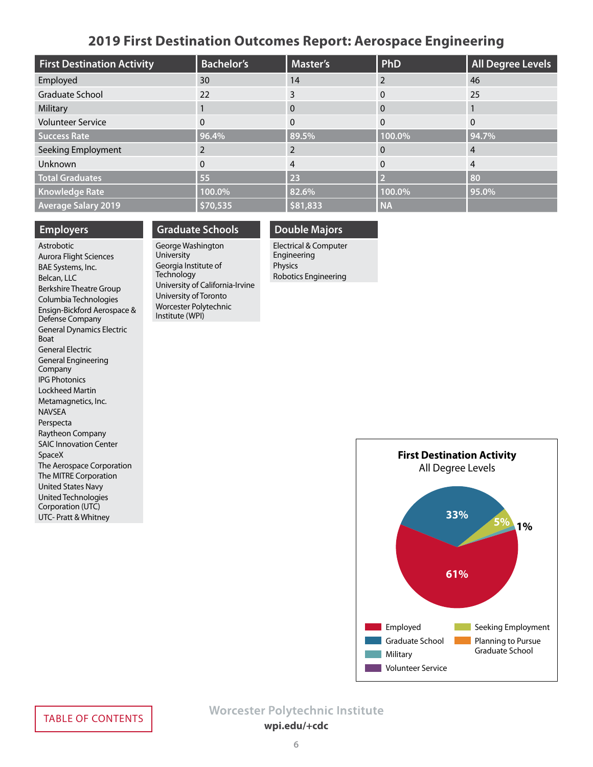### **2019 First Destination Outcomes Report: Aerospace Engineering**

<span id="page-5-0"></span>

| <b>First Destination Activity</b> | <b>Bachelor's</b> | <b>Master's</b> | PhD       | <b>All Degree Levels</b> |
|-----------------------------------|-------------------|-----------------|-----------|--------------------------|
| Employed                          | 30                | 14              |           | 46                       |
| Graduate School                   | 22                | 3               |           | 25                       |
| Military                          |                   | 0               | $\Omega$  |                          |
| <b>Volunteer Service</b>          | 0                 | 0               | $\Omega$  | $\Omega$                 |
| <b>Success Rate</b>               | 96.4%             | 89.5%           | 100.0%    | 94.7%                    |
| Seeking Employment                |                   |                 |           | 4                        |
| Unknown                           | 0                 | 4               |           | 4                        |
| <b>Total Graduates</b>            | 55                | 23              |           | 80                       |
| <b>Knowledge Rate</b>             | 100.0%            | 82.6%           | 100.0%    | 95.0%                    |
| <b>Average Salary 2019</b>        | \$70,535          | \$81,833        | <b>NA</b> |                          |

#### **Employers**

Astrobotic Aurora Flight Sciences BAE Systems, Inc. Belcan, LLC Berkshire Theatre Group Columbia Technologies Ensign-Bickford Aerospace & Defense Company General Dynamics Electric Boat General Electric General Engineering Company IPG Photonics Lockheed Martin Metamagnetics, Inc. NAVSEA Perspecta Raytheon Company SAIC Innovation Center SpaceX The Aerospace Corporation The MITRE Corporation United States Navy United Technologies Corporation (UTC) UTC- Pratt & Whitney

#### **Graduate Schools**

George Washington University Georgia Institute of **Technology** University of California-Irvine University of Toronto Worcester Polytechnic Institute (WPI)

### **Double Majors**

Electrical & Computer Engineering Physics Robotics Engineering

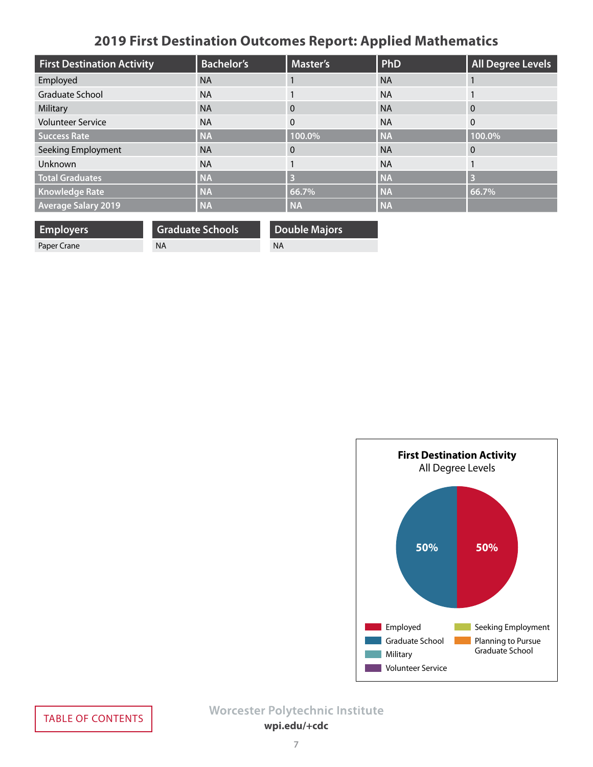# **2019 First Destination Outcomes Report: Applied Mathematics**

<span id="page-6-0"></span>

| <b>First Destination Activity</b> | <b>Bachelor's</b> | <b>Master's</b> | PhD       | <b>All Degree Levels</b> |
|-----------------------------------|-------------------|-----------------|-----------|--------------------------|
| Employed                          | <b>NA</b>         |                 | <b>NA</b> |                          |
| Graduate School                   | <b>NA</b>         |                 | <b>NA</b> |                          |
| Military                          | <b>NA</b>         | $\Omega$        | <b>NA</b> | $\Omega$                 |
| <b>Volunteer Service</b>          | <b>NA</b>         | $\mathbf{0}$    | <b>NA</b> | $\Omega$                 |
| <b>Success Rate</b>               | <b>NA</b>         | 100.0%          | <b>NA</b> | 100.0%                   |
| Seeking Employment                | <b>NA</b>         | $\Omega$        | <b>NA</b> | $\Omega$                 |
| Unknown                           | <b>NA</b>         |                 | <b>NA</b> |                          |
| <b>Total Graduates</b>            | <b>NA</b>         | B               | <b>NA</b> | B                        |
| <b>Knowledge Rate</b>             | <b>NA</b>         | 66.7%           | <b>NA</b> | 66.7%                    |
| <b>Average Salary 2019</b>        | <b>NA</b>         | <b>NA</b>       | <b>NA</b> |                          |

**Employers** Paper Crane

**Graduate Schools** NA

**Double Majors** NA

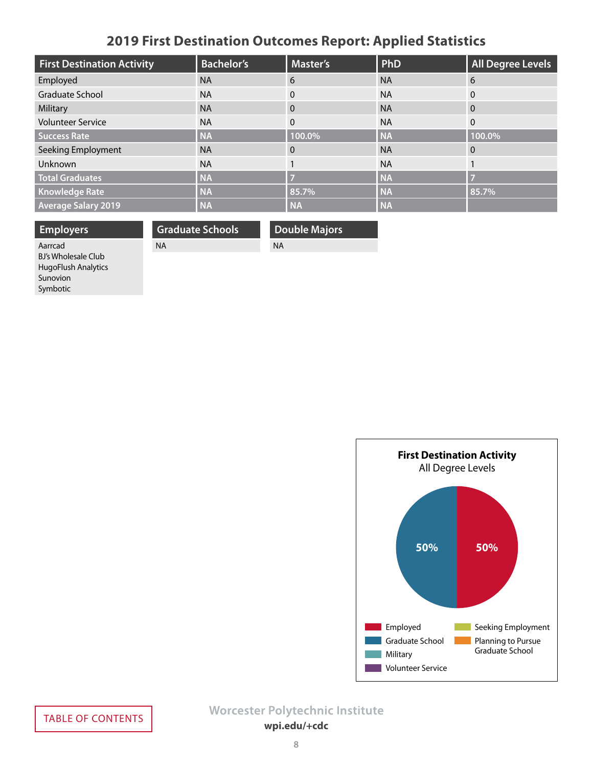# **2019 First Destination Outcomes Report: Applied Statistics**

<span id="page-7-0"></span>

| <b>First Destination Activity</b> | <b>Bachelor's</b> | Master's  | PhD       | <b>All Degree Levels</b> |
|-----------------------------------|-------------------|-----------|-----------|--------------------------|
| Employed                          | <b>NA</b>         | 6         | <b>NA</b> | 6                        |
| Graduate School                   | <b>NA</b>         | $\Omega$  | <b>NA</b> | $\mathbf{0}$             |
| Military                          | <b>NA</b>         | $\Omega$  | <b>NA</b> | $\overline{0}$           |
| <b>Volunteer Service</b>          | <b>NA</b>         | $\Omega$  | <b>NA</b> | $\mathbf{0}$             |
| <b>Success Rate</b>               | <b>NA</b>         | 100.0%    | <b>NA</b> | 100.0%                   |
| Seeking Employment                | <b>NA</b>         | $\Omega$  | <b>NA</b> | $\Omega$                 |
| Unknown                           | <b>NA</b>         |           | <b>NA</b> |                          |
| <b>Total Graduates</b>            | <b>NA</b>         |           | <b>NA</b> | 57                       |
| <b>Knowledge Rate</b>             | <b>NA</b>         | 85.7%     | <b>NA</b> | 85.7%                    |
| <b>Average Salary 2019</b>        | <b>NA</b>         | <b>NA</b> | <b>NA</b> |                          |

**Double Majors**

NA

**Employers** Aarrcad BJ's Wholesale Club HugoFlush Analytics Sunovion Symbotic **Graduate Schools** NA

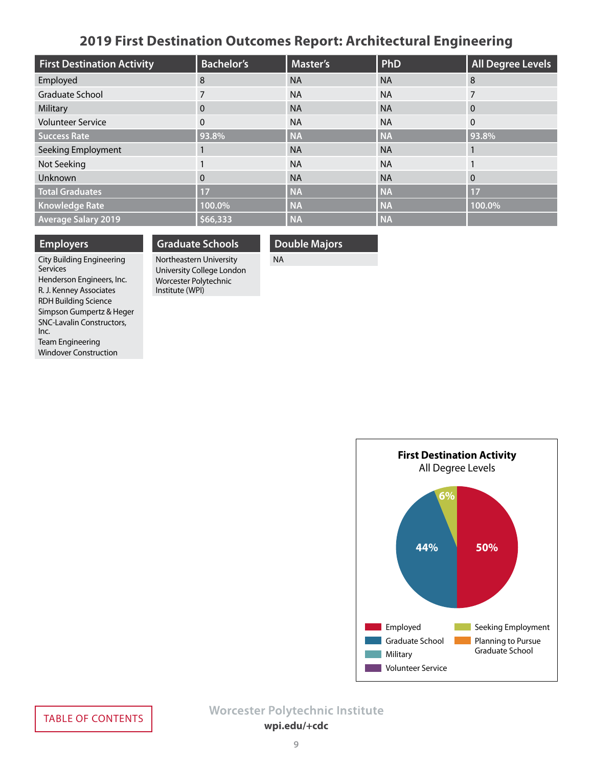### **2019 First Destination Outcomes Report: Architectural Engineering**

<span id="page-8-0"></span>

| <b>First Destination Activity</b> | <b>Bachelor's</b> | Master's  | PhD       | <b>All Degree Levels</b> |
|-----------------------------------|-------------------|-----------|-----------|--------------------------|
| Employed                          | 8                 | <b>NA</b> | <b>NA</b> | 8                        |
| Graduate School                   |                   | <b>NA</b> | <b>NA</b> |                          |
| Military                          | 0                 | <b>NA</b> | <b>NA</b> | $\Omega$                 |
| <b>Volunteer Service</b>          | $\Omega$          | <b>NA</b> | <b>NA</b> | $\Omega$                 |
| <b>Success Rate</b>               | 93.8%             | <b>NA</b> | <b>NA</b> | 93.8%                    |
| Seeking Employment                |                   | <b>NA</b> | <b>NA</b> |                          |
| Not Seeking                       |                   | <b>NA</b> | <b>NA</b> |                          |
| Unknown                           | $\Omega$          | <b>NA</b> | <b>NA</b> | $\Omega$                 |
| <b>Total Graduates</b>            | 17                | <b>NA</b> | <b>NA</b> | 17                       |
| <b>Knowledge Rate</b>             | 100.0%            | <b>NA</b> | <b>NA</b> | 100.0%                   |
| <b>Average Salary 2019</b>        | \$66,333          | <b>NA</b> | <b>NA</b> |                          |

#### **Employers**

### **Graduate Schools**

**Double Majors**

NA

City Building Engineering **Services** Henderson Engineers, Inc. R. J. Kenney Associates RDH Building Science Simpson Gumpertz & Heger SNC-Lavalin Constructors, Inc. Team Engineering Windover Construction

Northeastern University University College London Worcester Polytechnic Institute (WPI)

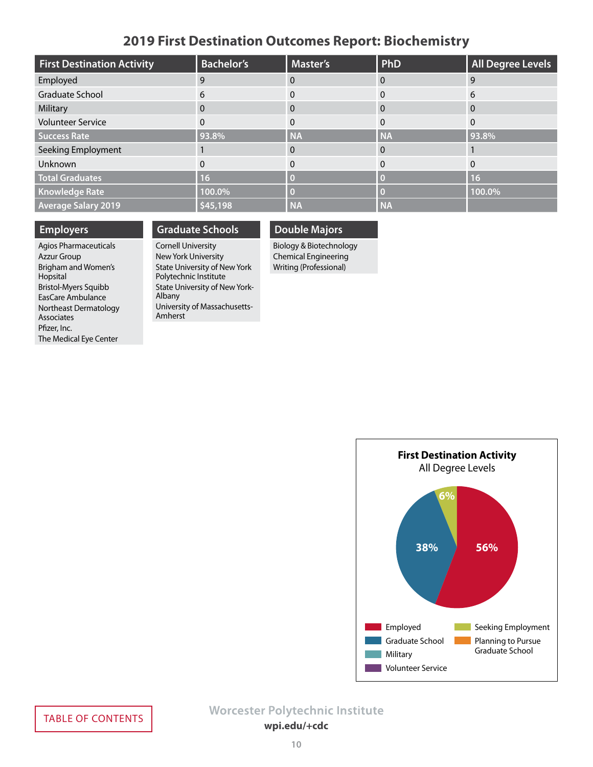### **2019 First Destination Outcomes Report: Biochemistry**

<span id="page-9-0"></span>

| <b>First Destination Activity</b> | <b>Bachelor's</b> | <b>Master's</b> | PhD       | <b>All Degree Levels</b> |
|-----------------------------------|-------------------|-----------------|-----------|--------------------------|
| Employed                          | 9                 |                 |           | 9                        |
| Graduate School                   | 6                 |                 |           | 6                        |
| Military                          | $\mathbf{0}$      | 0               | $\Omega$  | 0                        |
| <b>Volunteer Service</b>          | 0                 |                 | 0         | $\Omega$                 |
| <b>Success Rate</b>               | 93.8%             | <b>NA</b>       | <b>NA</b> | 93.8%                    |
| Seeking Employment                |                   |                 |           |                          |
| Unknown                           | 0                 |                 |           | $\Omega$                 |
| <b>Total Graduates</b>            | 16                |                 |           | <b>16</b>                |
| <b>Knowledge Rate</b>             | 100.0%            |                 |           | 100.0%                   |
| <b>Average Salary 2019</b>        | \$45,198          | <b>NA</b>       | <b>NA</b> |                          |

#### **Employers**

Agios Pharmaceuticals Azzur Group Brigham and Women's Hopsital Bristol-Myers Squibb EasCare Ambulance Northeast Dermatology Associates Pfizer, Inc. The Medical Eye Center

### **Graduate Schools**

Cornell University New York University State University of New York Polytechnic Institute State University of New York-Albany University of Massachusetts-Amherst

### **Double Majors**

Biology & Biotechnology Chemical Engineering Writing (Professional)

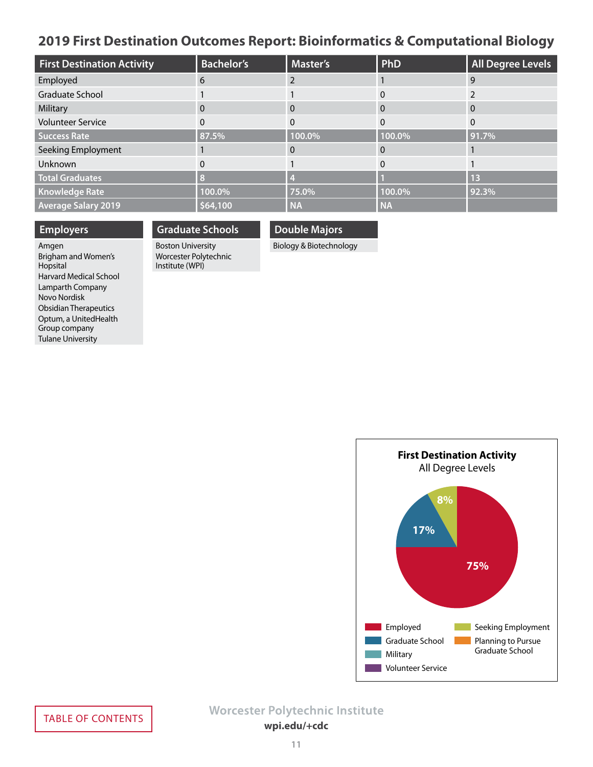### <span id="page-10-0"></span>**2019 First Destination Outcomes Report: Bioinformatics & Computational Biology**

| <b>First Destination Activity</b> | <b>Bachelor's</b> | <b>Master's</b> | PhD       | <b>All Degree Levels</b> |
|-----------------------------------|-------------------|-----------------|-----------|--------------------------|
| Employed                          | 6                 |                 |           | 9                        |
| Graduate School                   |                   |                 |           |                          |
| Military                          | 0                 | 0               | $\Omega$  | $\Omega$                 |
| <b>Volunteer Service</b>          | 0                 | $\Omega$        | $\Omega$  | $\Omega$                 |
| <b>Success Rate</b>               | 87.5%             | 100.0%          | 100.0%    | 91.7%                    |
| Seeking Employment                |                   |                 |           |                          |
| Unknown                           |                   |                 |           |                          |
| <b>Total Graduates</b>            | 8                 |                 |           | 13                       |
| <b>Knowledge Rate</b>             | 100.0%            | 75.0%           | 100.0%    | 92.3%                    |
| <b>Average Salary 2019</b>        | \$64,100          | <b>NA</b>       | <b>NA</b> |                          |

### **Employers**

#### **Double Majors Graduate Schools**

Amgen Brigham and Women's Hopsital Harvard Medical School Lamparth Company Novo Nordisk Obsidian Therapeutics Optum, a UnitedHealth Group company Tulane University

Boston University Worcester Polytechnic Institute (WPI)

Biology & Biotechnology

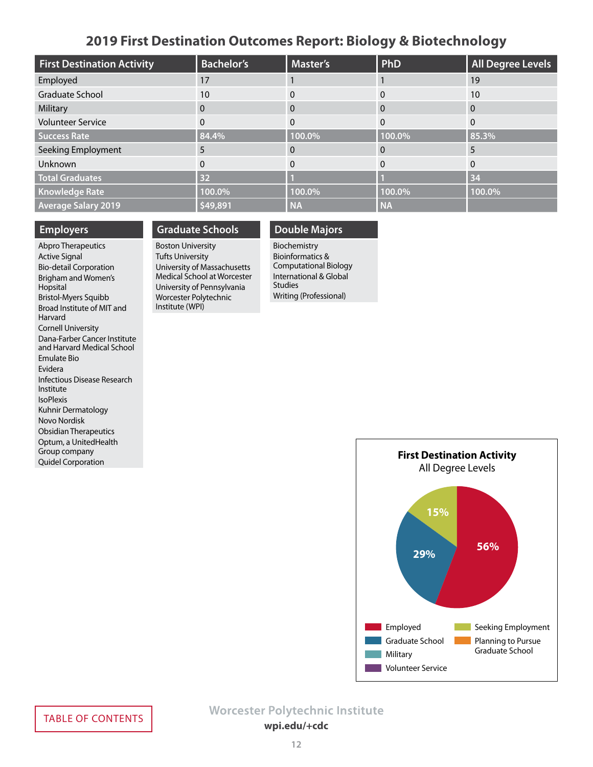### **2019 First Destination Outcomes Report: Biology & Biotechnology**

<span id="page-11-0"></span>

| <b>First Destination Activity</b> | <b>Bachelor's</b> | <b>Master's</b> | PhD       | <b>All Degree Levels</b> |
|-----------------------------------|-------------------|-----------------|-----------|--------------------------|
| Employed                          | 17                |                 |           | 19                       |
| Graduate School                   | 10                |                 | 0         | 10                       |
| Military                          | $\mathbf{0}$      | $\Omega$        | 0         | $\mathbf{0}$             |
| <b>Volunteer Service</b>          | 0                 | 0               | 0         | $\Omega$                 |
| <b>Success Rate</b>               | 84.4%             | 100.0%          | 100.0%    | 85.3%                    |
| Seeking Employment                | 5                 |                 | O         | ∍                        |
| Unknown                           | 0                 |                 | 0         | $\Omega$                 |
| <b>Total Graduates</b>            | 32                |                 |           | 34                       |
| <b>Knowledge Rate</b>             | 100.0%            | 100.0%          | 100.0%    | 100.0%                   |
| <b>Average Salary 2019</b>        | \$49,891          | <b>NA</b>       | <b>NA</b> |                          |

#### **Employers**

Abpro Therapeutics Active Signal Bio-detail Corporation Brigham and Women's Hopsital Bristol-Myers Squibb Broad Institute of MIT and Harvard Cornell University Dana-Farber Cancer Institute and Harvard Medical School Emulate Bio Evidera Infectious Disease Research Institute IsoPlexis Kuhnir Dermatology Novo Nordisk Obsidian Therapeutics Optum, a UnitedHealth Group company Quidel Corporation

### **Graduate Schools**

Boston University Tufts University University of Massachusetts Medical School at Worcester University of Pennsylvania Worcester Polytechnic Institute (WPI)

### **Double Majors**

Biochemistry Bioinformatics & Computational Biology International & Global Studies Writing (Professional)

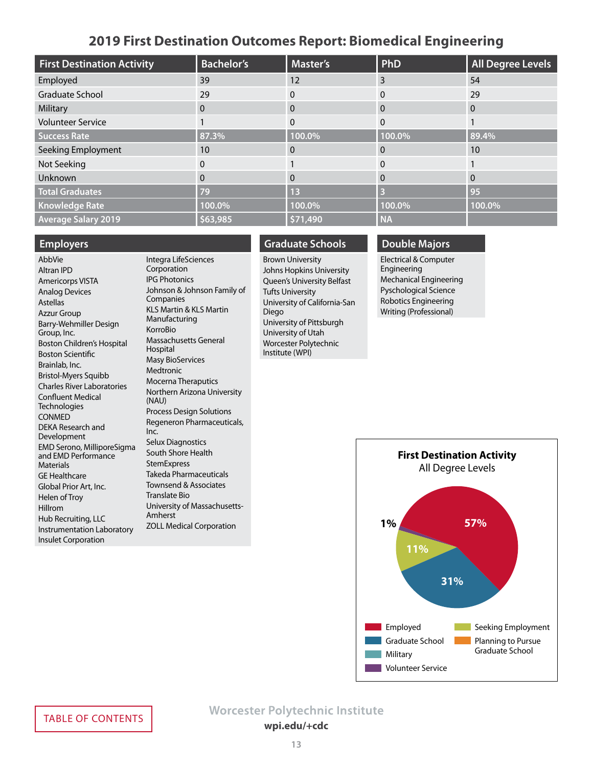### **2019 First Destination Outcomes Report: Biomedical Engineering**

<span id="page-12-0"></span>

| <b>First Destination Activity</b> | <b>Bachelor's</b> | <b>Master's</b> | <b>PhD</b> | <b>All Degree Levels</b> |
|-----------------------------------|-------------------|-----------------|------------|--------------------------|
| Employed                          | 39                | 12              | 3          | 54                       |
| <b>Graduate School</b>            | 29                | 0               | 0          | 29                       |
| Military                          | 0                 | $\Omega$        | 0          | $\Omega$                 |
| <b>Volunteer Service</b>          |                   | $\Omega$        | $\Omega$   |                          |
| <b>Success Rate</b>               | 87.3%             | 100.0%          | 100.0%     | 89.4%                    |
| Seeking Employment                | 10                |                 | 0          | 10                       |
| Not Seeking                       | 0                 |                 | 0          |                          |
| Unknown                           | 0                 | $\Omega$        | 0          | $\Omega$                 |
| <b>Total Graduates</b>            | 79                | 13              |            | 95                       |
| <b>Knowledge Rate</b>             | 100.0%            | 100.0%          | 100.0%     | 100.0%                   |
| <b>Average Salary 2019</b>        | \$63,985          | \$71,490        | <b>NA</b>  |                          |

#### **Employers**

AbbVie Altran IPD Americorps VISTA Analog Devices Astellas Azzur Group Barry-Wehmiller Design Group, Inc. Boston Children's Hospital Boston Scientific Brainlab, Inc. Bristol-Myers Squibb Charles River Laboratories Confluent Medical **Technologies** CONMED DEKA Research and Development EMD Serono, MilliporeSigma and EMD Performance **Materials** GE Healthcare Global Prior Art, Inc. Helen of Troy Hillrom Hub Recruiting, LLC Instrumentation Laboratory Insulet Corporation

Integra LifeSciences Corporation IPG Photonics Johnson & Johnson Family of Companies KLS Martin & KLS Martin Manufacturing KorroBio Massachusetts General Hospital Masy BioServices **Medtronic** Mocerna Theraputics Northern Arizona University (NAU) Process Design Solutions Regeneron Pharmaceuticals, Inc. Selux Diagnostics South Shore Health **StemExpress** Takeda Pharmaceuticals Townsend & Associates Translate Bio University of Massachusetts-Amherst ZOLL Medical Corporation

### **Graduate Schools**

Brown University Johns Hopkins University Queen's University Belfast Tufts University University of California-San Diego University of Pittsburgh University of Utah Worcester Polytechnic Institute (WPI)

### **Double Majors**

Electrical & Computer Engineering Mechanical Engineering Pyschological Science Robotics Engineering Writing (Professional)

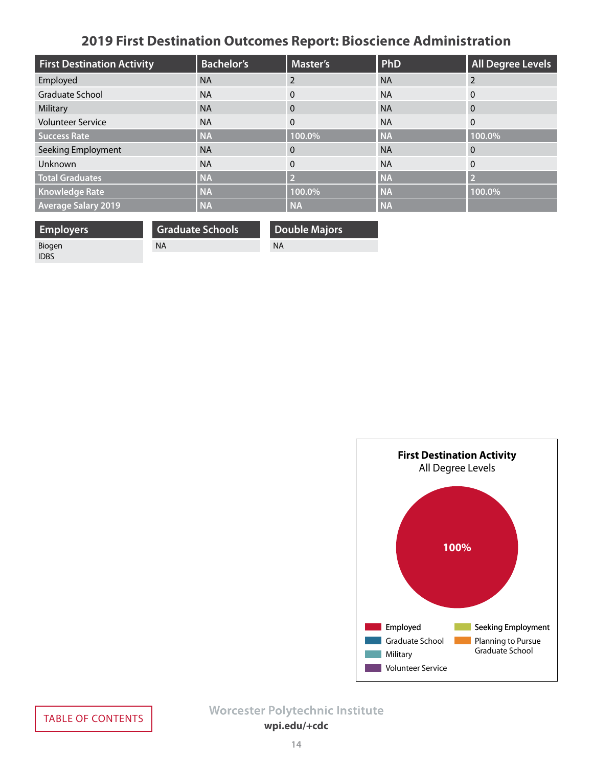# **2019 First Destination Outcomes Report: Bioscience Administration**

<span id="page-13-0"></span>

| <b>First Destination Activity</b> | <b>Bachelor's</b> | <b>Master's</b> | PhD       | <b>All Degree Levels</b> |
|-----------------------------------|-------------------|-----------------|-----------|--------------------------|
| Employed                          | <b>NA</b>         |                 | <b>NA</b> | 2                        |
| Graduate School                   | <b>NA</b>         | 0               | <b>NA</b> | 0                        |
| Military                          | <b>NA</b>         | $\Omega$        | <b>NA</b> | $\Omega$                 |
| <b>Volunteer Service</b>          | <b>NA</b>         | $\mathbf{0}$    | <b>NA</b> | $\mathbf{0}$             |
| <b>Success Rate</b>               | <b>NA</b>         | 100.0%          | <b>NA</b> | 100.0%                   |
| Seeking Employment                | <b>NA</b>         | $\Omega$        | <b>NA</b> | $\overline{0}$           |
| Unknown                           | <b>NA</b>         | $\Omega$        | <b>NA</b> | $\Omega$                 |
| <b>Total Graduates</b>            | <b>NA</b>         | D               | <b>NA</b> | $\overline{2}$           |
| <b>Knowledge Rate</b>             | <b>NA</b>         | 100.0%          | <b>NA</b> | 100.0%                   |
| <b>Average Salary 2019</b>        | <b>NA</b>         | <b>NA</b>       | <b>NA</b> |                          |

| <b>Employers</b> | <b>Graduate Schools</b> | Double Majors |
|------------------|-------------------------|---------------|
| Biogen           | <b>NA</b>               | NA            |
| <b>IDBS</b>      |                         |               |

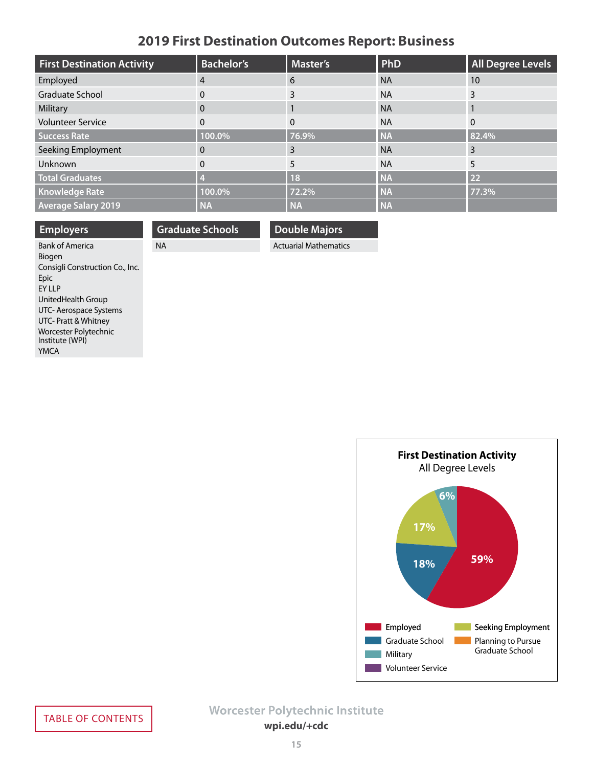# **2019 First Destination Outcomes Report: Business**

<span id="page-14-0"></span>

| <b>First Destination Activity</b> | <b>Bachelor's</b> | <b>Master's</b> | PhD       | <b>All Degree Levels</b> |
|-----------------------------------|-------------------|-----------------|-----------|--------------------------|
| Employed                          | 4                 | 6               | <b>NA</b> | 10                       |
| <b>Graduate School</b>            | 0                 | 3               | <b>NA</b> | 3                        |
| Military                          | $\mathbf{0}$      |                 | <b>NA</b> |                          |
| <b>Volunteer Service</b>          | $\mathbf{0}$      | $\Omega$        | <b>NA</b> | $\Omega$                 |
| <b>Success Rate</b>               | 100.0%            | 76.9%           | <b>NA</b> | 82.4%                    |
| Seeking Employment                | 0                 | 3               | <b>NA</b> | 3                        |
| Unknown                           | $\mathbf{0}$      | 5               | <b>NA</b> | 5                        |
| <b>Total Graduates</b>            | M                 | 18              | <b>NA</b> | 22                       |
| <b>Knowledge Rate</b>             | 100.0%            | 72.2%           | <b>NA</b> | 77.3%                    |
| <b>Average Salary 2019</b>        | <b>NA</b>         | <b>NA</b>       | <b>NA</b> |                          |

**Double Majors** Actuarial Mathematics

**Graduate Schools**

NA

| <b>Employers</b>                |
|---------------------------------|
| <b>Bank of America</b>          |
| Biogen                          |
| Consigli Construction Co., Inc. |
| Epic                            |
| <b>FY LLP</b>                   |
| UnitedHealth Group              |
| UTC- Aerospace Systems          |
| UTC- Pratt & Whitney            |
| Worcester Polytechnic           |
| Institute (WPI)                 |
| YMCA                            |

**First Destination Activity** All Degree Levels **59% Employed** Seeking Employment Graduate School Military **Volunteer Service** Planning to Pursue Graduate School **18% 17% 6%**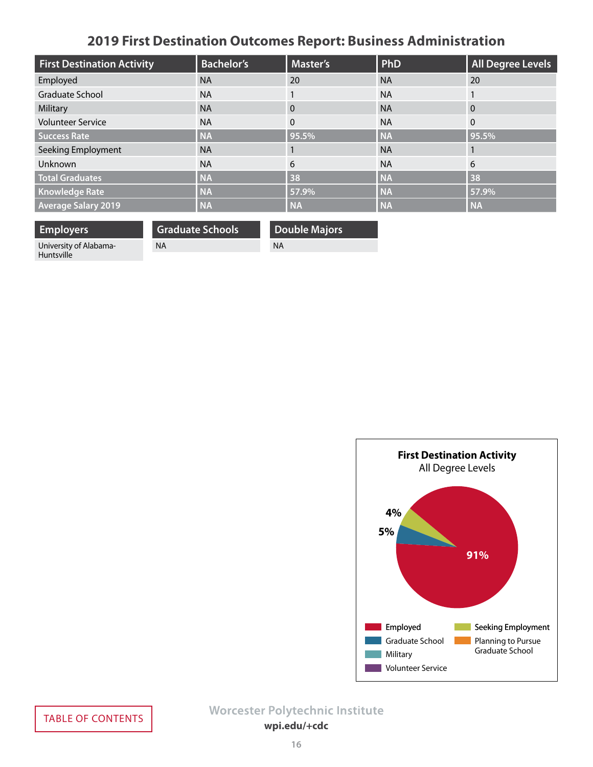# **2019 First Destination Outcomes Report: Business Administration**

<span id="page-15-0"></span>

| <b>First Destination Activity</b> | <b>Bachelor's</b> | <b>Master's</b> | <b>PhD</b> | <b>All Degree Levels</b> |
|-----------------------------------|-------------------|-----------------|------------|--------------------------|
| Employed                          | <b>NA</b>         | 20              | <b>NA</b>  | 20                       |
| <b>Graduate School</b>            | <b>NA</b>         |                 | <b>NA</b>  |                          |
| Military                          | <b>NA</b>         | $\Omega$        | <b>NA</b>  | $\overline{0}$           |
| <b>Volunteer Service</b>          | <b>NA</b>         | $\Omega$        | <b>NA</b>  | $\mathbf{0}$             |
| <b>Success Rate</b>               | <b>NA</b>         | 95.5%           | <b>NA</b>  | 95.5%                    |
| Seeking Employment                | <b>NA</b>         |                 | <b>NA</b>  |                          |
| Unknown                           | <b>NA</b>         | 6               | <b>NA</b>  | 6                        |
| <b>Total Graduates</b>            | <b>NA</b>         | 38              | <b>NA</b>  | 38                       |
| <b>Knowledge Rate</b>             | <b>NA</b>         | 57.9%           | <b>NA</b>  | 57.9%                    |
| <b>Average Salary 2019</b>        | <b>NA</b>         | <b>NA</b>       | <b>NA</b>  | <b>NA</b>                |

**Employers** University of Alabama-Huntsville

NA

**Graduate Schools**

**Double Majors** NA

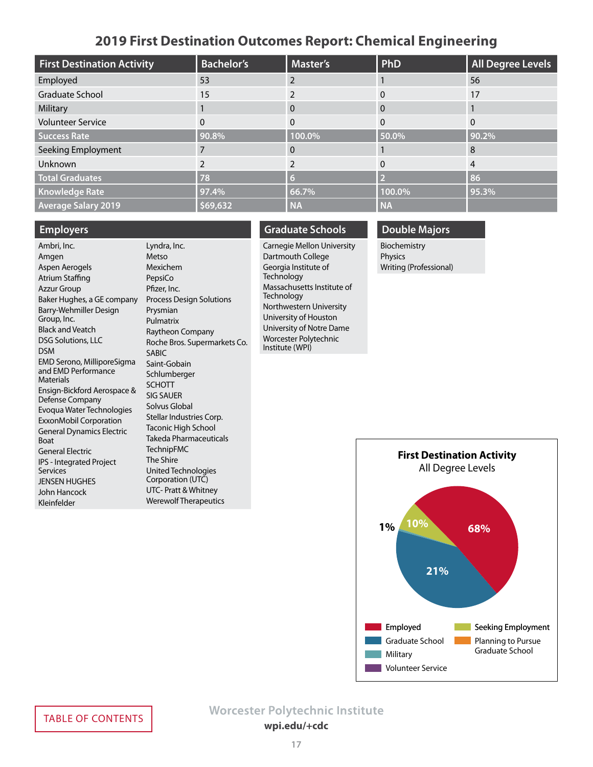### **2019 First Destination Outcomes Report: Chemical Engineering**

<span id="page-16-0"></span>

| <b>First Destination Activity</b> | <b>Bachelor's</b> | <b>Master's</b> | <b>PhD</b> | <b>All Degree Levels</b> |
|-----------------------------------|-------------------|-----------------|------------|--------------------------|
| Employed                          | 53                |                 |            | 56                       |
| Graduate School                   | 15                |                 |            | 17                       |
| Military                          |                   | 0               | 0          |                          |
| <b>Volunteer Service</b>          | 0                 |                 | 0          |                          |
| <b>Success Rate</b>               | 90.8%             | 100.0%          | 50.0%      | 90.2%                    |
| Seeking Employment                |                   |                 |            | 8                        |
| Unknown                           |                   |                 | 0          | 4                        |
| <b>Total Graduates</b>            | 78                | 6               |            | 86                       |
| <b>Knowledge Rate</b>             | 97.4%             | 66.7%           | 100.0%     | 95.3%                    |
| <b>Average Salary 2019</b>        | \$69,632          | <b>NA</b>       | <b>NA</b>  |                          |

#### **Employers**

Ambri, Inc. Amgen Aspen Aerogels Atrium Staffing Azzur Group Baker Hughes, a GE company Barry-Wehmiller Design Group, Inc. Black and Veatch DSG Solutions, LLC DSM EMD Serono, MilliporeSigma and EMD Performance Materials Ensign-Bickford Aerospace & Defense Company Evoqua Water Technologies ExxonMobil Corporation General Dynamics Electric Boat General Electric IPS - Integrated Project Services JENSEN HUGHES John Hancock Kleinfelder

Lyndra, Inc. Metso Mexichem PepsiCo Pfizer, Inc. Process Design Solutions Prysmian Pulmatrix Raytheon Company Roche Bros. Supermarkets Co. SABIC Saint-Gobain Schlumberger SCHOTT SIG SAUER Solvus Global Stellar Industries Corp. Taconic High School Takeda Pharmaceuticals TechnipFMC The Shire United Technologies Corporation (UTC) UTC- Pratt & Whitney Werewolf Therapeutics

### **Graduate Schools**

Carnegie Mellon University Dartmouth College Georgia Institute of **Technology** Massachusetts Institute of **Technology** Northwestern University University of Houston University of Notre Dame Worcester Polytechnic Institute (WPI)

### **Double Majors**

Biochemistry Physics Writing (Professional)

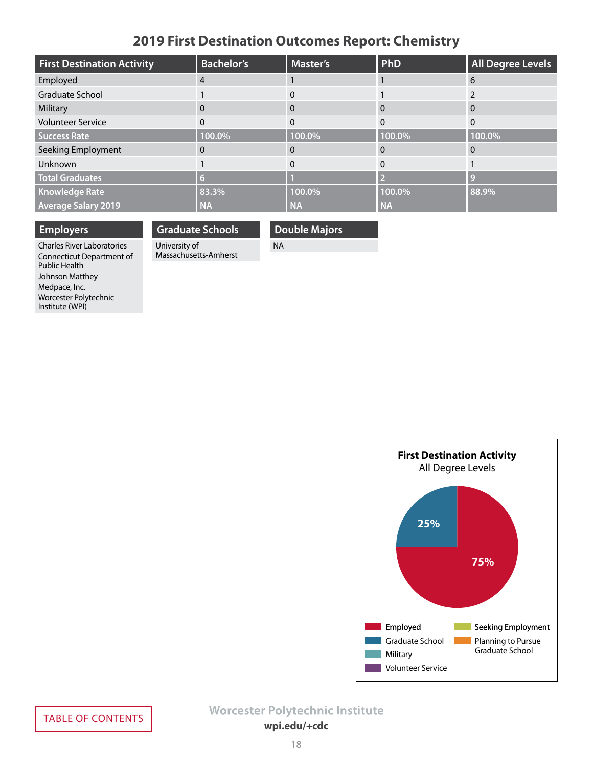# **2019 First Destination Outcomes Report: Chemistry**

<span id="page-17-0"></span>

| <b>First Destination Activity</b> | <b>Bachelor's</b> | Master's     | PhD       | <b>All Degree Levels</b> |
|-----------------------------------|-------------------|--------------|-----------|--------------------------|
| Employed                          |                   |              |           | 6                        |
| Graduate School                   |                   |              |           |                          |
| Military                          |                   | 0            | $\Omega$  | 0                        |
| <b>Volunteer Service</b>          |                   | $\Omega$     | $\Omega$  | $\Omega$                 |
| <b>Success Rate</b>               | 100.0%            | 100.0%       | 100.0%    | 100.0%                   |
| Seeking Employment                |                   | $\mathbf{0}$ |           |                          |
| Unknown                           |                   |              |           |                          |
| <b>Total Graduates</b>            |                   |              |           | <b>C</b>                 |
| <b>Knowledge Rate</b>             | 83.3%             | 100.0%       | 100.0%    | 88.9%                    |
| <b>Average Salary 2019</b>        | <b>NA</b>         | <b>NA</b>    | <b>NA</b> |                          |

### **Employers**

### **Graduate Schools**

Massachusetts-Amherst

University of

### **Double Majors**

NA

Charles River Laboratories Connecticut Department of Public Health Johnson Matthey Medpace, Inc. Worcester Polytechnic Institute (WPI)

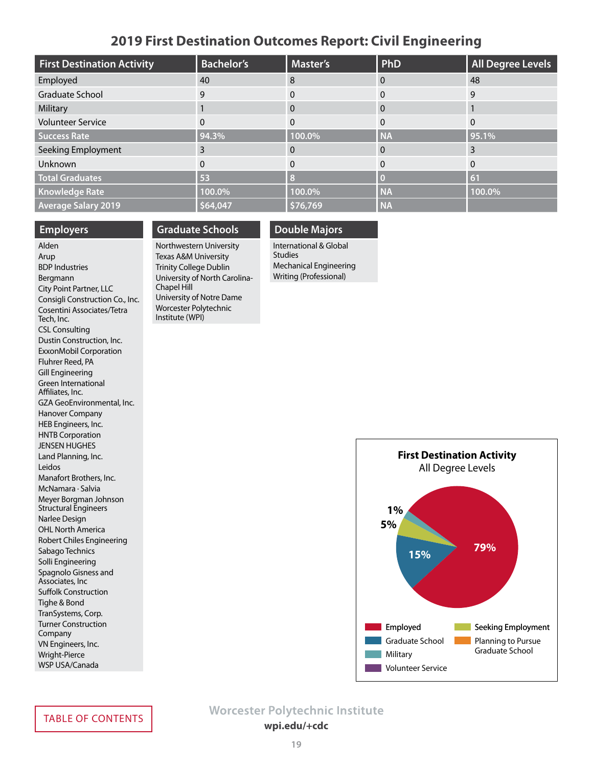### **2019 First Destination Outcomes Report: Civil Engineering**

<span id="page-18-0"></span>

| <b>First Destination Activity</b> | <b>Bachelor's</b> | <b>Master's</b> | PhD       | <b>All Degree Levels</b> |
|-----------------------------------|-------------------|-----------------|-----------|--------------------------|
| Employed                          | 40                | 8               | 0         | 48                       |
| Graduate School                   | 9                 |                 | 0         | 9                        |
| Military                          |                   | 0               | 0         |                          |
| <b>Volunteer Service</b>          | 0                 | 0               | 0         |                          |
| <b>Success Rate</b>               | 94.3%             | 100.0%          | <b>NA</b> | 95.1%                    |
| Seeking Employment                | 3                 |                 | 0         |                          |
| Unknown                           | 0                 |                 | 0         | $\Omega$                 |
| <b>Total Graduates</b>            | 53                | 8               |           | 61                       |
| <b>Knowledge Rate</b>             | 100.0%            | 100.0%          | <b>NA</b> | 100.0%                   |
| <b>Average Salary 2019</b>        | \$64,047          | \$76,769        | <b>NA</b> |                          |

#### **Employers**

#### Alden Arup BDP Industries Bergmann City Point Partner, LLC Consigli Construction Co., Inc. Cosentini Associates/Tetra Tech, Inc. CSL Consulting Dustin Construction, Inc. ExxonMobil Corporation Fluhrer Reed, PA Gill Engineering Green International Affiliates, Inc. GZA GeoEnvironmental, Inc. Hanover Company HEB Engineers, Inc. HNTB Corporation JENSEN HUGHES Land Planning, Inc. Leidos Manafort Brothers, Inc. McNamara · Salvia Meyer Borgman Johnson Structural Engineers Narlee Design OHL North America Robert Chiles Engineering Sabago Technics Solli Engineering Spagnolo Gisness and Associates, Inc Suffolk Construction Tighe & Bond TranSystems, Corp. Turner Construction Company VN Engineers, Inc. Wright-Pierce WSP USA/Canada

### **Graduate Schools**

Northwestern University Texas A&M University Trinity College Dublin University of North Carolina-Chapel Hill University of Notre Dame Worcester Polytechnic Institute (WPI)

### **Double Majors** International & Global **Studies**

Mechanical Engineering Writing (Professional)

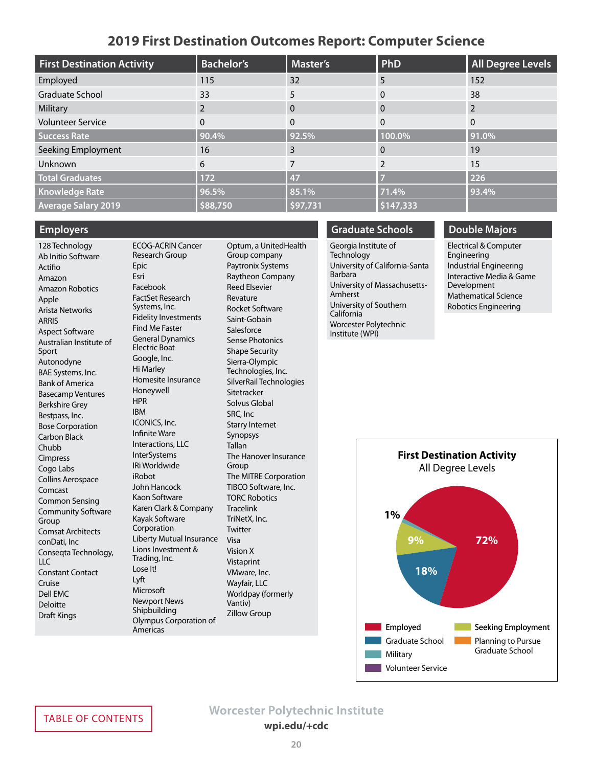### **2019 First Destination Outcomes Report: Computer Science**

<span id="page-19-0"></span>

| <b>First Destination Activity</b> | <b>Bachelor's</b> | <b>Master's</b> | <b>PhD</b>   | <b>All Degree Levels</b> |
|-----------------------------------|-------------------|-----------------|--------------|--------------------------|
| Employed                          | 115               | 32              | 5            | 152                      |
| <b>Graduate School</b>            | 33                | 5               | 0            | 38                       |
| Military                          | 2                 | $\Omega$        | 0            |                          |
| <b>Volunteer Service</b>          | 0                 | $\Omega$        | $\mathbf{0}$ | $\Omega$                 |
| <b>Success Rate</b>               | 90.4%             | 92.5%           | 100.0%       | 91.0%                    |
| Seeking Employment                | 16                | 3               | 0            | 19                       |
| Unknown                           | 6                 |                 |              | 15                       |
| <b>Total Graduates</b>            | 172               | 47              |              | 226                      |
| <b>Knowledge Rate</b>             | 96.5%             | 85.1%           | 71.4%        | 93.4%                    |
| <b>Average Salary 2019</b>        | \$88,750          | \$97,731        | \$147,333    |                          |

#### **Employers**

128 Technology Ab Initio Software Actifio Amazon Amazon Robotics Apple Arista Networks ARRIS Aspect Software Australian Institute of Sport Autonodyne BAE Systems, Inc. Bank of America Basecamp Ventures Berkshire Grey Bestpass, Inc. Bose Corporation Carbon Black Chubb Cimpress Cogo Labs Collins Aerospace Comcast Common Sensing Community Software Group Comsat Architects conDati, Inc Conseqta Technology, LLC Constant Contact Cruise Dell EMC Deloitte Draft Kings

ECOG-ACRIN Cancer Research Group Epic Esri Facebook FactSet Research Systems, Inc. Fidelity Investments Find Me Faster General Dynamics Electric Boat Google, Inc. Hi Marley Homesite Insurance Honeywell HPR IBM ICONICS, Inc. Infinite Ware Interactions, LLC **InterSystems** IRi Worldwide iRobot John Hancock Kaon Software Karen Clark & Company Kayak Software Corporation Liberty Mutual Insurance Lions Investment & Trading, Inc. Lose It! Lyft Microsoft Newport News Shipbuilding Olympus Corporation of Americas

Optum, a UnitedHealth Group company Paytronix Systems Raytheon Company Reed Elsevier Revature Rocket Software Saint-Gobain **Salesforce** Sense Photonics Shape Security Sierra-Olympic Technologies, Inc. SilverRail Technologies **Sitetracker** Solvus Global SRC, Inc Starry Internet Synopsys Tallan The Hanover Insurance Group The MITRE Corporation TIBCO Software, Inc. TORC Robotics **Tracelink** TriNetX, Inc. **Twitter** Visa Vision X Vistaprint VMware, Inc. Wayfair, LLC Worldpay (formerly Vantiv) Zillow Group

### **Graduate Schools**

Georgia Institute of **Technology** University of California-Santa Barbara University of Massachusetts-Amherst University of Southern California Worcester Polytechnic Institute (WPI)

#### **Double Majors**

Electrical & Computer Engineering Industrial Engineering Interactive Media & Game Development Mathematical Science Robotics Engineering

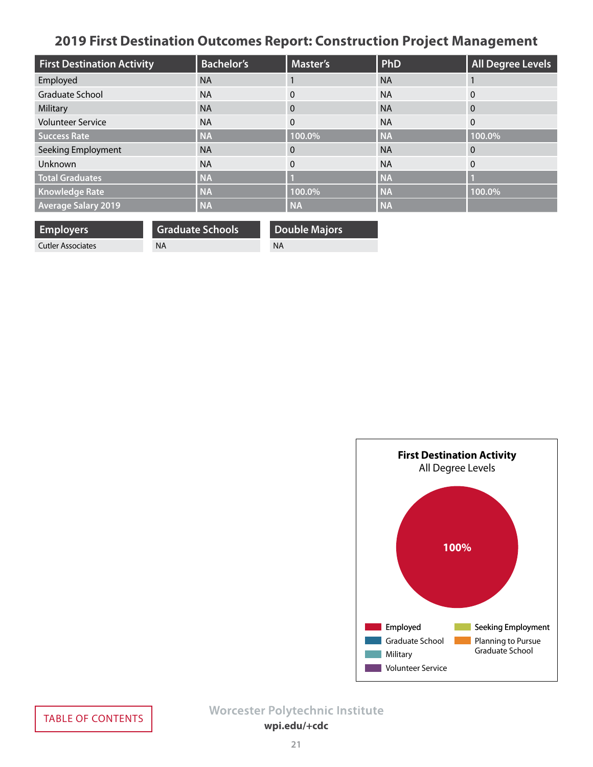# <span id="page-20-0"></span>**2019 First Destination Outcomes Report: Construction Project Management**

| <b>First Destination Activity</b> | <b>Bachelor's</b> | <b>Master's</b> | PhD       | <b>All Degree Levels</b> |
|-----------------------------------|-------------------|-----------------|-----------|--------------------------|
| Employed                          | <b>NA</b>         |                 | <b>NA</b> |                          |
| <b>Graduate School</b>            | <b>NA</b>         | $\Omega$        | <b>NA</b> | $\Omega$                 |
| Military                          | <b>NA</b>         | $\Omega$        | <b>NA</b> | $\Omega$                 |
| <b>Volunteer Service</b>          | <b>NA</b>         | $\mathbf{0}$    | <b>NA</b> | $\Omega$                 |
| <b>Success Rate</b>               | <b>NA</b>         | 100.0%          | <b>NA</b> | 100.0%                   |
| Seeking Employment                | <b>NA</b>         | $\Omega$        | <b>NA</b> | $\overline{0}$           |
| <b>Unknown</b>                    | <b>NA</b>         | $\Omega$        | <b>NA</b> | $\Omega$                 |
| <b>Total Graduates</b>            | <b>NA</b>         |                 | <b>NA</b> |                          |
| <b>Knowledge Rate</b>             | <b>NA</b>         | 100.0%          | <b>NA</b> | 100.0%                   |
| <b>Average Salary 2019</b>        | <b>NA</b>         | <b>NA</b>       | <b>NA</b> |                          |

| <b>Employers</b>  | <b>Graduate Schools</b> | <b>Double Majors</b> |
|-------------------|-------------------------|----------------------|
| Cutler Associates | ΝA                      | ΝA                   |
|                   |                         |                      |

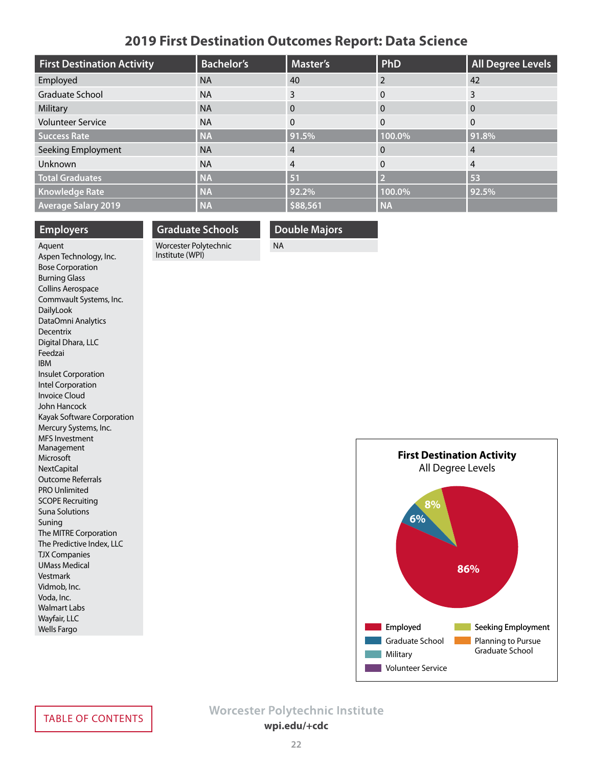### **2019 First Destination Outcomes Report: Data Science**

<span id="page-21-0"></span>

| <b>First Destination Activity</b> | <b>Bachelor's</b> | <b>Master's</b> | PhD       | <b>All Degree Levels</b> |
|-----------------------------------|-------------------|-----------------|-----------|--------------------------|
| Employed                          | <b>NA</b>         | 40              | 2         | 42                       |
| Graduate School                   | <b>NA</b>         | 3               | $\Omega$  | 3                        |
| Military                          | <b>NA</b>         | 0               | $\Omega$  | $\Omega$                 |
| <b>Volunteer Service</b>          | <b>NA</b>         | $\Omega$        | $\Omega$  | $\Omega$                 |
| <b>Success Rate</b>               | <b>NA</b>         | 91.5%           | 100.0%    | 91.8%                    |
| Seeking Employment                | <b>NA</b>         | 4               | 0         | 4                        |
| Unknown                           | <b>NA</b>         | 4               | $\Omega$  | 4                        |
| <b>Total Graduates</b>            | <b>NA</b>         | 51              |           | 53                       |
| <b>Knowledge Rate</b>             | <b>NA</b>         | 92.2%           | 100.0%    | 92.5%                    |
| <b>Average Salary 2019</b>        | <b>NA</b>         | \$88,561        | <b>NA</b> |                          |

#### **Employers**

### **Graduate Schools** Worcester Polytechnic

Institute (WPI)

**Double Majors**

NA

Aquent Aspen Technology, Inc. Bose Corporation Burning Glass Collins Aerospace Commvault Systems, Inc. DailyLook DataOmni Analytics Decentrix Digital Dhara, LLC Feedzai IBM Insulet Corporation Intel Corporation Invoice Cloud John Hancock Kayak Software Corporation Mercury Systems, Inc. MFS Investment Management Microsoft **NextCapital** Outcome Referrals PRO Unlimited SCOPE Recruiting Suna Solutions Suning The MITRE Corporation The Predictive Index, LLC TJX Companies UMass Medical Vestmark Vidmob, Inc. Voda, Inc. Walmart Labs Wayfair, LLC Wells Fargo

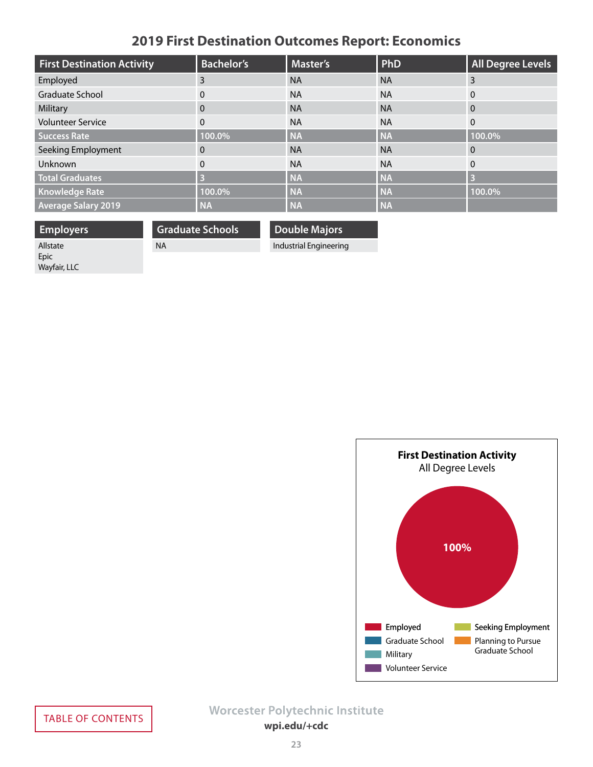# **2019 First Destination Outcomes Report: Economics**

<span id="page-22-0"></span>

| <b>First Destination Activity</b> | <b>Bachelor's</b> | <b>Master's</b> | PhD       | All Degree Levels |
|-----------------------------------|-------------------|-----------------|-----------|-------------------|
| Employed                          | 3                 | <b>NA</b>       | <b>NA</b> | $\overline{3}$    |
| <b>Graduate School</b>            | $\mathbf{0}$      | <b>NA</b>       | <b>NA</b> | $\mathbf{0}$      |
| Military                          | $\Omega$          | <b>NA</b>       | <b>NA</b> | $\overline{0}$    |
| <b>Volunteer Service</b>          | $\Omega$          | <b>NA</b>       | <b>NA</b> | $\mathbf{0}$      |
| <b>Success Rate</b>               | 100.0%            | <b>NA</b>       | <b>NA</b> | 100.0%            |
| Seeking Employment                | 0                 | <b>NA</b>       | <b>NA</b> | $\overline{0}$    |
| <b>Unknown</b>                    | $\Omega$          | <b>NA</b>       | <b>NA</b> | $\Omega$          |
| <b>Total Graduates</b>            | 3                 | <b>NA</b>       | <b>NA</b> | $\overline{3}$    |
| <b>Knowledge Rate</b>             | 100.0%            | <b>NA</b>       | <b>NA</b> | 100.0%            |
| <b>Average Salary 2019</b>        | <b>NA</b>         | <b>NA</b>       | <b>NA</b> |                   |

**Employers** Allstate Epic Wayfair, LLC

**Graduate Schools** NA

**Double Majors**

Industrial Engineering

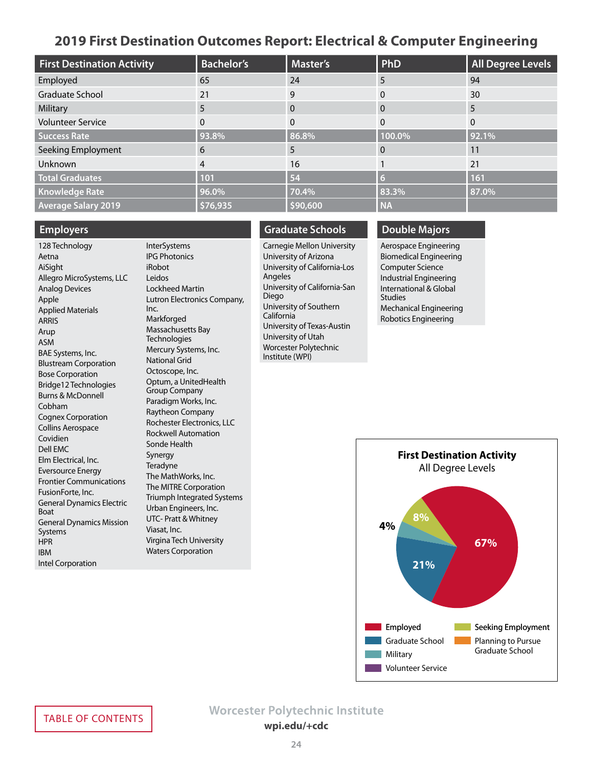### **2019 First Destination Outcomes Report: Electrical & Computer Engineering**

<span id="page-23-0"></span>

| <b>First Destination Activity</b> | <b>Bachelor's</b> | <b>Master's</b> | PhD       | All Degree Levels |
|-----------------------------------|-------------------|-----------------|-----------|-------------------|
| Employed                          | 65                | 24              | 5         | 94                |
| <b>Graduate School</b>            | 21                | 9               |           | 30                |
| Military                          | 5                 | $\Omega$        |           | 5                 |
| <b>Volunteer Service</b>          | 0                 |                 | $\Omega$  | $\overline{0}$    |
| <b>Success Rate</b>               | 93.8%             | 86.8%           | 100.0%    | 92.1%             |
| Seeking Employment                | 6                 | 5               |           | 11                |
| Unknown                           | $\overline{4}$    | 16              |           | 21                |
| <b>Total Graduates</b>            | 101               | 54              | 67        | 161               |
| <b>Knowledge Rate</b>             | 96.0%             | 70.4%           | 83.3%     | 87.0%             |
| <b>Average Salary 2019</b>        | \$76,935          | \$90,600        | <b>NA</b> |                   |

#### **Employers**

128 Technology Aetna AiSight Allegro MicroSystems, LLC Analog Devices Apple Applied Materials ARRIS Arup ASM BAE Systems, Inc. Blustream Corporation Bose Corporation Bridge12 Technologies Burns & McDonnell Cobham Cognex Corporation Collins Aerospace Covidien Dell EMC Elm Electrical, Inc. Eversource Energy Frontier Communications FusionForte, Inc. General Dynamics Electric Boat General Dynamics Mission Systems **HPR** IBM Intel Corporation

**InterSystems** IPG Photonics iRobot Leidos Lockheed Martin Lutron Electronics Company, Inc. Markforged Massachusetts Bay **Technologies** Mercury Systems, Inc. National Grid Octoscope, Inc. Optum, a UnitedHealth Group Company Paradigm Works, Inc. Raytheon Company Rochester Electronics, LLC Rockwell Automation Sonde Health Synergy **Teradyne** The MathWorks, Inc. The MITRE Corporation Triumph Integrated Systems Urban Engineers, Inc. UTC- Pratt & Whitney Viasat, Inc. Virgina Tech University

Waters Corporation

### **Graduate Schools**

Carnegie Mellon University University of Arizona University of California-Los Angeles University of California-San Diego University of Southern California University of Texas-Austin University of Utah Worcester Polytechnic Institute (WPI)

### **Double Majors**

Aerospace Engineering Biomedical Engineering Computer Science Industrial Engineering International & Global Studies Mechanical Engineering Robotics Engineering

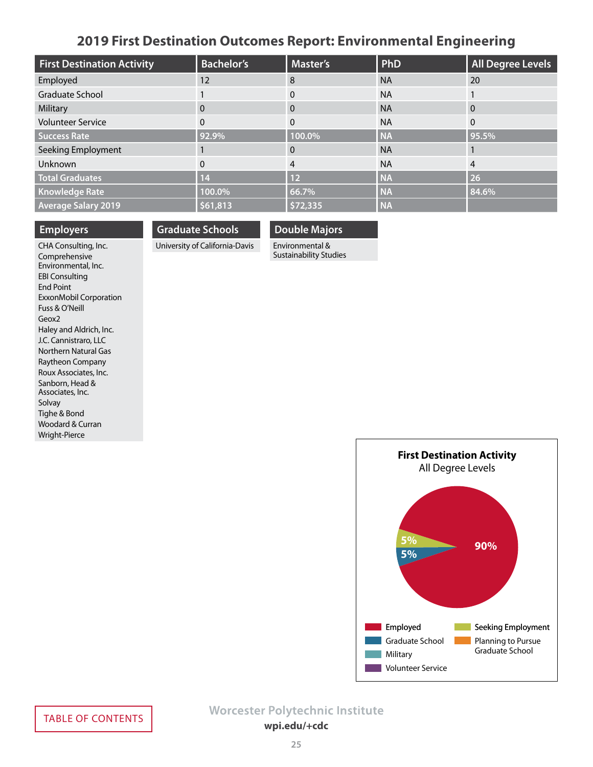### **2019 First Destination Outcomes Report: Environmental Engineering**

<span id="page-24-0"></span>

| <b>First Destination Activity</b> | <b>Bachelor's</b> | <b>Master's</b> | PhD       | All Degree Levels |
|-----------------------------------|-------------------|-----------------|-----------|-------------------|
| Employed                          | 12                | 8               | <b>NA</b> | 20                |
| <b>Graduate School</b>            |                   | 0               | <b>NA</b> |                   |
| Military                          | $\mathbf{0}$      | 0               | <b>NA</b> | $\overline{0}$    |
| <b>Volunteer Service</b>          | $\Omega$          | $\Omega$        | <b>NA</b> | $\mathbf{0}$      |
| <b>Success Rate</b>               | 92.9%             | 100.0%          | <b>NA</b> | 95.5%             |
| Seeking Employment                |                   | 0               | <b>NA</b> |                   |
| Unknown                           | $\Omega$          | 4               | <b>NA</b> | $\overline{4}$    |
| <b>Total Graduates</b>            | 14                | 12              | <b>NA</b> | 26                |
| <b>Knowledge Rate</b>             | 100.0%            | 66.7%           | <b>NA</b> | 84.6%             |
| <b>Average Salary 2019</b>        | \$61,813          | \$72,335        | <b>NA</b> |                   |

#### **Employers**

**Graduate Schools**

### **Double Majors**

University of California-Davis

Environmental & Sustainability Studies

CHA Consulting, Inc. Comprehensive Environmental, Inc. EBI Consulting End Point ExxonMobil Corporation Fuss & O'Neill Geox2 Haley and Aldrich, Inc. J.C. Cannistraro, LLC Northern Natural Gas Raytheon Company Roux Associates, Inc. Sanborn, Head & Associates, Inc. Solvay Tighe & Bond Woodard & Curran Wright-Pierce

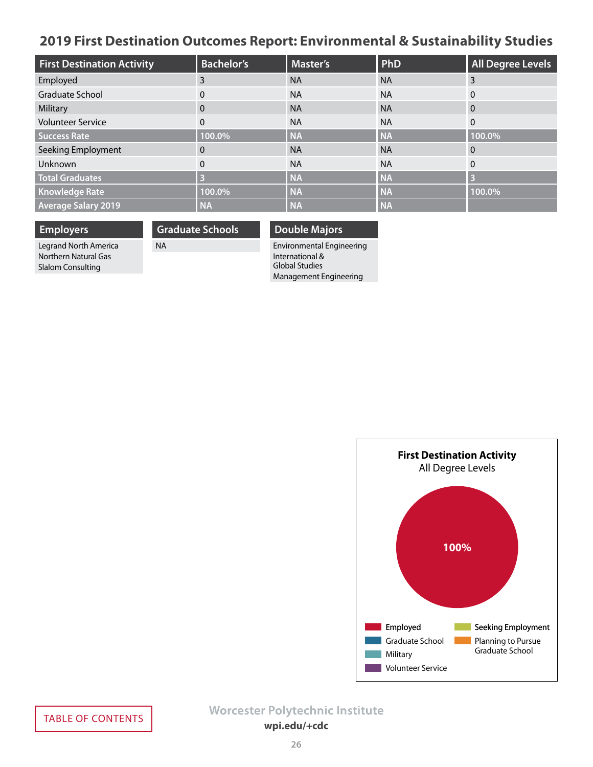# <span id="page-25-0"></span>**2019 First Destination Outcomes Report: Environmental & Sustainability Studies**

| <b>First Destination Activity</b> | <b>Bachelor's</b> | <b>Master's</b> | PhD       | <b>All Degree Levels</b> |
|-----------------------------------|-------------------|-----------------|-----------|--------------------------|
| Employed                          | 3                 | <b>NA</b>       | <b>NA</b> | 3                        |
| <b>Graduate School</b>            | $\Omega$          | <b>NA</b>       | <b>NA</b> | $\Omega$                 |
| Military                          | 0                 | <b>NA</b>       | <b>NA</b> | $\Omega$                 |
| <b>Volunteer Service</b>          | 0                 | <b>NA</b>       | <b>NA</b> | $\Omega$                 |
| <b>Success Rate</b>               | 100.0%            | <b>NA</b>       | <b>NA</b> | 100.0%                   |
| Seeking Employment                | 0                 | <b>NA</b>       | <b>NA</b> | $\overline{0}$           |
| Unknown                           | $\Omega$          | <b>NA</b>       | <b>NA</b> | $\Omega$                 |
| <b>Total Graduates</b>            |                   | <b>NA</b>       | <b>NA</b> | 3                        |
| <b>Knowledge Rate</b>             | 100.0%            | <b>NA</b>       | <b>NA</b> | 100.0%                   |
| <b>Average Salary 2019</b>        | <b>NA</b>         | <b>NA</b>       | <b>NA</b> |                          |

**Employers** Legrand North America Northern Natural Gas Slalom Consulting

**Graduate Schools**

NA

### **Double Majors**

Environmental Engineering International & Global Studies Management Engineering

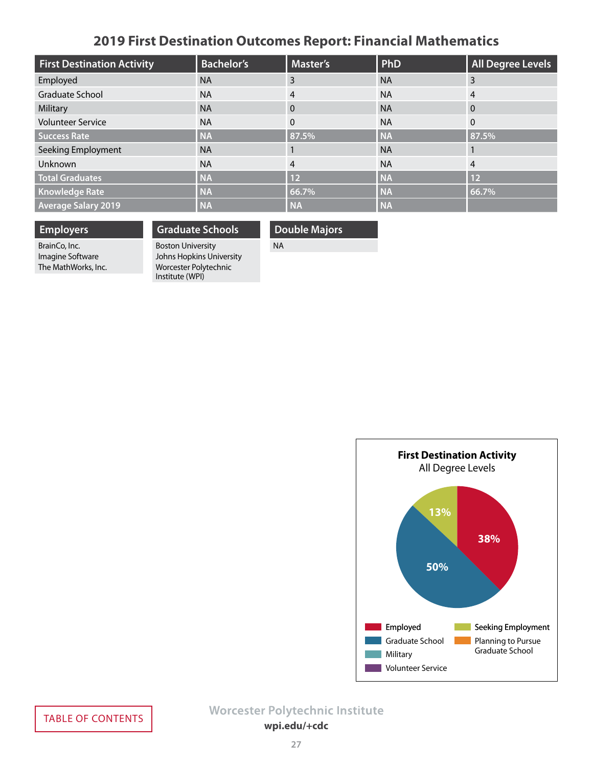# **2019 First Destination Outcomes Report: Financial Mathematics**

<span id="page-26-0"></span>

| <b>First Destination Activity</b> | <b>Bachelor's</b> | Master's       | PhD       | <b>All Degree Levels</b> |
|-----------------------------------|-------------------|----------------|-----------|--------------------------|
| Employed                          | <b>NA</b>         | 3              | <b>NA</b> | 3                        |
| Graduate School                   | <b>NA</b>         | $\overline{4}$ | <b>NA</b> | 4                        |
| Military                          | <b>NA</b>         | $\Omega$       | <b>NA</b> | $\overline{0}$           |
| <b>Volunteer Service</b>          | <b>NA</b>         | $\mathbf{0}$   | <b>NA</b> | $\mathbf{0}$             |
| <b>Success Rate</b>               | <b>NA</b>         | 87.5%          | <b>NA</b> | 87.5%                    |
| Seeking Employment                | <b>NA</b>         |                | <b>NA</b> |                          |
| Unknown                           | <b>NA</b>         | 4              | <b>NA</b> | $\overline{4}$           |
| <b>Total Graduates</b>            | <b>NA</b>         | 12             | <b>NA</b> | 12                       |
| <b>Knowledge Rate</b>             | <b>NA</b>         | 66.7%          | <b>NA</b> | 66.7%                    |
| <b>Average Salary 2019</b>        | <b>NA</b>         | <b>NA</b>      | <b>NA</b> |                          |

### **Employers**

BrainCo, Inc. Imagine Software The MathWorks, Inc.

### **Graduate Schools**

Boston University Johns Hopkins University Worcester Polytechnic Institute (WPI)

### **Double Majors**

NA

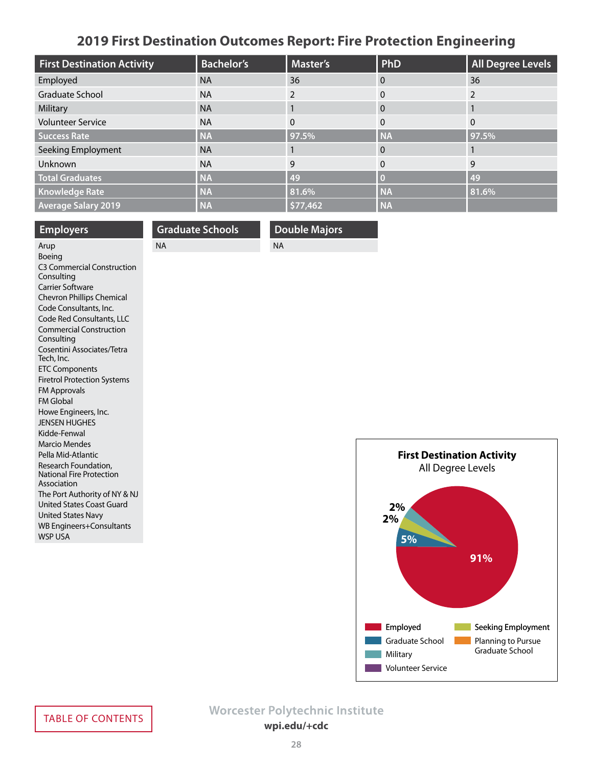# **2019 First Destination Outcomes Report: Fire Protection Engineering**

<span id="page-27-0"></span>

| <b>First Destination Activity</b> | <b>Bachelor's</b> | <b>Master's</b> | <b>PhD</b> | <b>All Degree Levels</b> |
|-----------------------------------|-------------------|-----------------|------------|--------------------------|
| Employed                          | <b>NA</b>         | 36              | $\Omega$   | 36                       |
| Graduate School                   | <b>NA</b>         |                 | 0          |                          |
| Military                          | <b>NA</b>         |                 | $\Omega$   |                          |
| <b>Volunteer Service</b>          | <b>NA</b>         | $\Omega$        | $\Omega$   | $\Omega$                 |
| <b>Success Rate</b>               | <b>NA</b>         | 97.5%           | <b>NA</b>  | 97.5%                    |
| Seeking Employment                | <b>NA</b>         |                 | 0          |                          |
| Unknown                           | <b>NA</b>         | 9               | $\Omega$   | 9                        |
| <b>Total Graduates</b>            | <b>NA</b>         | 49              |            | 49                       |
| <b>Knowledge Rate</b>             | <b>NA</b>         | 81.6%           | <b>NA</b>  | 81.6%                    |
| <b>Average Salary 2019</b>        | <b>NA</b>         | \$77,462        | <b>NA</b>  |                          |

| <b>Employers</b>                                                  | <b>Graduate Schools</b> | <b>Double Majors</b> |                         |
|-------------------------------------------------------------------|-------------------------|----------------------|-------------------------|
| Arup                                                              | <b>NA</b>               | <b>NA</b>            |                         |
| Boeing                                                            |                         |                      |                         |
| <b>C3 Commercial Construction</b>                                 |                         |                      |                         |
| Consulting                                                        |                         |                      |                         |
| <b>Carrier Software</b>                                           |                         |                      |                         |
| Chevron Phillips Chemical                                         |                         |                      |                         |
| Code Consultants, Inc.                                            |                         |                      |                         |
| Code Red Consultants, LLC                                         |                         |                      |                         |
| <b>Commercial Construction</b><br>Consulting                      |                         |                      |                         |
| Cosentini Associates/Tetra<br>Tech, Inc.                          |                         |                      |                         |
| <b>ETC Components</b>                                             |                         |                      |                         |
| <b>Firetrol Protection Systems</b>                                |                         |                      |                         |
| <b>FM Approvals</b>                                               |                         |                      |                         |
| <b>FM Global</b>                                                  |                         |                      |                         |
| Howe Engineers, Inc.                                              |                         |                      |                         |
| <b>JENSEN HUGHES</b>                                              |                         |                      |                         |
| Kidde-Fenwal                                                      |                         |                      |                         |
| <b>Marcio Mendes</b>                                              |                         |                      |                         |
| Pella Mid-Atlantic                                                |                         |                      |                         |
| Research Foundation,                                              |                         |                      |                         |
| <b>National Fire Protection</b><br>Association                    |                         |                      |                         |
|                                                                   |                         |                      |                         |
| The Port Authority of NY & NJ<br><b>United States Coast Guard</b> |                         |                      |                         |
| <b>United States Navy</b>                                         |                         |                      |                         |
| <b>WB Engineers+Consultants</b>                                   |                         |                      | $\overline{\mathbf{2}}$ |
| <b>WSP USA</b>                                                    |                         |                      |                         |
|                                                                   |                         |                      |                         |

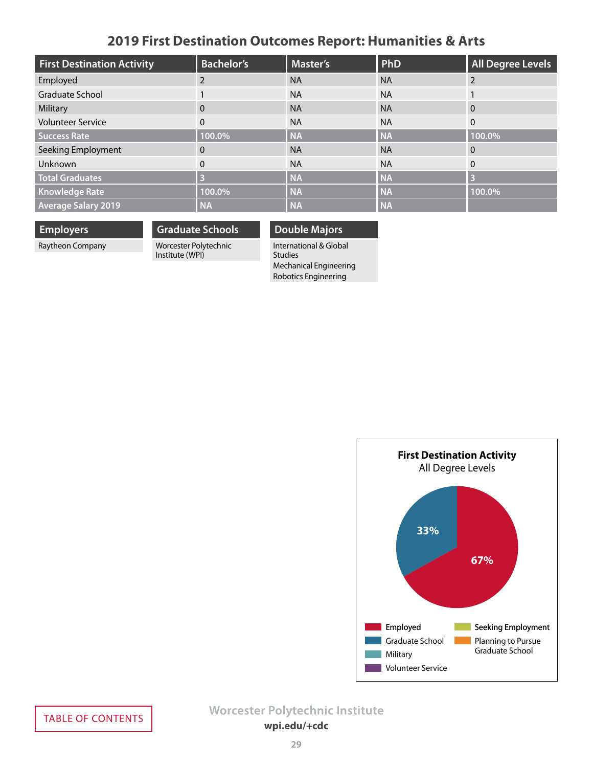# **2019 First Destination Outcomes Report: Humanities & Arts**

<span id="page-28-0"></span>

| <b>First Destination Activity</b> | <b>Bachelor's</b> | <b>Master's</b> | PhD       | <b>All Degree Levels</b> |
|-----------------------------------|-------------------|-----------------|-----------|--------------------------|
| Employed                          |                   | <b>NA</b>       | <b>NA</b> | $\mathcal{P}$            |
| <b>Graduate School</b>            |                   | <b>NA</b>       | <b>NA</b> |                          |
| Military                          | 0                 | <b>NA</b>       | <b>NA</b> | $\Omega$                 |
| <b>Volunteer Service</b>          | 0                 | <b>NA</b>       | <b>NA</b> | $\Omega$                 |
| <b>Success Rate</b>               | 100.0%            | <b>NA</b>       | <b>NA</b> | 100.0%                   |
| Seeking Employment                | 0                 | <b>NA</b>       | <b>NA</b> | 0                        |
| Unknown                           | $\Omega$          | <b>NA</b>       | <b>NA</b> | $\overline{0}$           |
| <b>Total Graduates</b>            |                   | <b>NA</b>       | <b>NA</b> | B                        |
| <b>Knowledge Rate</b>             | 100.0%            | <b>NA</b>       | <b>NA</b> | 100.0%                   |
| <b>Average Salary 2019</b>        | <b>NA</b>         | <b>NA</b>       | <b>NA</b> |                          |

### **Employers**

Raytheon Company

### **Graduate Schools** Worcester Polytechnic

Institute (WPI)

### **Double Majors**

International & Global Studies Mechanical Engineering Robotics Engineering

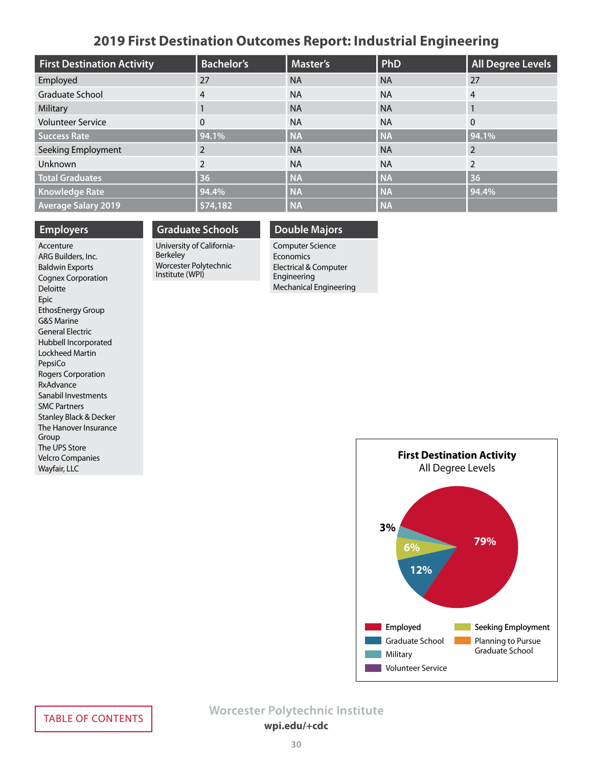### **2019 First Destination Outcomes Report: Industrial Engineering**

<span id="page-29-0"></span>

| <b>First Destination Activity</b> | <b>Bachelor's</b> | <b>Master's</b> | PhD       | <b>All Degree Levels</b> |
|-----------------------------------|-------------------|-----------------|-----------|--------------------------|
| Employed                          | 27                | <b>NA</b>       | <b>NA</b> | 27                       |
| <b>Graduate School</b>            | $\overline{4}$    | <b>NA</b>       | <b>NA</b> | 4                        |
| Military                          |                   | <b>NA</b>       | <b>NA</b> |                          |
| <b>Volunteer Service</b>          | $\Omega$          | <b>NA</b>       | <b>NA</b> | $\mathbf{0}$             |
| <b>Success Rate</b>               | 94.1%             | <b>NA</b>       | <b>NA</b> | 94.1%                    |
| Seeking Employment                | 2                 | <b>NA</b>       | <b>NA</b> | 2                        |
| Unknown                           | $\overline{2}$    | <b>NA</b>       | <b>NA</b> | $\overline{2}$           |
| <b>Total Graduates</b>            | 36                | <b>NA</b>       | <b>NA</b> | 36                       |
| <b>Knowledge Rate</b>             | 94.4%             | <b>NA</b>       | <b>NA</b> | 94.4%                    |
| <b>Average Salary 2019</b>        | \$74,182          | <b>NA</b>       | <b>NA</b> |                          |

#### **Employers**

Accenture ARG Builders, Inc. Baldwin Exports Cognex Corporation Deloitte Epic EthosEnergy Group G&S Marine General Electric Hubbell Incorporated Lockheed Martin PepsiCo Rogers Corporation RxAdvance Sanabil Investments SMC Partners Stanley Black & Decker The Hanover Insurance Group The UPS Store Velcro Companies Wayfair, LLC

### **Graduate Schools**

University of California-Berkeley Worcester Polytechnic Institute (WPI)

### **Double Majors**

Computer Science Economics Electrical & Computer Engineering Mechanical Engineering

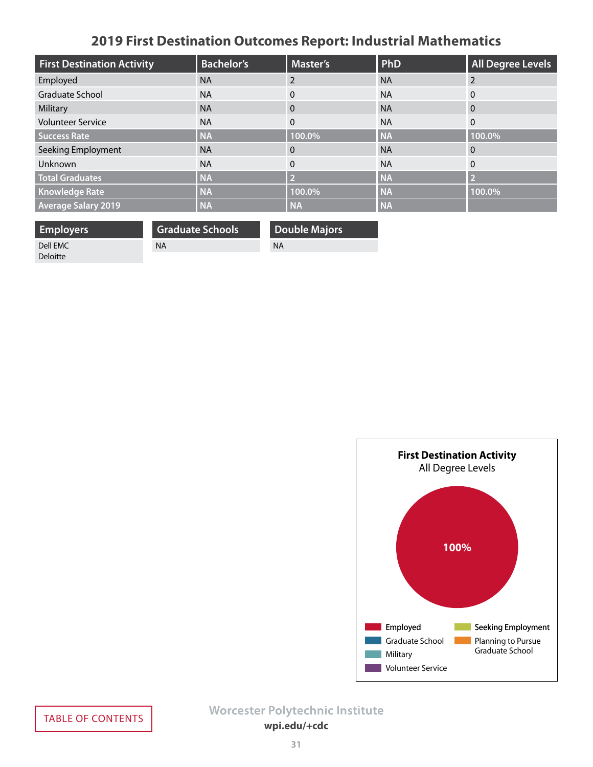# **2019 First Destination Outcomes Report: Industrial Mathematics**

<span id="page-30-0"></span>

| <b>First Destination Activity</b> | <b>Bachelor's</b> | <b>Master's</b> | PhD       | <b>All Degree Levels</b> |
|-----------------------------------|-------------------|-----------------|-----------|--------------------------|
| Employed                          | <b>NA</b>         |                 | <b>NA</b> | 2                        |
| <b>Graduate School</b>            | <b>NA</b>         | $\mathbf{0}$    | <b>NA</b> | 0                        |
| Military                          | <b>NA</b>         | $\Omega$        | <b>NA</b> | $\Omega$                 |
| <b>Volunteer Service</b>          | <b>NA</b>         | $\mathbf{0}$    | <b>NA</b> | $\Omega$                 |
| <b>Success Rate</b>               | <b>NA</b>         | 100.0%          | <b>NA</b> | 100.0%                   |
| Seeking Employment                | <b>NA</b>         | $\Omega$        | <b>NA</b> | $\Omega$                 |
| Unknown                           | <b>NA</b>         | $\Omega$        | <b>NA</b> | $\Omega$                 |
| <b>Total Graduates</b>            | <b>NA</b>         | D               | <b>NA</b> | 5                        |
| <b>Knowledge Rate</b>             | <b>NA</b>         | 100.0%          | <b>NA</b> | 100.0%                   |
| <b>Average Salary 2019</b>        | <b>NA</b>         | <b>NA</b>       | <b>NA</b> |                          |

| <b>Employers</b> | <b>Graduate Schools</b> | <b>Double Majors</b> |
|------------------|-------------------------|----------------------|
| Dell EMC         | <b>NA</b>               | NA                   |
| <b>Deloitte</b>  |                         |                      |

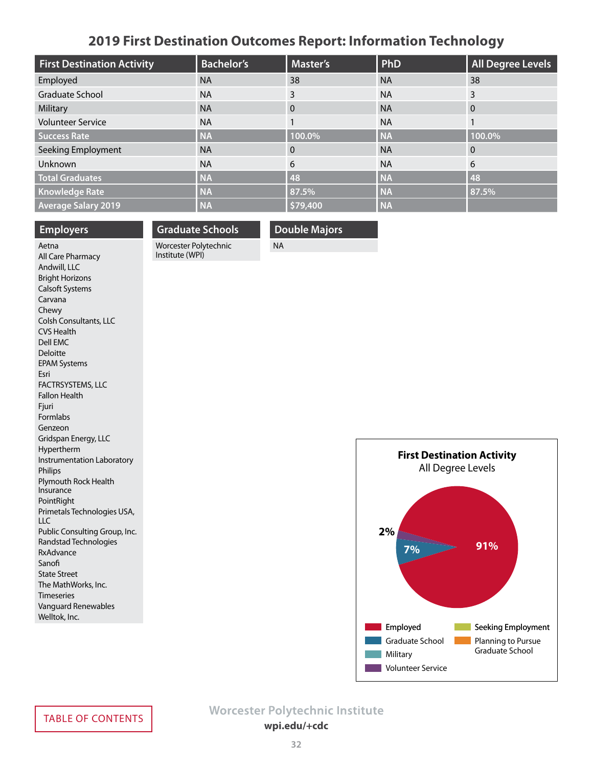### **2019 First Destination Outcomes Report: Information Technology**

<span id="page-31-0"></span>

| <b>First Destination Activity</b> | <b>Bachelor's</b> | Master's | PhD       | All Degree Levels |
|-----------------------------------|-------------------|----------|-----------|-------------------|
| Employed                          | <b>NA</b>         | 38       | <b>NA</b> | 38                |
| Graduate School                   | <b>NA</b>         | 3        | <b>NA</b> | 3                 |
| Military                          | <b>NA</b>         | $\Omega$ | <b>NA</b> | $\overline{0}$    |
| <b>Volunteer Service</b>          | <b>NA</b>         |          | <b>NA</b> |                   |
| Success Rate                      | <b>NA</b>         | 100.0%   | <b>NA</b> | 100.0%            |
| Seeking Employment                | <b>NA</b>         | $\Omega$ | <b>NA</b> | $\overline{0}$    |
| Unknown                           | <b>NA</b>         | 6        | <b>NA</b> | 6                 |
| <b>Total Graduates</b>            | <b>NA</b>         | 48       | <b>NA</b> | 48                |
| <b>Knowledge Rate</b>             | <b>NA</b>         | 87.5%    | <b>NA</b> | 87.5%             |
| <b>Average Salary 2019</b>        | <b>NA</b>         | \$79,400 | <b>NA</b> |                   |

#### **Employers**

**Graduate Schools**

Worcester Polytechnic Institute (WPI)

**Double Majors**

NA

Aetna All Care Pharmacy Andwill, LLC Bright Horizons Calsoft Systems Carvana Chewy Colsh Consultants, LLC CVS Health Dell EMC Deloitte EPAM Systems Esri FACTRSYSTEMS, LLC Fallon Health Fjuri Formlabs Genzeon Gridspan Energy, LLC Hypertherm Instrumentation Laboratory Philips Plymouth Rock Health **Insurance** PointRight Primetals Technologies USA, LLC Public Consulting Group, Inc. Randstad Technologies RxAdvance Sanofi State Street The MathWorks, Inc. Timeseries Vanguard Renewables Welltok, Inc.

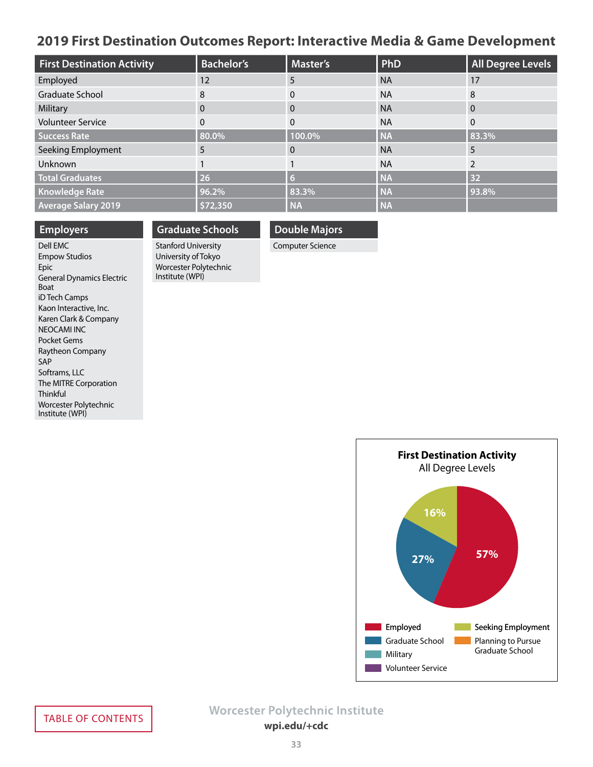### <span id="page-32-0"></span>**2019 First Destination Outcomes Report: Interactive Media & Game Development**

| <b>First Destination Activity</b> | <b>Bachelor's</b> | Master's  | PhD       | <b>All Degree Levels</b> |
|-----------------------------------|-------------------|-----------|-----------|--------------------------|
| Employed                          | 12                | 5         | <b>NA</b> | 17                       |
| Graduate School                   | 8                 | $\Omega$  | <b>NA</b> | 8                        |
| Military                          | $\Omega$          | 0         | <b>NA</b> | $\Omega$                 |
| <b>Volunteer Service</b>          | 0                 | 0         | <b>NA</b> | 0                        |
| <b>Success Rate</b>               | 80.0%             | 100.0%    | <b>NA</b> | 83.3%                    |
| Seeking Employment                | 5                 | $\Omega$  | <b>NA</b> | 5                        |
| Unknown                           |                   |           | <b>NA</b> |                          |
| <b>Total Graduates</b>            | 26                | 6         | <b>NA</b> | 32                       |
| <b>Knowledge Rate</b>             | 96.2%             | 83.3%     | <b>NA</b> | 93.8%                    |
| <b>Average Salary 2019</b>        | \$72,350          | <b>NA</b> | <b>NA</b> |                          |

#### **Employers**

Dell EMC Empow Studios Epic General Dynamics Electric Boat iD Tech Camps Kaon Interactive, Inc. Karen Clark & Company NEOCAMI INC Pocket Gems Raytheon Company SAP Softrams, LLC The MITRE Corporation Thinkful Worcester Polytechnic Institute (WPI)

# **Graduate Schools**

Stanford University University of Tokyo Worcester Polytechnic Institute (WPI)

**Double Majors**

Computer Science

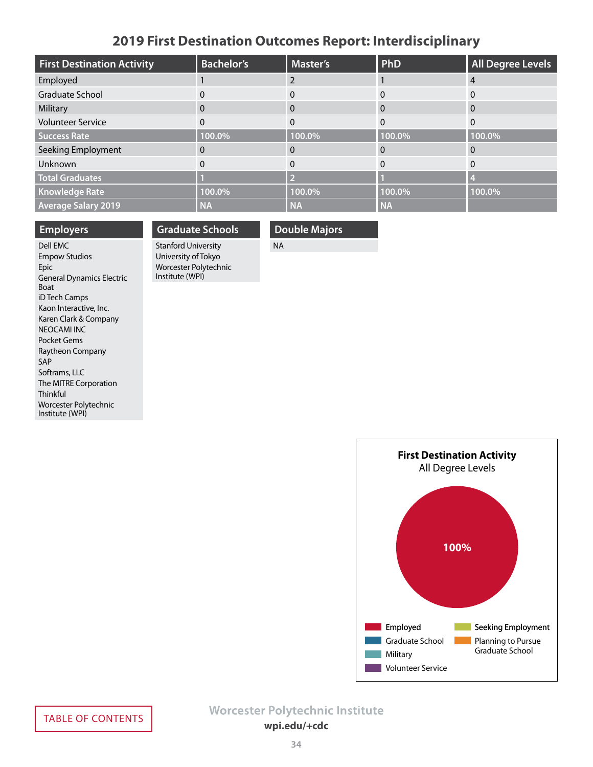### **2019 First Destination Outcomes Report: Interdisciplinary**

<span id="page-33-0"></span>

| <b>First Destination Activity</b> | <b>Bachelor's</b> | <b>Master's</b> | PhD       | All Degree Levels |
|-----------------------------------|-------------------|-----------------|-----------|-------------------|
| Employed                          |                   |                 |           |                   |
| Graduate School                   | 0                 |                 |           | $\Omega$          |
| Military                          | 0                 | 0               |           | $\overline{0}$    |
| <b>Volunteer Service</b>          | 0                 |                 |           | $\Omega$          |
| Success Rate                      | 100.0%            | 100.0%          | 100.0%    | 100.0%            |
| Seeking Employment                | 0                 |                 |           | $\Omega$          |
| Unknown                           | $\Omega$          |                 |           | $\Omega$          |
| <b>Total Graduates</b>            |                   |                 |           |                   |
| <b>Knowledge Rate</b>             | 100.0%            | 100.0%          | 100.0%    | 100.0%            |
| <b>Average Salary 2019</b>        | <b>NA</b>         | <b>NA</b>       | <b>NA</b> |                   |

### **Employers**

Dell EMC Empow Studios Epic General Dynamics Electric Boat iD Tech Camps Kaon Interactive, Inc. Karen Clark & Company NEOCAMI INC Pocket Gems Raytheon Company SAP Softrams, LLC The MITRE Corporation Thinkful Worcester Polytechnic Institute (WPI)

### **Graduate Schools** Stanford University

University of Tokyo Worcester Polytechnic Institute (WPI)

### **Double Majors**

NA

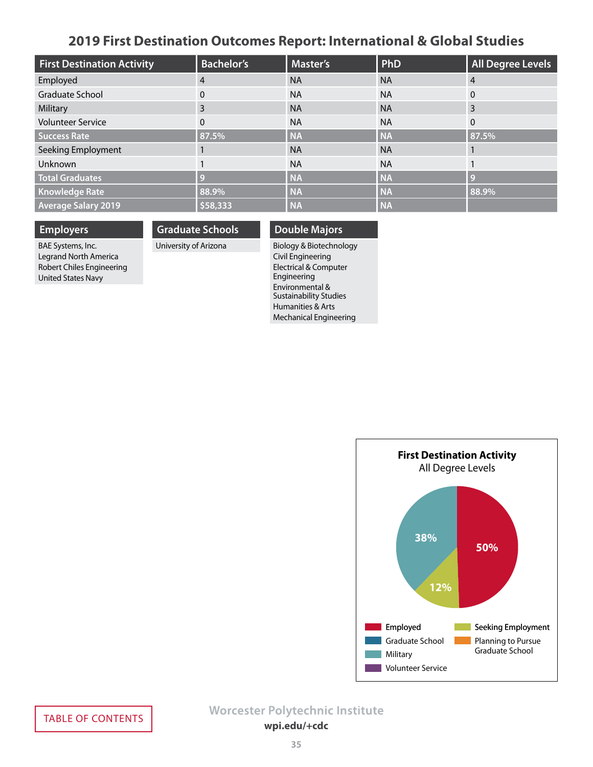### **2019 First Destination Outcomes Report: International & Global Studies**

<span id="page-34-0"></span>

| <b>First Destination Activity</b> | <b>Bachelor's</b> | <b>Master's</b> | PhD       | <b>All Degree Levels</b> |
|-----------------------------------|-------------------|-----------------|-----------|--------------------------|
| Employed                          | $\overline{4}$    | <b>NA</b>       | <b>NA</b> | $\overline{4}$           |
| Graduate School                   | 0                 | <b>NA</b>       | <b>NA</b> | $\Omega$                 |
| Military                          | 3                 | <b>NA</b>       | <b>NA</b> | 3                        |
| <b>Volunteer Service</b>          | $\Omega$          | <b>NA</b>       | <b>NA</b> | $\Omega$                 |
| <b>Success Rate</b>               | 87.5%             | <b>NA</b>       | <b>NA</b> | 87.5%                    |
| Seeking Employment                |                   | <b>NA</b>       | <b>NA</b> |                          |
| Unknown                           |                   | <b>NA</b>       | <b>NA</b> |                          |
| <b>Total Graduates</b>            | $\bullet$         | <b>NA</b>       | <b>NA</b> | $\bullet$                |
| <b>Knowledge Rate</b>             | 88.9%             | <b>NA</b>       | <b>NA</b> | 88.9%                    |
| <b>Average Salary 2019</b>        | \$58,333          | <b>NA</b>       | <b>NA</b> |                          |

**Employers**

BAE Systems, Inc. Legrand North America Robert Chiles Engineering United States Navy

**Graduate Schools**

University of Arizona

### **Double Majors**

Biology & Biotechnology Civil Engineering Electrical & Computer Engineering Environmental & Sustainability Studies Humanities & Arts Mechanical Engineering

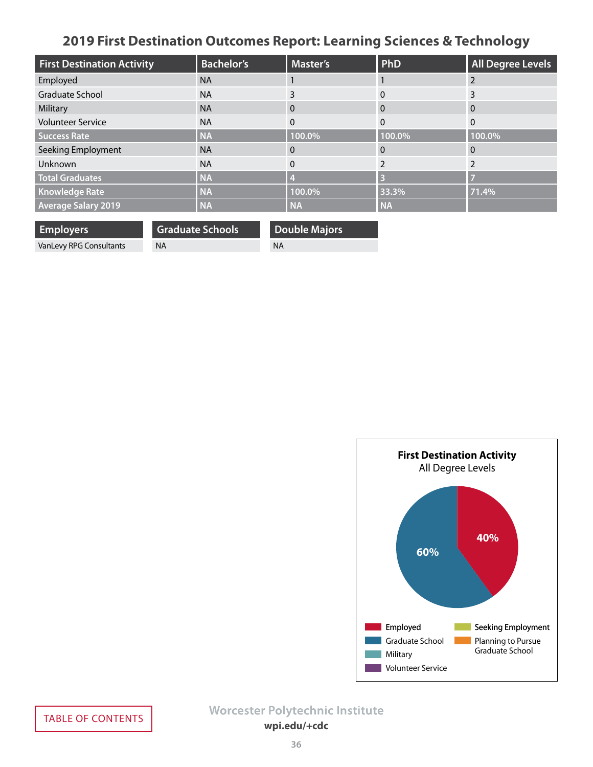# **2019 First Destination Outcomes Report: Learning Sciences & Technology**

<span id="page-35-0"></span>

| <b>First Destination Activity</b> | <b>Bachelor's</b> | Master's  | PhD          | <b>All Degree Levels</b> |
|-----------------------------------|-------------------|-----------|--------------|--------------------------|
| Employed                          | <b>NA</b>         |           |              |                          |
| Graduate School                   | <b>NA</b>         |           | 0            |                          |
| Military                          | <b>NA</b>         | 0         | $\Omega$     | $\overline{0}$           |
| <b>Volunteer Service</b>          | <b>NA</b>         | $\Omega$  | $\mathbf{0}$ | $\Omega$                 |
| <b>Success Rate</b>               | <b>NA</b>         | 100.0%    | 100.0%       | 100.0%                   |
| Seeking Employment                | <b>NA</b>         | $\Omega$  | $\Omega$     | $\Omega$                 |
| Unknown                           | <b>NA</b>         | $\Omega$  |              | ำ                        |
| <b>Total Graduates</b>            | <b>NA</b>         |           | B            |                          |
| Knowledge Rate                    | <b>NA</b>         | 100.0%    | 33.3%        | 71.4%                    |
| <b>Average Salary 2019</b>        | <b>NA</b>         | <b>NA</b> | <b>NA</b>    |                          |

| <b>Employers</b>        | <b>Graduate Schools</b> | <b>Double Majors</b> |
|-------------------------|-------------------------|----------------------|
| VanLevy RPG Consultants | <b>NA</b>               | <b>NA</b>            |
|                         |                         |                      |

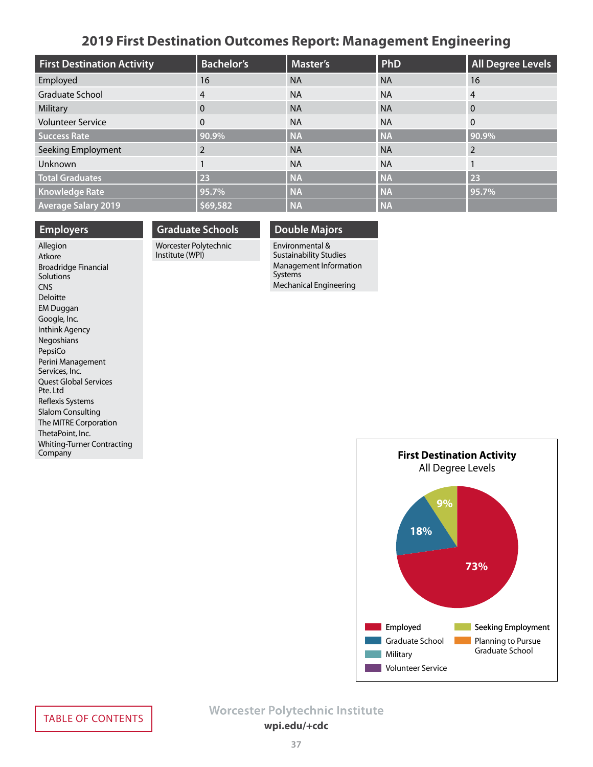### **2019 First Destination Outcomes Report: Management Engineering**

<span id="page-36-0"></span>

| <b>First Destination Activity</b> | <b>Bachelor's</b> | <b>Master's</b> | PhD       | <b>All Degree Levels</b> |
|-----------------------------------|-------------------|-----------------|-----------|--------------------------|
| Employed                          | 16                | <b>NA</b>       | <b>NA</b> | 16                       |
| Graduate School                   | $\overline{4}$    | <b>NA</b>       | <b>NA</b> | 4                        |
| Military                          | $\Omega$          | <b>NA</b>       | <b>NA</b> | $\mathbf{0}$             |
| <b>Volunteer Service</b>          | $\Omega$          | <b>NA</b>       | <b>NA</b> | $\Omega$                 |
| <b>Success Rate</b>               | 90.9%             | <b>NA</b>       | <b>NA</b> | 90.9%                    |
| Seeking Employment                | 2                 | <b>NA</b>       | <b>NA</b> |                          |
| Unknown                           |                   | <b>NA</b>       | <b>NA</b> |                          |
| <b>Total Graduates</b>            | 23                | <b>NA</b>       | <b>NA</b> | 23                       |
| <b>Knowledge Rate</b>             | 95.7%             | <b>NA</b>       | <b>NA</b> | 95.7%                    |
| <b>Average Salary 2019</b>        | \$69,582          | <b>NA</b>       | <b>NA</b> |                          |

#### **Employers**

#### Allegion Atkore Broadridge Financial **Solutions CNS** Deloitte EM Duggan Google, Inc. Inthink Agency Negoshians PepsiCo Perini Management Services, Inc. Quest Global Services Pte. Ltd Reflexis Systems Slalom Consulting The MITRE Corporation ThetaPoint, Inc. Whiting-Turner Contracting **Company**

# **Graduate Schools**

Worcester Polytechnic Institute (WPI)

### **Double Majors**

Environmental & Sustainability Studies Management Information Systems Mechanical Engineering

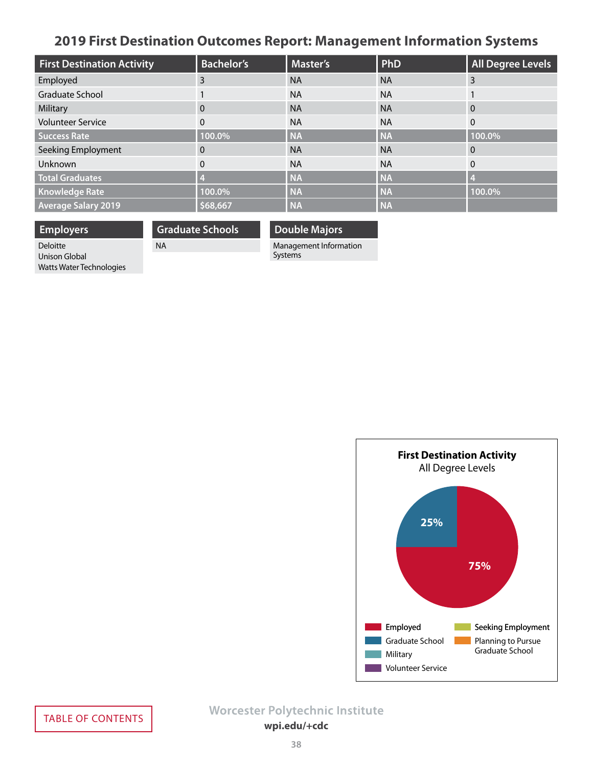# <span id="page-37-0"></span>**2019 First Destination Outcomes Report: Management Information Systems**

| <b>First Destination Activity</b> | <b>Bachelor's</b> | <b>Master's</b> | PhD       | <b>All Degree Levels</b> |
|-----------------------------------|-------------------|-----------------|-----------|--------------------------|
| Employed                          | 3                 | <b>NA</b>       | <b>NA</b> | 3                        |
| Graduate School                   |                   | <b>NA</b>       | <b>NA</b> |                          |
| Military                          | $\mathbf{0}$      | <b>NA</b>       | <b>NA</b> | $\Omega$                 |
| <b>Volunteer Service</b>          | $\Omega$          | <b>NA</b>       | <b>NA</b> | $\Omega$                 |
| <b>Success Rate</b>               | 100.0%            | <b>NA</b>       | <b>NA</b> | 100.0%                   |
| Seeking Employment                | 0                 | <b>NA</b>       | <b>NA</b> | $\overline{0}$           |
| Unknown                           | $\mathbf{0}$      | <b>NA</b>       | <b>NA</b> | $\Omega$                 |
| <b>Total Graduates</b>            |                   | <b>NA</b>       | <b>NA</b> |                          |
| <b>Knowledge Rate</b>             | 100.0%            | <b>NA</b>       | <b>NA</b> | 100.0%                   |
| <b>Average Salary 2019</b>        | \$68,667          | <b>NA</b>       | <b>NA</b> |                          |

**Employers** Deloitte

**Graduate Schools**

NA

**Double Majors**

Management Information Systems

Unison Global Watts Water Technologies

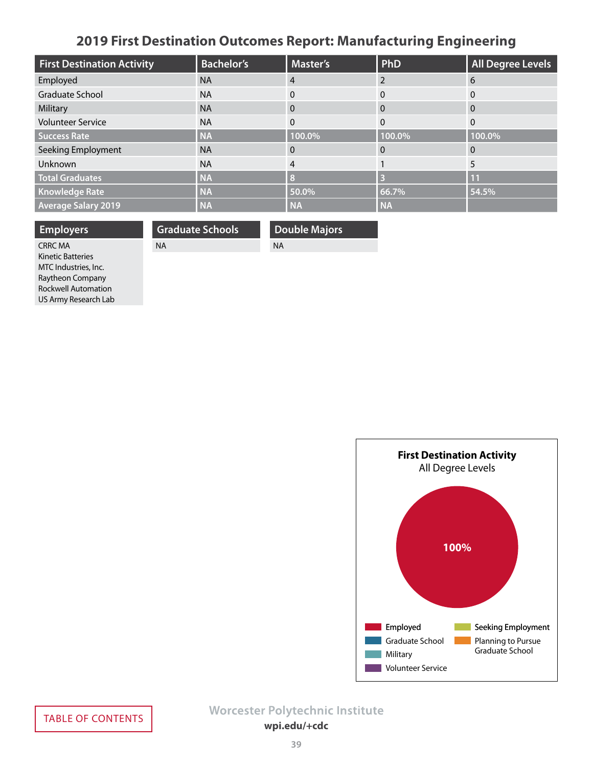# **2019 First Destination Outcomes Report: Manufacturing Engineering**

<span id="page-38-0"></span>

| <b>First Destination Activity</b> | <b>Bachelor's</b> | Master's  | PhD       | <b>All Degree Levels</b> |
|-----------------------------------|-------------------|-----------|-----------|--------------------------|
| Employed                          | <b>NA</b>         | 4         |           | 6                        |
| Graduate School                   | <b>NA</b>         | $\Omega$  | $\Omega$  | 0                        |
| Military                          | <b>NA</b>         | 0         | $\Omega$  | $\overline{0}$           |
| <b>Volunteer Service</b>          | <b>NA</b>         | $\Omega$  | $\Omega$  | $\Omega$                 |
| <b>Success Rate</b>               | <b>NA</b>         | 100.0%    | 100.0%    | 100.0%                   |
| Seeking Employment                | <b>NA</b>         | 0         | $\Omega$  | $\mathbf 0$              |
| Unknown                           | <b>NA</b>         | 4         |           | 5                        |
| <b>Total Graduates</b>            | <b>NA</b>         | Я         | B         | 11                       |
| <b>Knowledge Rate</b>             | <b>NA</b>         | 50.0%     | 66.7%     | 54.5%                    |
| <b>Average Salary 2019</b>        | <b>NA</b>         | <b>NA</b> | <b>NA</b> |                          |

| <b>Employers</b>           | <b>Graduate Schools</b> | <b>Double Majors</b> |
|----------------------------|-------------------------|----------------------|
| <b>CRRC MA</b>             | <b>NA</b>               | <b>NA</b>            |
| <b>Kinetic Batteries</b>   |                         |                      |
| MTC Industries, Inc.       |                         |                      |
| Raytheon Company           |                         |                      |
| <b>Rockwell Automation</b> |                         |                      |
| US Army Research Lab       |                         |                      |

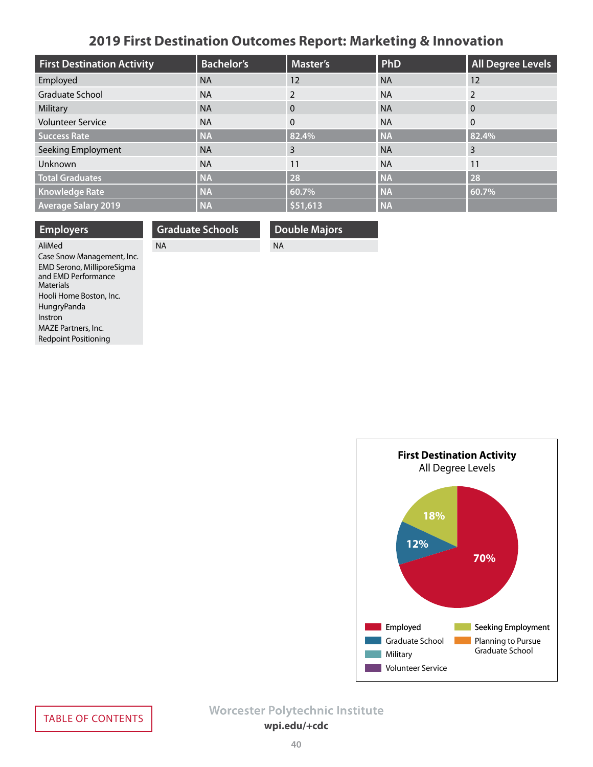# **2019 First Destination Outcomes Report: Marketing & Innovation**

<span id="page-39-0"></span>

| <b>First Destination Activity</b> | <b>Bachelor's</b> | <b>Master's</b> | PhD       | <b>All Degree Levels</b> |
|-----------------------------------|-------------------|-----------------|-----------|--------------------------|
| Employed                          | <b>NA</b>         | 12              | <b>NA</b> | 12                       |
| <b>Graduate School</b>            | <b>NA</b>         | 2               | <b>NA</b> | 2                        |
| Military                          | <b>NA</b>         | $\Omega$        | <b>NA</b> | $\Omega$                 |
| <b>Volunteer Service</b>          | <b>NA</b>         | $\mathbf{0}$    | <b>NA</b> | $\mathbf{0}$             |
| <b>Success Rate</b>               | <b>NA</b>         | 82.4%           | <b>NA</b> | 82.4%                    |
| Seeking Employment                | <b>NA</b>         | 3               | <b>NA</b> | 3                        |
| Unknown                           | <b>NA</b>         | 11              | <b>NA</b> | 11                       |
| <b>Total Graduates</b>            | <b>NA</b>         | 28              | <b>NA</b> | 28                       |
| <b>Knowledge Rate</b>             | <b>NA</b>         | 60.7%           | <b>NA</b> | 60.7%                    |
| <b>Average Salary 2019</b>        | <b>NA</b>         | \$51,613        | <b>NA</b> |                          |

| <b>Employers</b>                                  | <b>Graduate Schools</b> | <b>Double Majors</b> |
|---------------------------------------------------|-------------------------|----------------------|
| AliMed                                            | <b>NA</b>               | <b>NA</b>            |
| Case Snow Management, Inc.                        |                         |                      |
| EMD Serono, MilliporeSigma<br>and EMD Performance |                         |                      |
| <b>Materials</b>                                  |                         |                      |
| Hooli Home Boston, Inc.                           |                         |                      |
| HungryPanda                                       |                         |                      |

**First Destination Activity** All Degree Levels **18% 12%70%** Employed **Seeking Employment** Graduate School **Planning to Pursue** Graduate School **Tara** Military **Volunteer Service** 

Instron

MAZE Partners, Inc. Redpoint Positioning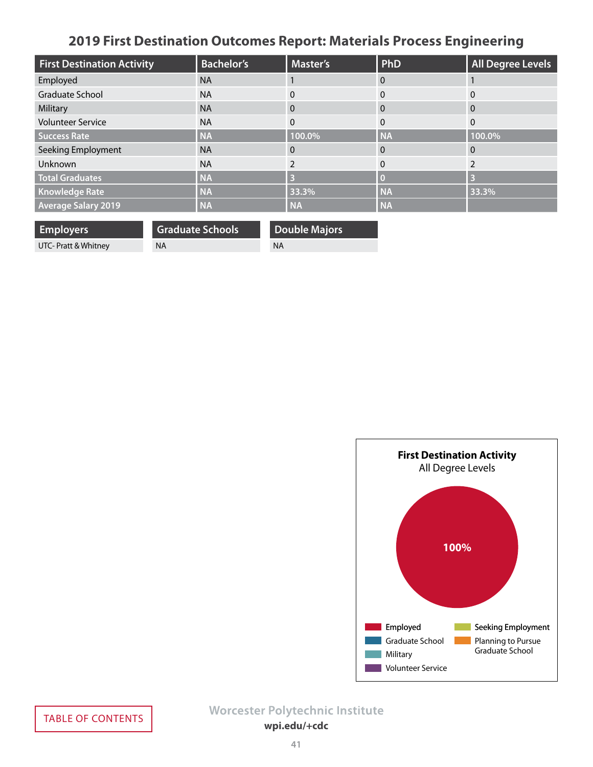# **2019 First Destination Outcomes Report: Materials Process Engineering**

<span id="page-40-0"></span>

| <b>First Destination Activity</b> | <b>Bachelor's</b> | <b>Master's</b> | <b>PhD</b> | <b>All Degree Levels</b> |
|-----------------------------------|-------------------|-----------------|------------|--------------------------|
| Employed                          | <b>NA</b>         |                 | $\Omega$   |                          |
| Graduate School                   | <b>NA</b>         | 0               | 0          | 0                        |
| Military                          | <b>NA</b>         | 0               | $\Omega$   | $\Omega$                 |
| <b>Volunteer Service</b>          | <b>NA</b>         | $\Omega$        | $\Omega$   | $\Omega$                 |
| <b>Success Rate</b>               | <b>NA</b>         | 100.0%          | <b>NA</b>  | 100.0%                   |
| Seeking Employment                | <b>NA</b>         | 0               | $\Omega$   | $\Omega$                 |
| Unknown                           | <b>NA</b>         |                 | $\Omega$   |                          |
| <b>Total Graduates</b>            | <b>NA</b>         |                 |            | B                        |
| <b>Knowledge Rate</b>             | <b>NA</b>         | 33.3%           | <b>NA</b>  | 33.3%                    |
| <b>Average Salary 2019</b>        | <b>NA</b>         | <b>NA</b>       | <b>NA</b>  |                          |

| <b>Employers</b>                  | <b>Graduate Schools</b> | <b>Double Majors</b> |
|-----------------------------------|-------------------------|----------------------|
| UTC- Pratt & Whitney<br><b>NA</b> |                         | <b>NA</b>            |

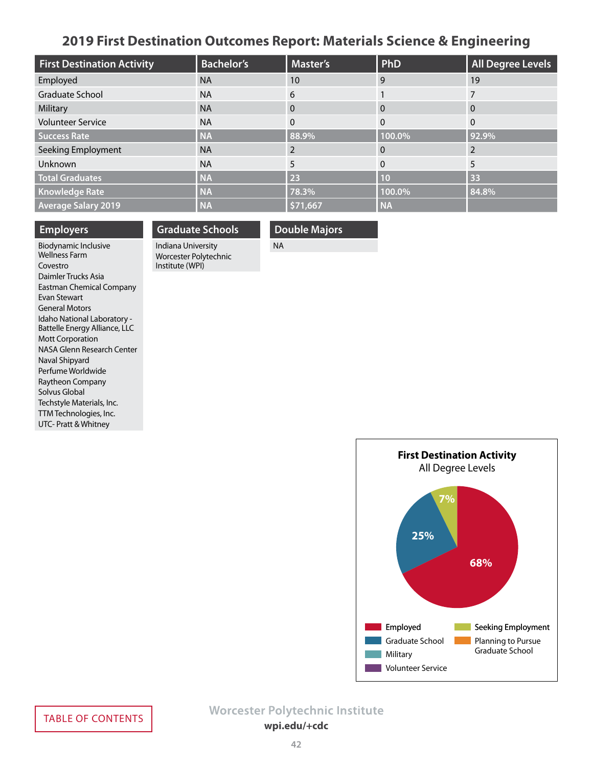### **2019 First Destination Outcomes Report: Materials Science & Engineering**

<span id="page-41-0"></span>

| <b>First Destination Activity</b> | <b>Bachelor's</b> | <b>Master's</b> | PhD       | All Degree Levels |
|-----------------------------------|-------------------|-----------------|-----------|-------------------|
| Employed                          | <b>NA</b>         | 10              | 9         | 19                |
| <b>Graduate School</b>            | <b>NA</b>         | 6               |           |                   |
| Military                          | <b>NA</b>         | 0               | $\Omega$  | $\overline{0}$    |
| <b>Volunteer Service</b>          | <b>NA</b>         | $\Omega$        | $\Omega$  | $\Omega$          |
| Success Rate                      | <b>NA</b>         | 88.9%           | 100.0%    | 92.9%             |
| Seeking Employment                | <b>NA</b>         |                 |           |                   |
| Unknown                           | <b>NA</b>         | 5               | $\Omega$  | 5                 |
| <b>Total Graduates</b>            | <b>NA</b>         | 23              | 10        | 33                |
| <b>Knowledge Rate</b>             | <b>NA</b>         | 78.3%           | 100.0%    | 84.8%             |
| <b>Average Salary 2019</b>        | <b>NA</b>         | \$71,667        | <b>NA</b> |                   |

#### **Employers**

Biodynamic Inclusive Wellness Farm Covestro Daimler Trucks Asia Eastman Chemical Company Evan Stewart General Motors Idaho National Laboratory - Battelle Energy Alliance, LLC Mott Corporation NASA Glenn Research Center Naval Shipyard Perfume Worldwide Raytheon Company Solvus Global Techstyle Materials, Inc. TTM Technologies, Inc. UTC- Pratt & Whitney

### **Graduate Schools** Indiana University

Worcester Polytechnic Institute (WPI)

### **Double Majors**

NA

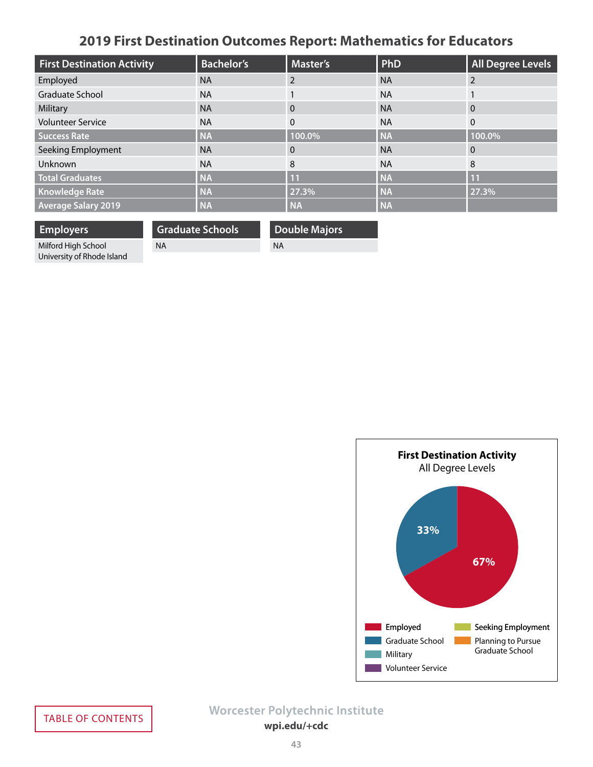# **2019 First Destination Outcomes Report: Mathematics for Educators**

<span id="page-42-0"></span>

| <b>First Destination Activity</b> | <b>Bachelor's</b> | <b>Master's</b> | PhD       | <b>All Degree Levels</b> |
|-----------------------------------|-------------------|-----------------|-----------|--------------------------|
| Employed                          | <b>NA</b>         |                 | <b>NA</b> | 2                        |
| <b>Graduate School</b>            | <b>NA</b>         |                 | <b>NA</b> |                          |
| Military                          | <b>NA</b>         | $\Omega$        | <b>NA</b> | $\Omega$                 |
| <b>Volunteer Service</b>          | <b>NA</b>         | $\Omega$        | <b>NA</b> | $\mathbf{0}$             |
| <b>Success Rate</b>               | <b>NA</b>         | 100.0%          | <b>NA</b> | 100.0%                   |
| Seeking Employment                | <b>NA</b>         | $\Omega$        | <b>NA</b> | $\Omega$                 |
| Unknown                           | <b>NA</b>         | 8               | <b>NA</b> | 8                        |
| <b>Total Graduates</b>            | <b>NA</b>         | 11              | <b>NA</b> | 11                       |
| <b>Knowledge Rate</b>             | <b>NA</b>         | 27.3%           | <b>NA</b> | 27.3%                    |
| <b>Average Salary 2019</b>        | <b>NA</b>         | <b>NA</b>       | <b>NA</b> |                          |

**Employers** Milford High School University of Rhode Island

NA

**Graduate Schools**

**Double Majors** NA

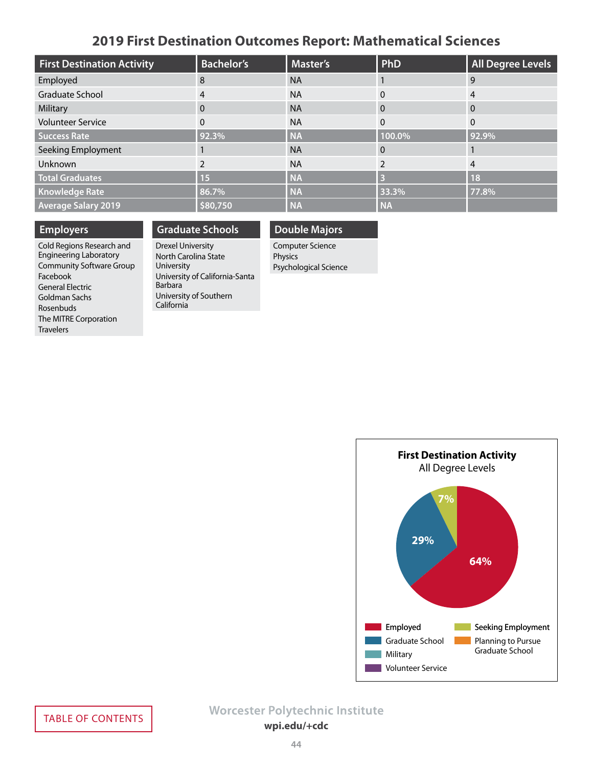### **2019 First Destination Outcomes Report: Mathematical Sciences**

<span id="page-43-0"></span>

| <b>First Destination Activity</b> | <b>Bachelor's</b> | <b>Master's</b> | PhD       | <b>All Degree Levels</b> |
|-----------------------------------|-------------------|-----------------|-----------|--------------------------|
| Employed                          | 8                 | <b>NA</b>       |           | 9                        |
| Graduate School                   | 4                 | <b>NA</b>       |           | 4                        |
| Military                          | $\Omega$          | <b>NA</b>       | 0         | $\Omega$                 |
| <b>Volunteer Service</b>          | $\Omega$          | <b>NA</b>       | $\Omega$  | $\Omega$                 |
| <b>Success Rate</b>               | 92.3%             | <b>NA</b>       | 100.0%    | 92.9%                    |
| Seeking Employment                |                   | <b>NA</b>       | $\Omega$  |                          |
| Unknown                           |                   | <b>NA</b>       |           | $\overline{4}$           |
| <b>Total Graduates</b>            | 15                | <b>NA</b>       |           | <b>18</b>                |
| <b>Knowledge Rate</b>             | 86.7%             | <b>NA</b>       | 33.3%     | 77.8%                    |
| <b>Average Salary 2019</b>        | \$80,750          | <b>NA</b>       | <b>NA</b> |                          |

### **Employers**

Cold Regions Research and Engineering Laboratory Community Software Group Facebook General Electric Goldman Sachs Rosenbuds The MITRE Corporation **Travelers** 

### **Graduate Schools**

Drexel University North Carolina State University University of California-Santa Barbara University of Southern California

### **Double Majors**

Computer Science Physics Psychological Science

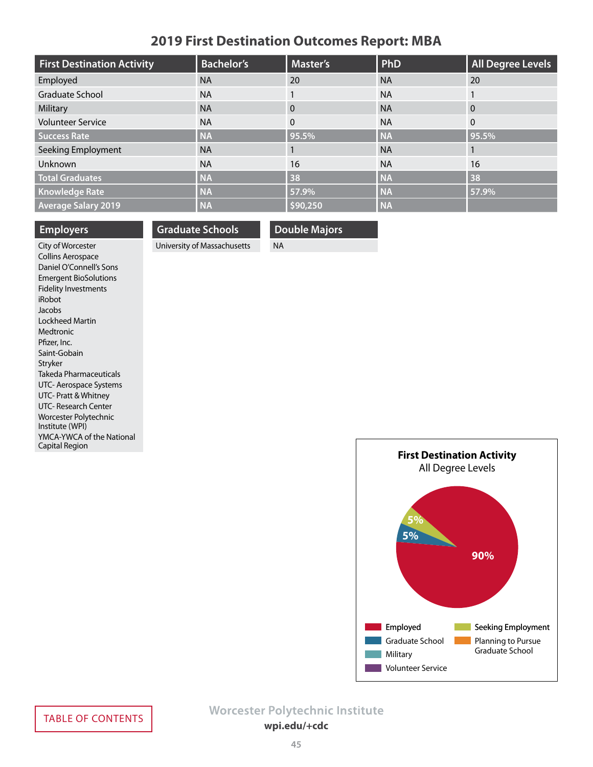### **2019 First Destination Outcomes Report: MBA**

<span id="page-44-0"></span>

| <b>First Destination Activity</b> | <b>Bachelor's</b> | Master's     | PhD       | <b>All Degree Levels</b> |
|-----------------------------------|-------------------|--------------|-----------|--------------------------|
| Employed                          | <b>NA</b>         | 20           | <b>NA</b> | 20                       |
| Graduate School                   | <b>NA</b>         |              | <b>NA</b> |                          |
| Military                          | <b>NA</b>         | $\Omega$     | <b>NA</b> | $\Omega$                 |
| <b>Volunteer Service</b>          | <b>NA</b>         | $\mathbf{0}$ | <b>NA</b> | $\mathbf{0}$             |
| <b>Success Rate</b>               | <b>NA</b>         | 95.5%        | <b>NA</b> | 95.5%                    |
| Seeking Employment                | <b>NA</b>         |              | <b>NA</b> |                          |
| Unknown                           | <b>NA</b>         | 16           | <b>NA</b> | 16                       |
| <b>Total Graduates</b>            | <b>NA</b>         | 38           | <b>NA</b> | 38                       |
| <b>Knowledge Rate</b>             | <b>NA</b>         | 57.9%        | <b>NA</b> | 57.9%                    |
| <b>Average Salary 2019</b>        | <b>NA</b>         | \$90,250     | <b>NA</b> |                          |

### **Employers**

### **Graduate Schools**

University of Massachusetts

**Double Majors**

NA

City of Worcester Collins Aerospace Daniel O'Connell's Sons Emergent BioSolutions Fidelity Investments iRobot Jacobs Lockheed Martin Medtronic Pfizer, Inc. Saint-Gobain Stryker Takeda Pharmaceuticals UTC- Aerospace Systems UTC- Pratt & Whitney UTC- Research Center Worcester Polytechnic Institute (WPI) YMCA-YWCA of the National Capital Region

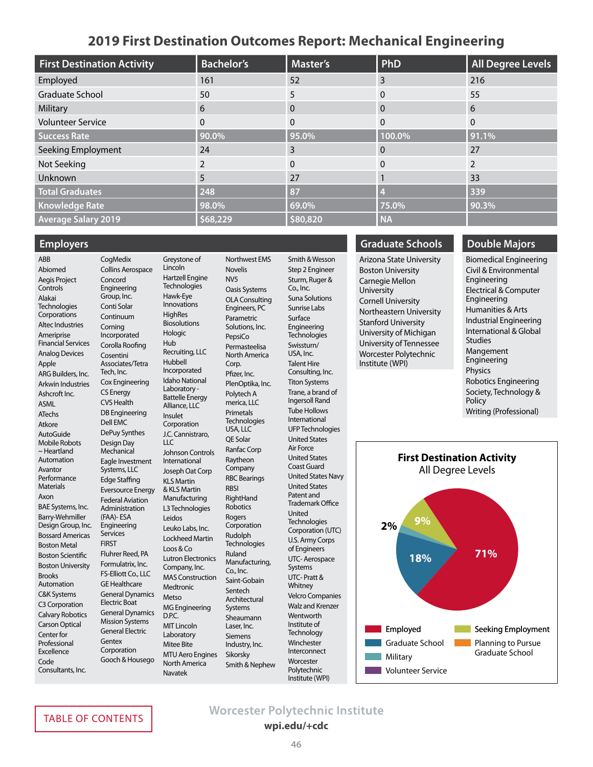### **2019 First Destination Outcomes Report: Mechanical Engineering**

<span id="page-45-0"></span>

| <b>First Destination Activity</b> | <b>Bachelor's</b> | <b>Master's</b> | PhD       | <b>All Degree Levels</b> |
|-----------------------------------|-------------------|-----------------|-----------|--------------------------|
| Employed                          | 161               | 52              | 3         | 216                      |
| Graduate School                   | 50                | 5               | 0         | 55                       |
| Military                          | 6                 | 0               | $\Omega$  | 6                        |
| <b>Volunteer Service</b>          | $\Omega$          | 0               | $\Omega$  | $\mathbf{0}$             |
| <b>Success Rate</b>               | 90.0%             | 95.0%           | 100.0%    | 91.1%                    |
| Seeking Employment                | 24                | 3               | 0         | 27                       |
| Not Seeking                       | 2                 | $\Omega$        |           | $\overline{2}$           |
| Unknown                           | 5                 | 27              |           | 33                       |
| <b>Total Graduates</b>            | 248               | 87              |           | 339                      |
| <b>Knowledge Rate</b>             | 98.0%             | 69.0%           | 75.0%     | 90.3%                    |
| <b>Average Salary 2019</b>        | \$68,229          | \$80,820        | <b>NA</b> |                          |

#### **Employers**

#### ABB Abiomed Aegis Project Controls Alakai **Technologies Corporations** Altec Industries Ameriprise Financial Services Analog Devices Apple ARG Builders, Inc. Arkwin Industries Ashcroft Inc. ASML ATechs Atkore AutoGuide Mobile Robots ~ Heartland Automation Avantor Performance Materials Axon BAE Systems, Inc. Barry-Wehmiller Design Group, Inc. Bossard Americas Boston Metal Boston Scientific Boston University Brooks Automation C&K Systems C3 Corporation Calvary Robotics Carson Optical Center for **Professional** Excellence Code Consultants, Inc.

**CogMedix** Collins Aerospace Concord Engineering Group, Inc. Conti Solar Continuum Corning Incorporated Corolla Roofing Cosentini Associates/Tetra Tech, Inc. Cox Engineering CS Energy CVS Health DB Engineering Dell EMC DePuy Synthes Design Day **Mechanical** Eagle Investment Systems, LLC Edge Staffing Eversource Energy Federal Aviation Administration (FAA)- ESA Engineering Services Fluhrer Reed, PA Formulatrix, Inc. FS-Elliott Co., LLC GE Healthcare General Dynamics Electric Boat General Dynamics Mission Systems General Electric **Gentex Corporation** Gooch & Housego Greystone of Lincoln Hartzell Engine **Technologies** Hawk-Eye Innovations **HighRes Biosolutions Hologic** Hub Recruiting, LLC Hubbell Incorporated Idaho National Laboratory - Battelle Energy Alliance, LLC Insulet Corporation J.C. Cannistraro,  $ILC$ Johnson Controls International Joseph Oat Corp KLS Martin & KLS Martin Manufacturing L3 Technologies Leidos Leuko Labs, Inc. Lockheed Martin Loos & Co Lutron Electronics Company, Inc. MAS Construction Medtronic **Metso** MG Engineering D.P.C. MIT Lincoln Laboratory Mitee Bite MTU Aero Engines North America Navatek

Northwest EMS Novelis NV5 Oasis Systems OLA Consulting Engineers, PC Parametric Solutions, Inc. PepsiCo Permasteelisa North America Corp. Pfizer, Inc. PlenOptika, Inc. Polytech A merica, LLC **Primetals Technologies**  $USA.$  LLC QE Solar Ranfac Corp Raytheon Company RBC Bearings **RBSI** RightHand Robotics Rogers Corporation Rudolph **Technologies** Ruland **Manufacturing** Co., Inc. Saint-Gobain Sentech Architectural Systems Sheaumann Laser, Inc. Siemens Industry, Inc. Sikorsky Smith & Nephew

Smith & Wesson Step 2 Engineer Sturm, Ruger & Co., Inc. Suna Solutions Sunrise Labs Surface Engineering **Technologies** Swissturn/ USA, Inc. Talent Hire Consulting, Inc. Titon Systems Trane, a brand of Ingersoll Rand Tube Hollows International UFP Technologies United States Air Force United States Coast Guard United States Navy United States Patent and Trademark Office United **Technologies** Corporation (UTC) U.S. Army Corps of Engineers UTC- Aerospace Systems UTC- Pratt & Whitney Velcro Companies Walz and Krenzer **Wentworth** Institute of **Technology Winchester** Interconnect **Worcester** Polytechnic Institute (WPI)

### **Graduate Schools**

Arizona State University Boston University Carnegie Mellon University Cornell University Northeastern University Stanford University University of Michigan University of Tennessee Worcester Polytechnic Institute (WPI)

### **Double Majors**

Biomedical Engineering Civil & Environmental Engineering Electrical & Computer Engineering Humanities & Arts Industrial Engineering International & Global Studies Mangement Engineering Physics Robotics Engineering Society, Technology & Policy Writing (Professional)



**FIRST** 

# **Worcester Polytechnic Institute**<br> **wpi.edu/+cdc**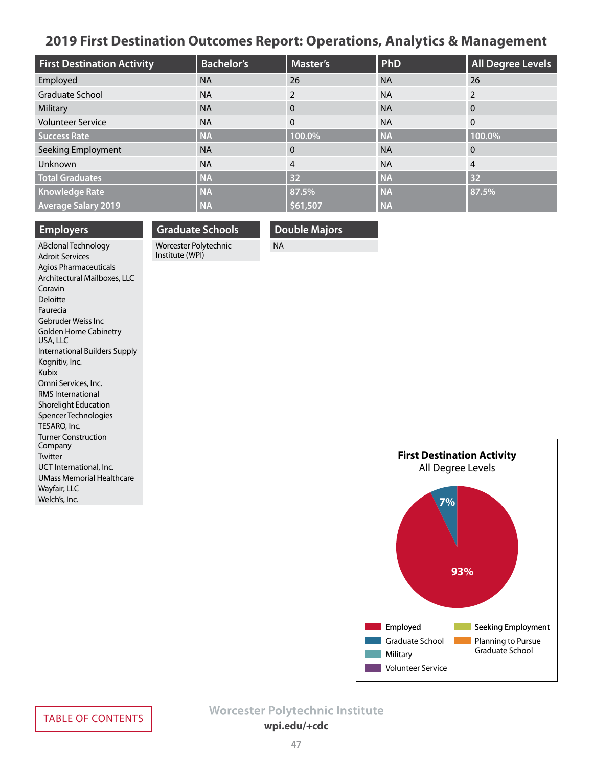### <span id="page-46-0"></span>**2019 First Destination Outcomes Report: Operations, Analytics & Management**

| <b>First Destination Activity</b> | <b>Bachelor's</b> | <b>Master's</b> | PhD       | <b>All Degree Levels</b> |
|-----------------------------------|-------------------|-----------------|-----------|--------------------------|
| Employed                          | <b>NA</b>         | 26              | <b>NA</b> | 26                       |
| Graduate School                   | <b>NA</b>         | $\mathcal{P}$   | <b>NA</b> | $\mathcal{P}$            |
| Military                          | <b>NA</b>         | $\Omega$        | <b>NA</b> | $\Omega$                 |
| <b>Volunteer Service</b>          | <b>NA</b>         | $\Omega$        | <b>NA</b> | $\Omega$                 |
| <b>Success Rate</b>               | <b>NA</b>         | 100.0%          | <b>NA</b> | 100.0%                   |
| Seeking Employment                | <b>NA</b>         | $\Omega$        | <b>NA</b> | $\mathbf 0$              |
| Unknown                           | <b>NA</b>         | 4               | <b>NA</b> | 4                        |
| <b>Total Graduates</b>            | <b>NA</b>         | 32              | <b>NA</b> | 32                       |
| <b>Knowledge Rate</b>             | <b>NA</b>         | 87.5%           | <b>NA</b> | 87.5%                    |
| <b>Average Salary 2019</b>        | <b>NA</b>         | \$61,507        | <b>NA</b> |                          |

#### **Employers**

# **Graduate Schools**

Worcester Polytechnic Institute (WPI)

### **Double Majors**

NA

ABclonal Technology Adroit Services Agios Pharmaceuticals Architectural Mailboxes, LLC Coravin Deloitte Faurecia Gebruder Weiss Inc Golden Home Cabinetry USA, LLC International Builders Supply Kognitiv, Inc. Kubix Omni Services, Inc. RMS International Shorelight Education Spencer Technologies TESARO, Inc. Turner Construction Company Twitter UCT International, Inc. UMass Memorial Healthcare Wayfair, LLC Welch's, Inc.

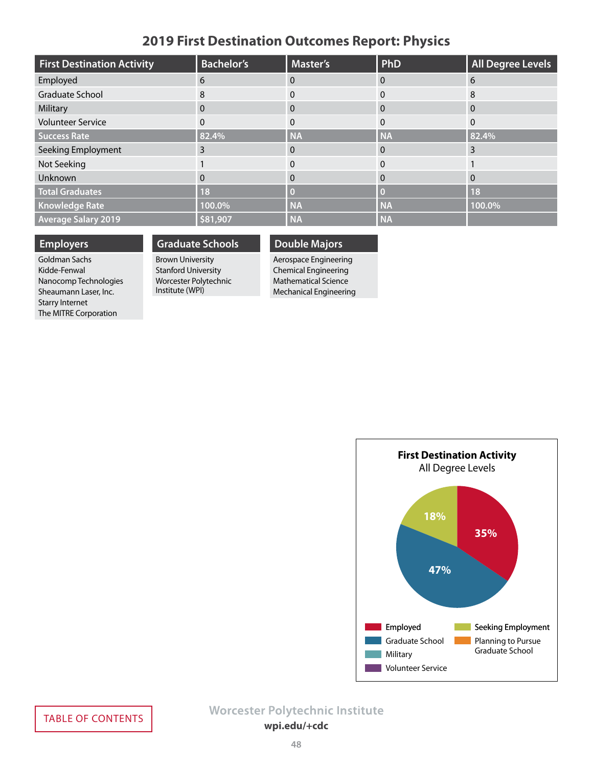### **2019 First Destination Outcomes Report: Physics**

<span id="page-47-0"></span>

| <b>First Destination Activity</b> | <b>Bachelor's</b> | <b>Master's</b> | <b>PhD</b> | <b>All Degree Levels</b> |
|-----------------------------------|-------------------|-----------------|------------|--------------------------|
| Employed                          | 6                 | 0               | 0          | 6                        |
| <b>Graduate School</b>            | 8                 |                 | 0          | 8                        |
| Military                          | $\mathbf{0}$      | 0               | 0          | $\Omega$                 |
| <b>Volunteer Service</b>          | 0                 | 0               | 0          | $\Omega$                 |
| <b>Success Rate</b>               | 82.4%             | <b>NA</b>       | <b>NA</b>  | 82.4%                    |
| Seeking Employment                | 3                 | 0               | 0          | 3                        |
| Not Seeking                       |                   | 0               | 0          |                          |
| Unknown                           | $\mathbf{0}$      | 0               | 0          | $\Omega$                 |
| <b>Total Graduates</b>            | 18                |                 |            | <b>18</b>                |
| <b>Knowledge Rate</b>             | 100.0%            | <b>NA</b>       | <b>NA</b>  | 100.0%                   |
| <b>Average Salary 2019</b>        | \$81,907          | <b>NA</b>       | <b>NA</b>  |                          |

### **Employers**

Goldman Sachs Kidde-Fenwal Nanocomp Technologies Sheaumann Laser, Inc. Starry Internet The MITRE Corporation

### **Graduate Schools**

Brown University Stanford University Worcester Polytechnic Institute (WPI)

#### Aerospace Engineering Chemical Engineering Mathematical Science

**Double Majors**

Mechanical Engineering

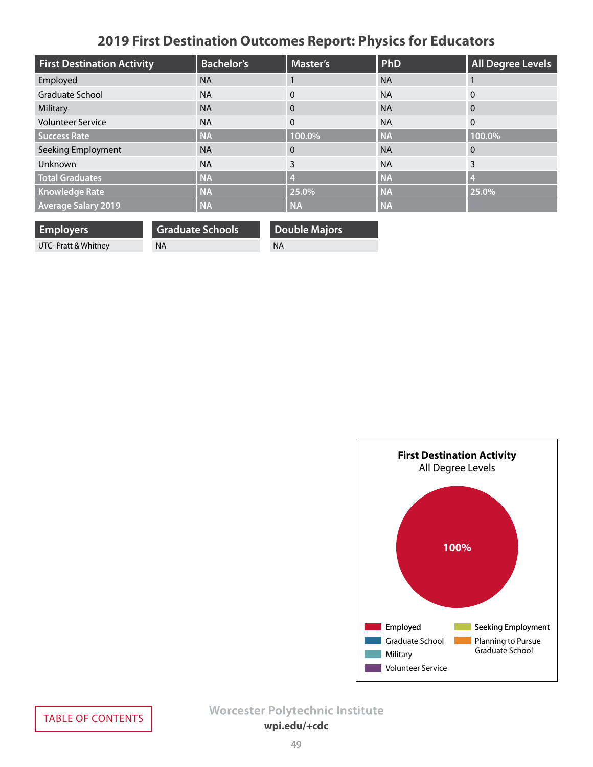# **2019 First Destination Outcomes Report: Physics for Educators**

<span id="page-48-0"></span>

| <b>First Destination Activity</b> | <b>Bachelor's</b> | <b>Master's</b> | PhD       | <b>All Degree Levels</b> |
|-----------------------------------|-------------------|-----------------|-----------|--------------------------|
| Employed                          | <b>NA</b>         |                 | <b>NA</b> |                          |
| <b>Graduate School</b>            | <b>NA</b>         | 0               | <b>NA</b> | $\overline{0}$           |
| Military                          | <b>NA</b>         | $\Omega$        | <b>NA</b> | $\overline{0}$           |
| <b>Volunteer Service</b>          | <b>NA</b>         | $\Omega$        | <b>NA</b> | $\overline{0}$           |
| <b>Success Rate</b>               | <b>NA</b>         | 100.0%          | <b>NA</b> | 100.0%                   |
| Seeking Employment                | <b>NA</b>         | $\Omega$        | <b>NA</b> | $\Omega$                 |
| Unknown                           | <b>NA</b>         | 3               | <b>NA</b> | 3                        |
| <b>Total Graduates</b>            | <b>NA</b>         |                 | <b>NA</b> | $\overline{4}$           |
| <b>Knowledge Rate</b>             | <b>NA</b>         | 25.0%           | <b>NA</b> | 25.0%                    |
| <b>Average Salary 2019</b>        | <b>NA</b>         | <b>NA</b>       | <b>NA</b> |                          |

**Employers** UTC- Pratt & Whitney

**Graduate Schools** NA

**Double Majors** NA

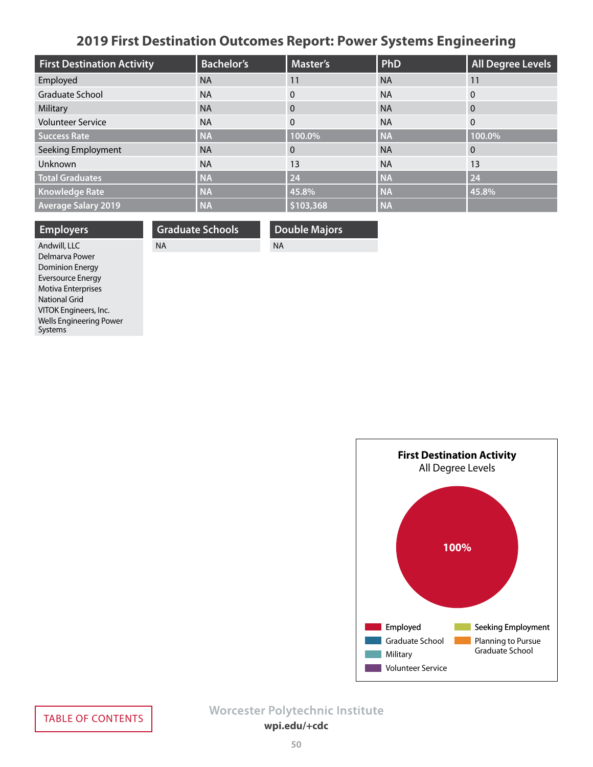# **2019 First Destination Outcomes Report: Power Systems Engineering**

<span id="page-49-0"></span>

| <b>First Destination Activity</b> | <b>Bachelor's</b> | <b>Master's</b> | PhD       | <b>All Degree Levels</b> |
|-----------------------------------|-------------------|-----------------|-----------|--------------------------|
| Employed                          | <b>NA</b>         | 11              | <b>NA</b> | 11                       |
| Graduate School                   | <b>NA</b>         | $\Omega$        | <b>NA</b> | $\Omega$                 |
| Military                          | <b>NA</b>         | $\Omega$        | <b>NA</b> | $\overline{0}$           |
| <b>Volunteer Service</b>          | <b>NA</b>         | $\mathbf{0}$    | <b>NA</b> | $\overline{0}$           |
| <b>Success Rate</b>               | <b>NA</b>         | 100.0%          | <b>NA</b> | 100.0%                   |
| Seeking Employment                | <b>NA</b>         | $\Omega$        | <b>NA</b> | $\mathbf{0}$             |
| Unknown                           | <b>NA</b>         | 13              | <b>NA</b> | 13                       |
| <b>Total Graduates</b>            | <b>NA</b>         | 24              | <b>NA</b> | 24                       |
| <b>Knowledge Rate</b>             | <b>NA</b>         | 45.8%           | <b>NA</b> | 45.8%                    |
| <b>Average Salary 2019</b>        | <b>NA</b>         | \$103,368       | <b>NA</b> |                          |

| <b>Employers</b>          | <b>Graduate Schools</b> | <b>Double Majors</b> |
|---------------------------|-------------------------|----------------------|
| Andwill, LLC              | <b>NA</b>               | <b>NA</b>            |
| Delmarya Power            |                         |                      |
| <b>Dominion Energy</b>    |                         |                      |
| <b>Eversource Energy</b>  |                         |                      |
| <b>Motiva Enterprises</b> |                         |                      |
| National Grid             |                         |                      |



VITOK Engineers, Inc. Wells Engineering Power

Systems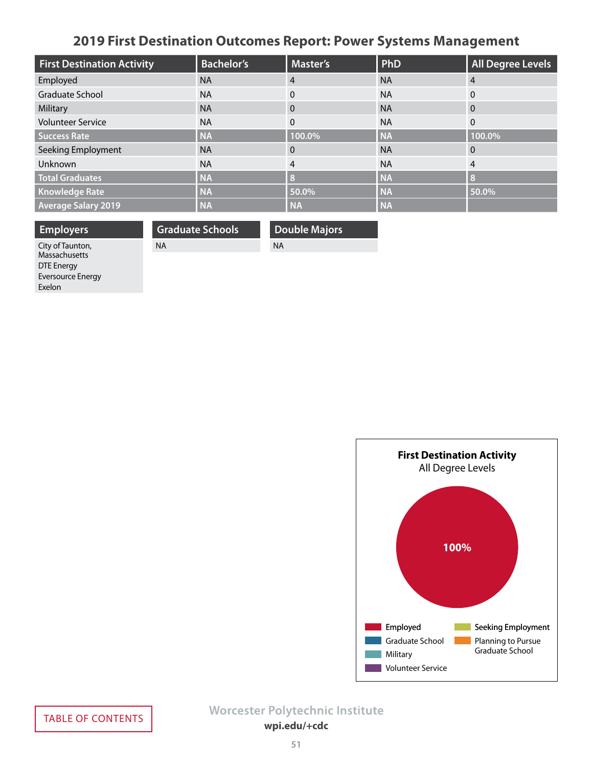# **2019 First Destination Outcomes Report: Power Systems Management**

<span id="page-50-0"></span>

| <b>First Destination Activity</b> | <b>Bachelor's</b> | Master's  | PhD       | <b>All Degree Levels</b> |
|-----------------------------------|-------------------|-----------|-----------|--------------------------|
| Employed                          | <b>NA</b>         | 4         | <b>NA</b> | $\overline{4}$           |
| Graduate School                   | <b>NA</b>         | $\Omega$  | <b>NA</b> | $\Omega$                 |
| Military                          | <b>NA</b>         | $\Omega$  | <b>NA</b> | $\Omega$                 |
| <b>Volunteer Service</b>          | <b>NA</b>         | $\Omega$  | <b>NA</b> | $\mathbf{0}$             |
| <b>Success Rate</b>               | <b>NA</b>         | 100.0%    | <b>NA</b> | 100.0%                   |
| Seeking Employment                | <b>NA</b>         | $\Omega$  | <b>NA</b> | $\overline{0}$           |
| <b>Unknown</b>                    | <b>NA</b>         | 4         | <b>NA</b> | $\overline{4}$           |
| <b>Total Graduates</b>            | <b>NA</b>         | ß         | <b>NA</b> | $\mathbf{R}$             |
| Knowledge Rate                    | <b>NA</b>         | 50.0%     | <b>NA</b> | 50.0%                    |
| <b>Average Salary 2019</b>        | <b>NA</b>         | <b>NA</b> | <b>NA</b> |                          |

**Employers** City of Taunton, **Graduate Schools**

NA

**Double Majors**

NA

Massachusetts DTE Energy Eversource Energy Exelon

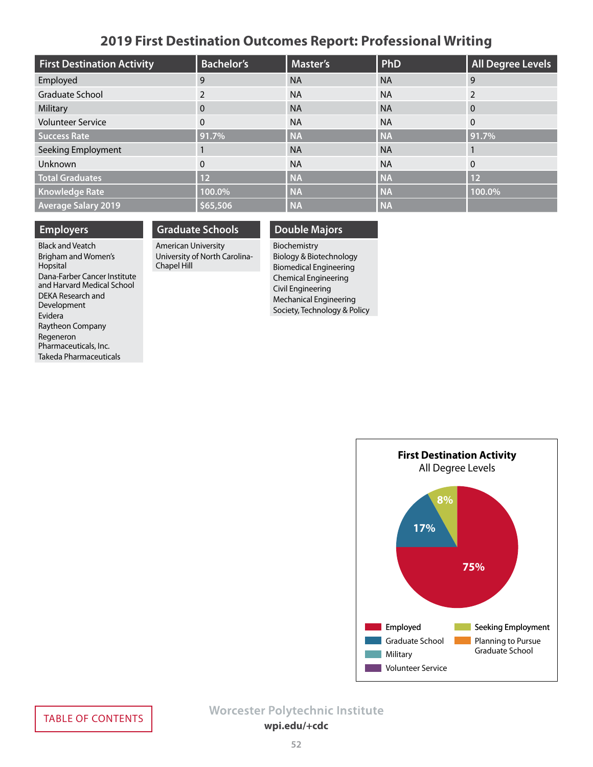### **2019 First Destination Outcomes Report: Professional Writing**

<span id="page-51-0"></span>

| <b>First Destination Activity</b> | <b>Bachelor's</b> | <b>Master's</b> | PhD       | <b>All Degree Levels</b> |
|-----------------------------------|-------------------|-----------------|-----------|--------------------------|
| Employed                          | 9                 | <b>NA</b>       | <b>NA</b> | 9                        |
| Graduate School                   |                   | <b>NA</b>       | <b>NA</b> |                          |
| Military                          | 0                 | <b>NA</b>       | <b>NA</b> | $\Omega$                 |
| <b>Volunteer Service</b>          | 0                 | <b>NA</b>       | <b>NA</b> | $\Omega$                 |
| <b>Success Rate</b>               | 91.7%             | <b>NA</b>       | <b>NA</b> | 91.7%                    |
| Seeking Employment                |                   | <b>NA</b>       | <b>NA</b> |                          |
| Unknown                           | 0                 | <b>NA</b>       | <b>NA</b> | $\Omega$                 |
| <b>Total Graduates</b>            | 12                | <b>NA</b>       | <b>NA</b> | 12                       |
| <b>Knowledge Rate</b>             | 100.0%            | <b>NA</b>       | <b>NA</b> | 100.0%                   |
| <b>Average Salary 2019</b>        | \$65,506          | <b>NA</b>       | <b>NA</b> |                          |

### **Employers**

Black and Veatch Brigham and Women's Hopsital Dana-Farber Cancer Institute and Harvard Medical School DEKA Research and Development Evidera Raytheon Company Regeneron Pharmaceuticals, Inc. Takeda Pharmaceuticals

### **Graduate Schools** American University

University of North Carolina-Chapel Hill

### **Double Majors**

Biochemistry Biology & Biotechnology Biomedical Engineering Chemical Engineering Civil Engineering Mechanical Engineering Society, Technology & Policy

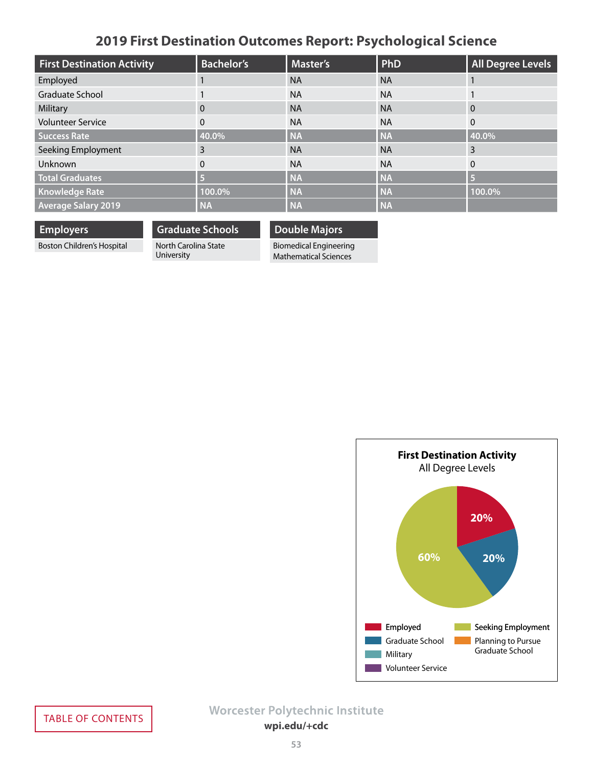# **2019 First Destination Outcomes Report: Psychological Science**

<span id="page-52-0"></span>

| <b>First Destination Activity</b> | <b>Bachelor's</b> | <b>Master's</b> | PhD       | <b>All Degree Levels</b> |
|-----------------------------------|-------------------|-----------------|-----------|--------------------------|
| Employed                          |                   | <b>NA</b>       | <b>NA</b> |                          |
| <b>Graduate School</b>            |                   | <b>NA</b>       | <b>NA</b> |                          |
| Military                          | $\Omega$          | <b>NA</b>       | <b>NA</b> | $\overline{0}$           |
| <b>Volunteer Service</b>          | $\mathbf{0}$      | <b>NA</b>       | <b>NA</b> | $\mathbf{0}$             |
| <b>Success Rate</b>               | 40.0%             | <b>NA</b>       | <b>NA</b> | 40.0%                    |
| Seeking Employment                | 3                 | <b>NA</b>       | <b>NA</b> | 3                        |
| Unknown                           | $\mathbf{0}$      | <b>NA</b>       | <b>NA</b> | $\Omega$                 |
| <b>Total Graduates</b>            | G                 | <b>NA</b>       | <b>NA</b> | 5                        |
| <b>Knowledge Rate</b>             | 100.0%            | <b>NA</b>       | <b>NA</b> | 100.0%                   |
| <b>Average Salary 2019</b>        | <b>NA</b>         | <b>NA</b>       | <b>NA</b> |                          |

| <b>Employers</b>           | <b>Graduate Schools</b>            |
|----------------------------|------------------------------------|
| Boston Children's Hospital | North Carolina State<br>University |

**Double Majors**

Biomedical Engineering Mathematical Sciences

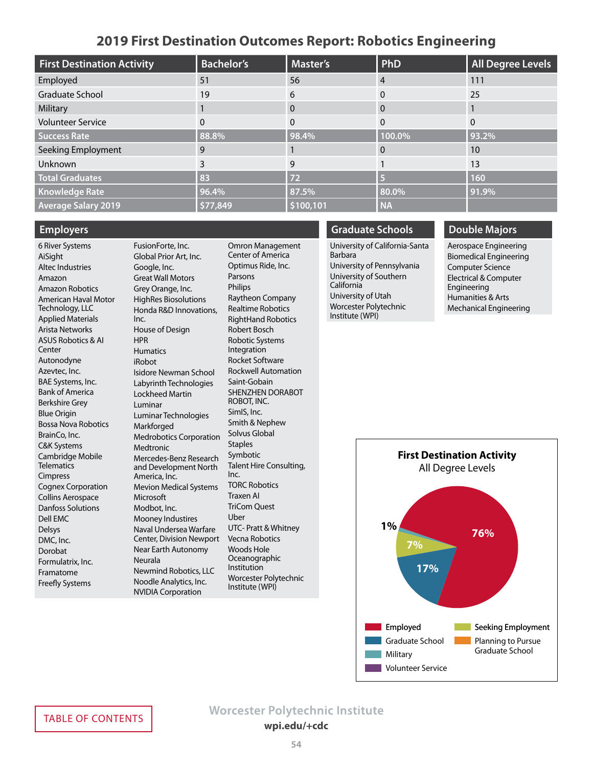### **2019 First Destination Outcomes Report: Robotics Engineering**

<span id="page-53-0"></span>

| <b>First Destination Activity</b> | <b>Bachelor's</b> | Master's  | <b>PhD</b> | <b>All Degree Levels</b> |
|-----------------------------------|-------------------|-----------|------------|--------------------------|
| Employed                          | 51                | 56        | 4          | 111                      |
| Graduate School                   | 19                | 6         | 0          | 25                       |
| Military                          |                   | $\Omega$  | 0          |                          |
| <b>Volunteer Service</b>          | 0                 | $\Omega$  | 0          | $\Omega$                 |
| <b>Success Rate</b>               | 88.8%             | 98.4%     | 100.0%     | 93.2%                    |
| Seeking Employment                | 9                 |           | 0          | 10                       |
| Unknown                           | 3                 | 9         |            | 13                       |
| <b>Total Graduates</b>            | 83                | 72        |            | 160                      |
| <b>Knowledge Rate</b>             | 96.4%             | 87.5%     | 80.0%      | 91.9%                    |
| <b>Average Salary 2019</b>        | \$77,849          | \$100,101 | <b>NA</b>  |                          |

### **Employers**

6 River Systems AiSight Altec Industries Amazon Amazon Robotics American Haval Motor Technology, LLC Applied Materials Arista Networks ASUS Robotics & AI **Center** Autonodyne Azevtec, Inc. BAE Systems, Inc. Bank of America Berkshire Grey Blue Origin Bossa Nova Robotics BrainCo, Inc. C&K Systems Cambridge Mobile **Telematics** Cimpress Cognex Corporation Collins Aerospace Danfoss Solutions Dell EMC Delsys DMC, Inc. Dorobat Formulatrix, Inc. Framatome Freefly Systems

FusionForte, Inc. Global Prior Art, Inc. Google, Inc. Great Wall Motors Grey Orange, Inc. HighRes Biosolutions Honda R&D Innovations, Inc. House of Design HPR **Humatics** iRobot Isidore Newman School Labyrinth Technologies Lockheed Martin Luminar Luminar Technologies Markforged Medrobotics Corporation Medtronic Mercedes-Benz Research and Development North America, Inc. Mevion Medical Systems **Microsoft** Modbot, Inc. Mooney Industires Naval Undersea Warfare Center, Division Newport Near Earth Autonomy Neurala Newmind Robotics, LLC Noodle Analytics, Inc. NVIDIA Corporation

Omron Management Center of America Optimus Ride, Inc. Parsons Philips Raytheon Company Realtime Robotics RightHand Robotics Robert Bosch Robotic Systems Integration Rocket Software Rockwell Automation Saint-Gobain SHENZHEN DORABOT ROBOT, INC. SimIS, Inc. Smith & Nephew Solvus Global **Staples** Symbotic Talent Hire Consulting, Inc. TORC Robotics Traxen AI TriCom Quest Uber UTC- Pratt & Whitney Vecna Robotics Woods Hole Oceanographic Institution Worcester Polytechnic Institute (WPI)

#### **Graduate Schools**

University of California-Santa Barbara University of Pennsylvania University of Southern California University of Utah Worcester Polytechnic Institute (WPI)

### **Double Majors**

Aerospace Engineering Biomedical Engineering Computer Science Electrical & Computer Engineering Humanities & Arts Mechanical Engineering

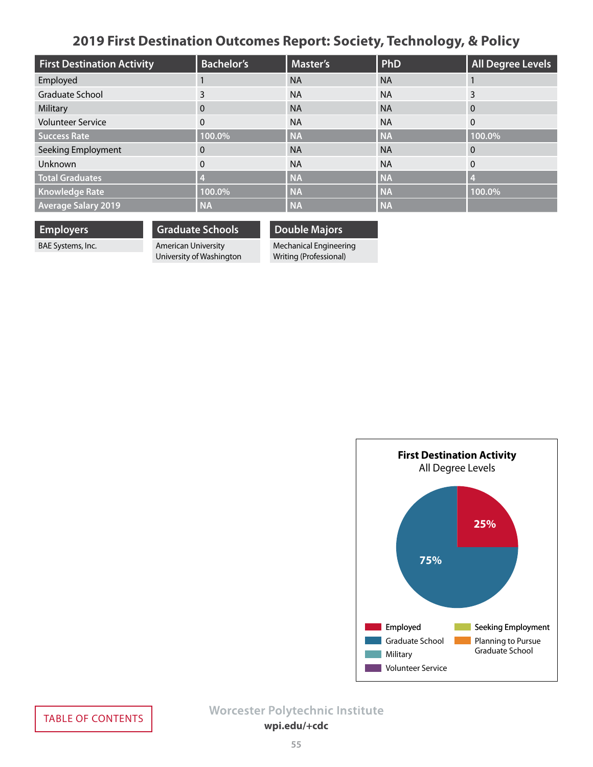# **2019 First Destination Outcomes Report: Society, Technology, & Policy**

<span id="page-54-0"></span>

| <b>First Destination Activity</b> | <b>Bachelor's</b> | <b>Master's</b> | <b>PhD</b> | <b>All Degree Levels</b> |
|-----------------------------------|-------------------|-----------------|------------|--------------------------|
| Employed                          |                   | <b>NA</b>       | <b>NA</b>  |                          |
| Graduate School                   | 3                 | <b>NA</b>       | <b>NA</b>  | 3                        |
| Military                          | $\Omega$          | <b>NA</b>       | <b>NA</b>  | $\Omega$                 |
| <b>Volunteer Service</b>          | $\Omega$          | <b>NA</b>       | <b>NA</b>  | $\Omega$                 |
| <b>Success Rate</b>               | 100.0%            | <b>NA</b>       | <b>NA</b>  | 100.0%                   |
| Seeking Employment                | 0                 | <b>NA</b>       | <b>NA</b>  | 0                        |
| Unknown                           | $\mathbf{0}$      | <b>NA</b>       | <b>NA</b>  | $\mathbf{0}$             |
| <b>Total Graduates</b>            |                   | <b>NA</b>       | <b>NA</b>  |                          |
| <b>Knowledge Rate</b>             | 100.0%            | <b>NA</b>       | <b>NA</b>  | 100.0%                   |
| <b>Average Salary 2019</b>        | <b>NA</b>         | <b>NA</b>       | <b>NA</b>  |                          |

**Employers**

BAE Systems, Inc.

**Graduate Schools** American University University of Washington **Double Majors**

Mechanical Engineering

Writing (Professional)

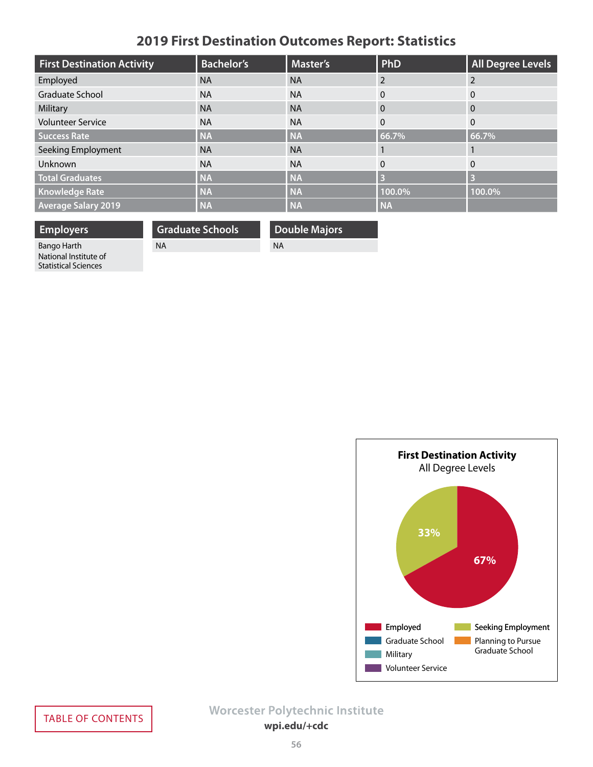# **2019 First Destination Outcomes Report: Statistics**

<span id="page-55-0"></span>

| <b>First Destination Activity</b> | <b>Bachelor's</b> | <b>Master's</b> | PhD            | <b>All Degree Levels</b> |
|-----------------------------------|-------------------|-----------------|----------------|--------------------------|
| Employed                          | <b>NA</b>         | <b>NA</b>       | $\overline{2}$ | $\mathcal{P}$            |
| Graduate School                   | <b>NA</b>         | <b>NA</b>       | $\Omega$       | $\Omega$                 |
| Military                          | <b>NA</b>         | <b>NA</b>       | $\mathbf{0}$   | $\overline{0}$           |
| <b>Volunteer Service</b>          | <b>NA</b>         | <b>NA</b>       | $\mathbf{0}$   | $\Omega$                 |
| <b>Success Rate</b>               | <b>NA</b>         | <b>NA</b>       | 66.7%          | 66.7%                    |
| Seeking Employment                | <b>NA</b>         | <b>NA</b>       |                |                          |
| Unknown                           | <b>NA</b>         | <b>NA</b>       | $\mathbf{0}$   | $\Omega$                 |
| <b>Total Graduates</b>            | <b>NA</b>         | <b>NA</b>       | $\overline{3}$ | 3                        |
| <b>Knowledge Rate</b>             | <b>NA</b>         | <b>NA</b>       | 100.0%         | 100.0%                   |
| <b>Average Salary 2019</b>        | <b>NA</b>         | <b>NA</b>       | <b>NA</b>      |                          |

**Employers**

**Graduate Schools**

NA

**Double Majors**

NA

Bango Harth National Institute of Statistical Sciences

> **First Destination Activity** All Degree Levels **67%** Employed **Seeking Employment** Graduate School Military **Volunteer Service** Planning to Pursue Graduate School **33%**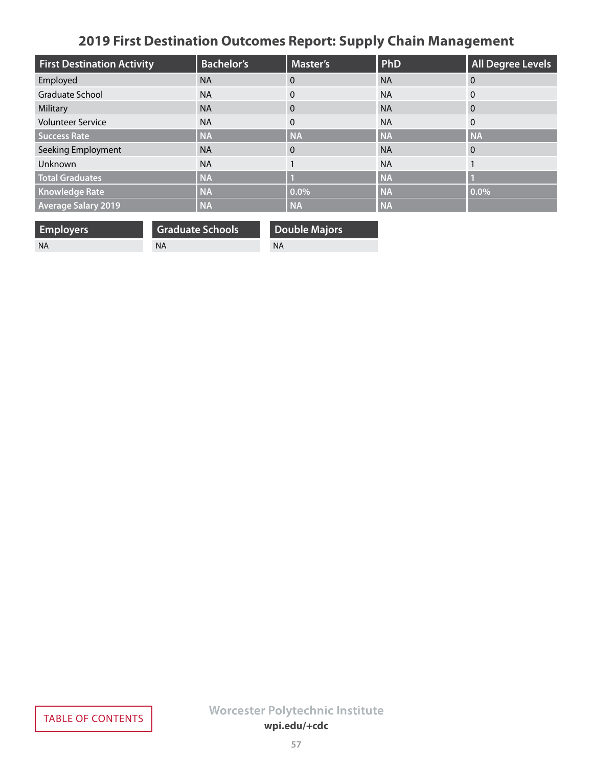# **2019 First Destination Outcomes Report: Supply Chain Management**

<span id="page-56-0"></span>

| <b>First Destination Activity</b> | <b>Bachelor's</b> | <b>Master's</b> | PhD       | <b>All Degree Levels</b> |
|-----------------------------------|-------------------|-----------------|-----------|--------------------------|
| Employed                          | <b>NA</b>         | $\theta$        | <b>NA</b> | $\Omega$                 |
| Graduate School                   | <b>NA</b>         | $\Omega$        | <b>NA</b> | 0                        |
| Military                          | <b>NA</b>         | $\Omega$        | <b>NA</b> | $\Omega$                 |
| <b>Volunteer Service</b>          | <b>NA</b>         | $\mathbf{0}$    | <b>NA</b> | $\mathbf{0}$             |
| <b>Success Rate</b>               | <b>NA</b>         | <b>NA</b>       | <b>NA</b> | <b>NA</b>                |
| Seeking Employment                | <b>NA</b>         | $\Omega$        | <b>NA</b> | $\overline{0}$           |
| Unknown                           | <b>NA</b>         |                 | <b>NA</b> |                          |
| <b>Total Graduates</b>            | <b>NA</b>         |                 | <b>NA</b> |                          |
| <b>Knowledge Rate</b>             | <b>NA</b>         | 0.0%            | <b>NA</b> | $0.0\%$                  |
| <b>Average Salary 2019</b>        | <b>NA</b>         | <b>NA</b>       | <b>NA</b> |                          |

| <b>Employers</b> | <b>Graduate Schools</b> | <b>Double Majors</b> |
|------------------|-------------------------|----------------------|
| - NA             | NA.                     | NA                   |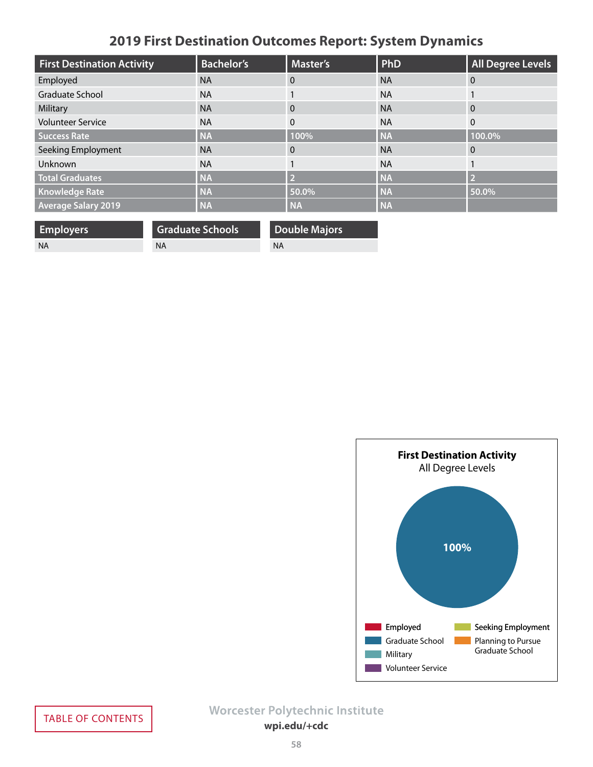# **2019 First Destination Outcomes Report: System Dynamics**

<span id="page-57-0"></span>

| <b>First Destination Activity</b> | <b>Bachelor's</b> | <b>Master's</b> | <b>PhD</b> | <b>All Degree Levels</b> |
|-----------------------------------|-------------------|-----------------|------------|--------------------------|
| Employed                          | <b>NA</b>         | $\Omega$        | <b>NA</b>  | $\Omega$                 |
| Graduate School                   | <b>NA</b>         |                 | <b>NA</b>  |                          |
| Military                          | <b>NA</b>         | $\Omega$        | <b>NA</b>  | $\overline{0}$           |
| <b>Volunteer Service</b>          | <b>NA</b>         | $\Omega$        | <b>NA</b>  | $\mathbf{0}$             |
| <b>Success Rate</b>               | <b>NA</b>         | 100%            | <b>NA</b>  | 100.0%                   |
| Seeking Employment                | <b>NA</b>         | $\Omega$        | <b>NA</b>  | $\Omega$                 |
| Unknown                           | <b>NA</b>         |                 | <b>NA</b>  |                          |
| <b>Total Graduates</b>            | <b>NA</b>         |                 | <b>NA</b>  | 12                       |
| <b>Knowledge Rate</b>             | <b>NA</b>         | 50.0%           | <b>NA</b>  | 50.0%                    |
| <b>Average Salary 2019</b>        | <b>NA</b>         | <b>NA</b>       | <b>NA</b>  |                          |

| <b>Employers</b> | <b>Graduate Schools</b> | Double Majors |
|------------------|-------------------------|---------------|
| - NA             | <b>NA</b>               | ΝA            |

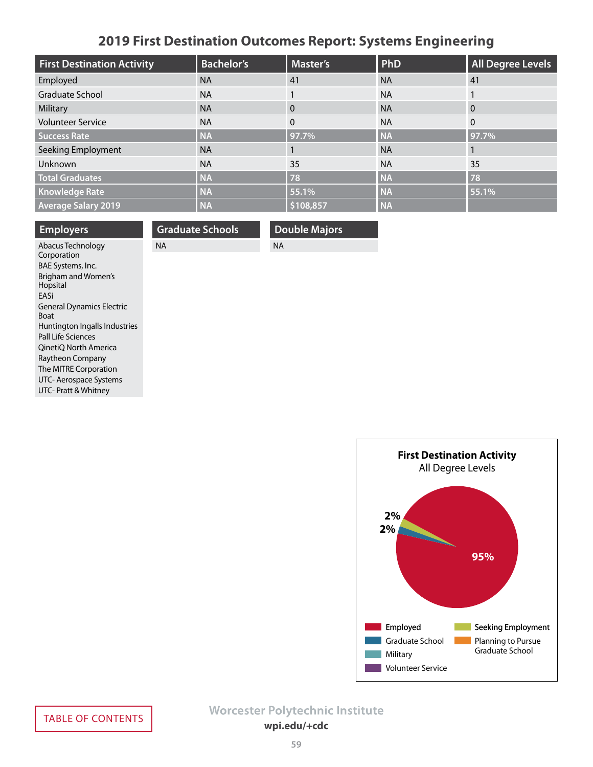# **2019 First Destination Outcomes Report: Systems Engineering**

<span id="page-58-0"></span>

| <b>First Destination Activity</b> | <b>Bachelor's</b> | <b>Master's</b> | PhD       | <b>All Degree Levels</b> |
|-----------------------------------|-------------------|-----------------|-----------|--------------------------|
| Employed                          | <b>NA</b>         | 41              | <b>NA</b> | 41                       |
| <b>Graduate School</b>            | <b>NA</b>         |                 | <b>NA</b> |                          |
| Military                          | <b>NA</b>         | 0               | <b>NA</b> | $\overline{0}$           |
| <b>Volunteer Service</b>          | <b>NA</b>         | $\Omega$        | <b>NA</b> | $\overline{0}$           |
| <b>Success Rate</b>               | <b>NA</b>         | 97.7%           | <b>NA</b> | 97.7%                    |
| Seeking Employment                | <b>NA</b>         |                 | <b>NA</b> |                          |
| Unknown                           | <b>NA</b>         | 35              | <b>NA</b> | 35                       |
| <b>Total Graduates</b>            | <b>NA</b>         | 78              | <b>NA</b> | 78                       |
| <b>Knowledge Rate</b>             | <b>NA</b>         | 55.1%           | <b>NA</b> | 55.1%                    |
| <b>Average Salary 2019</b>        | <b>NA</b>         | \$108,857       | <b>NA</b> |                          |

| <b>Employers</b>                                | <b>Graduate Schools</b> | <b>Double Majors</b> |
|-------------------------------------------------|-------------------------|----------------------|
| Abacus Technology                               | <b>NA</b>               | <b>NA</b>            |
| Corporation                                     |                         |                      |
| BAE Systems, Inc.                               |                         |                      |
| Brigham and Women's<br>Hopsital                 |                         |                      |
| EASi                                            |                         |                      |
| <b>General Dynamics Electric</b><br><b>Boat</b> |                         |                      |
| Huntington Ingalls Industries                   |                         |                      |
| Pall Life Sciences                              |                         |                      |
| OinetiO North America                           |                         |                      |
| Raytheon Company                                |                         |                      |
| The MITRE Corporation                           |                         |                      |
| $\cdots$ $\cdots$ $\cdots$                      |                         |                      |

UTC- Aerospace Systems UTC- Pratt & Whitney

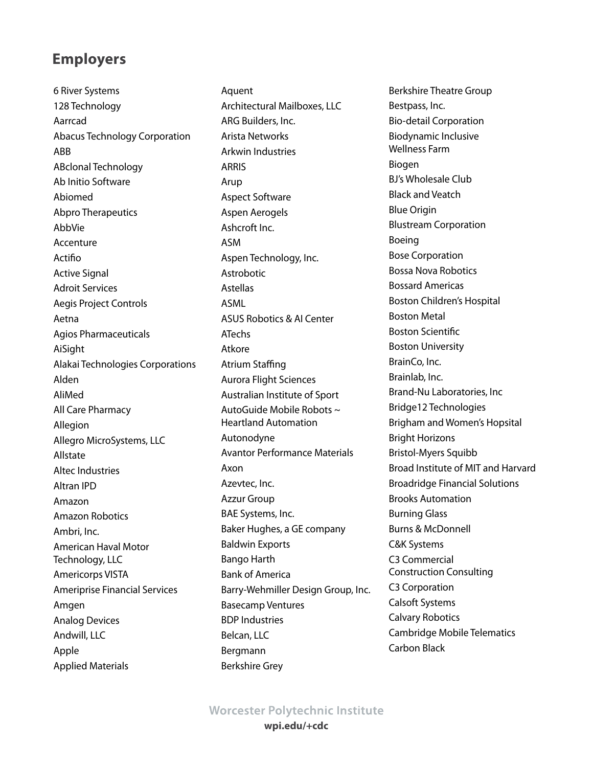<span id="page-59-0"></span>6 River Systems 128 Technology Aarrcad Abacus Technology Corporation ABB ABclonal Technology Ab Initio Software Abiomed Abpro Therapeutics AbbVie Accenture Actifio Active Signal Adroit Services Aegis Project Controls Aetna Agios Pharmaceuticals AiSight Alakai Technologies Corporations Alden AliMed All Care Pharmacy Allegion Allegro MicroSystems, LLC Allstate Altec Industries Altran IPD Amazon Amazon Robotics Ambri, Inc. American Haval Motor Technology, LLC Americorps VISTA Ameriprise Financial Services Amgen Analog Devices Andwill, LLC Apple Applied Materials

Aquent Architectural Mailboxes, LLC ARG Builders, Inc. Arista Networks Arkwin Industries ARRIS Arup Aspect Software Aspen Aerogels Ashcroft Inc. ASM Aspen Technology, Inc. Astrobotic Astellas ASML ASUS Robotics & AI Center ATechs Atkore Atrium Staffing Aurora Flight Sciences Australian Institute of Sport AutoGuide Mobile Robots ~ Heartland Automation Autonodyne Avantor Performance Materials Axon Azevtec, Inc. Azzur Group BAE Systems, Inc. Baker Hughes, a GE company Baldwin Exports Bango Harth Bank of America Barry-Wehmiller Design Group, Inc. Basecamp Ventures BDP Industries Belcan, LLC Bergmann Berkshire Grey

Berkshire Theatre Group Bestpass, Inc. Bio-detail Corporation Biodynamic Inclusive Wellness Farm Biogen BJ's Wholesale Club Black and Veatch Blue Origin Blustream Corporation Boeing Bose Corporation Bossa Nova Robotics Bossard Americas Boston Children's Hospital Boston Metal Boston Scientific Boston University BrainCo, Inc. Brainlab, Inc. Brand-Nu Laboratories, Inc Bridge12 Technologies Brigham and Women's Hopsital Bright Horizons Bristol-Myers Squibb Broad Institute of MIT and Harvard Broadridge Financial Solutions Brooks Automation Burning Glass Burns & McDonnell C&K Systems C3 Commercial Construction Consulting C3 Corporation Calsoft Systems Calvary Robotics Cambridge Mobile Telematics Carbon Black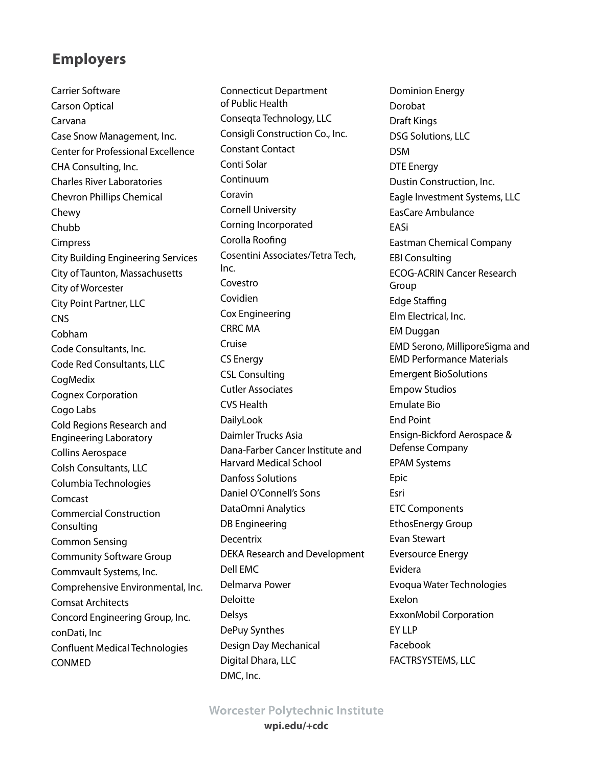Carrier Software Carson Optical Carvana Case Snow Management, Inc. Center for Professional Excellence CHA Consulting, Inc. Charles River Laboratories Chevron Phillips Chemical Chewy Chubb Cimpress City Building Engineering Services City of Taunton, Massachusetts City of Worcester City Point Partner, LLC **CNS** Cobham Code Consultants, Inc. Code Red Consultants, LLC CogMedix Cognex Corporation Cogo Labs Cold Regions Research and Engineering Laboratory Collins Aerospace Colsh Consultants, LLC Columbia Technologies Comcast Commercial Construction Consulting Common Sensing Community Software Group Commvault Systems, Inc. Comprehensive Environmental, Inc. Comsat Architects Concord Engineering Group, Inc. conDati, Inc Confluent Medical Technologies CONMED

Connecticut Department of Public Health Conseqta Technology, LLC Consigli Construction Co., Inc. Constant Contact Conti Solar Continuum Coravin Cornell University Corning Incorporated Corolla Roofing Cosentini Associates/Tetra Tech, Inc. Covestro Covidien Cox Engineering CRRC MA Cruise CS Energy CSL Consulting Cutler Associates CVS Health DailyLook Daimler Trucks Asia Dana-Farber Cancer Institute and Harvard Medical School Danfoss Solutions Daniel O'Connell's Sons DataOmni Analytics DB Engineering Decentrix DEKA Research and Development Dell EMC Delmarva Power Deloitte Delsys DePuy Synthes Design Day Mechanical Digital Dhara, LLC DMC, Inc.

Dominion Energy Dorobat Draft Kings DSG Solutions, LLC DSM DTE Energy Dustin Construction, Inc. Eagle Investment Systems, LLC EasCare Ambulance EASi Eastman Chemical Company EBI Consulting ECOG-ACRIN Cancer Research Group Edge Staffing Elm Electrical, Inc. EM Duggan EMD Serono, MilliporeSigma and EMD Performance Materials Emergent BioSolutions Empow Studios Emulate Bio End Point Ensign-Bickford Aerospace & Defense Company EPAM Systems Epic Esri ETC Components EthosEnergy Group Evan Stewart Eversource Energy Evidera Evoqua Water Technologies Exelon ExxonMobil Corporation **EY LLP** Facebook FACTRSYSTEMS, LLC

# **Worcester Polytechnic Institute**

**wpi.edu/+cdc**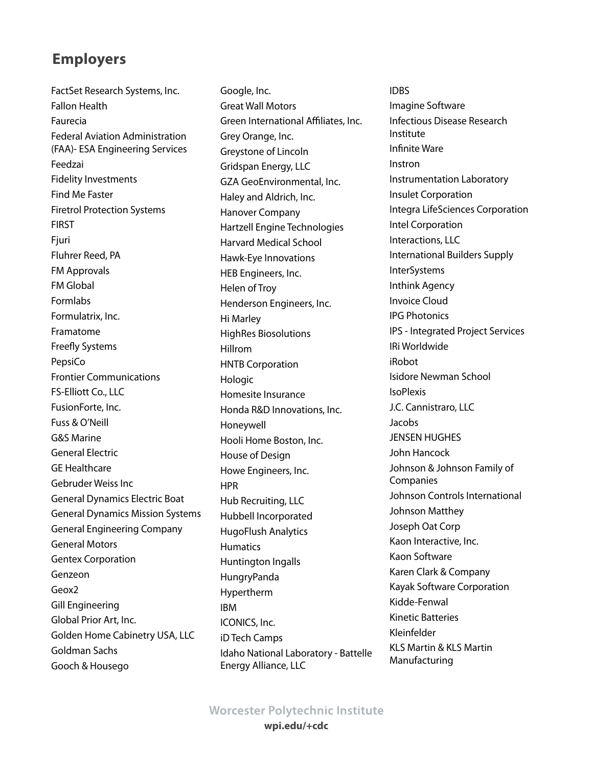FactSet Research Systems, Inc. Fallon Health Faurecia Federal Aviation Administration (FAA)- ESA Engineering Services Feedzai Fidelity Investments Find Me Faster Firetrol Protection Systems FIRST Fjuri Fluhrer Reed, PA FM Approvals FM Global Formlabs Formulatrix, Inc. Framatome Freefly Systems PepsiCo Frontier Communications FS-Elliott Co., LLC FusionForte, Inc. Fuss & O'Neill G&S Marine General Electric GE Healthcare Gebruder Weiss Inc General Dynamics Electric Boat General Dynamics Mission Systems General Engineering Company General Motors Gentex Corporation Genzeon Geox2 Gill Engineering Global Prior Art, Inc. Golden Home Cabinetry USA, LLC Goldman Sachs Gooch & Housego

Google, Inc. Great Wall Motors Green International Affiliates, Inc. Grey Orange, Inc. Greystone of Lincoln Gridspan Energy, LLC GZA GeoEnvironmental, Inc. Haley and Aldrich, Inc. Hanover Company Hartzell Engine Technologies Harvard Medical School Hawk-Eye Innovations HEB Engineers, Inc. Helen of Troy Henderson Engineers, Inc. Hi Marley HighRes Biosolutions Hillrom HNTB Corporation Hologic Homesite Insurance Honda R&D Innovations, Inc. Honeywell Hooli Home Boston, Inc. House of Design Howe Engineers, Inc. HPR Hub Recruiting, LLC Hubbell Incorporated HugoFlush Analytics Humatics Huntington Ingalls HungryPanda Hypertherm IBM ICONICS, Inc. iD Tech Camps Idaho National Laboratory - Battelle Energy Alliance, LLC

IDBS Imagine Software Infectious Disease Research Institute Infinite Ware Instron Instrumentation Laboratory Insulet Corporation Integra LifeSciences Corporation Intel Corporation Interactions, LLC International Builders Supply **InterSystems** Inthink Agency Invoice Cloud IPG Photonics IPS - Integrated Project Services IRi Worldwide iRobot Isidore Newman School **IsoPlexis** J.C. Cannistraro, LLC Jacobs JENSEN HUGHES John Hancock Johnson & Johnson Family of Companies Johnson Controls International Johnson Matthey Joseph Oat Corp Kaon Interactive, Inc. Kaon Software Karen Clark & Company Kayak Software Corporation Kidde-Fenwal Kinetic Batteries Kleinfelder KLS Martin & KLS Martin Manufacturing

**Worcester Polytechnic Institute** 

**wpi.edu/+cdc**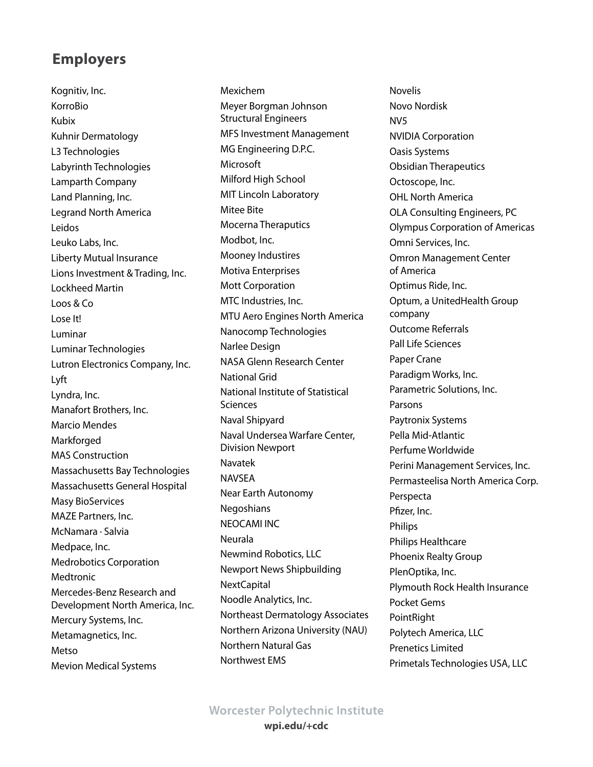Kognitiv, Inc. KorroBio Kubix Kuhnir Dermatology L3 Technologies Labyrinth Technologies Lamparth Company Land Planning, Inc. Legrand North America Leidos Leuko Labs, Inc. Liberty Mutual Insurance Lions Investment & Trading, Inc. Lockheed Martin Loos & Co Lose It! Luminar Luminar Technologies Lutron Electronics Company, Inc. Lyft Lyndra, Inc. Manafort Brothers, Inc. Marcio Mendes **Markforged** MAS Construction Massachusetts Bay Technologies Massachusetts General Hospital Masy BioServices MAZE Partners, Inc. McNamara · Salvia Medpace, Inc. Medrobotics Corporation **Medtronic** Mercedes-Benz Research and Development North America, Inc. Mercury Systems, Inc. Metamagnetics, Inc. Metso Mevion Medical Systems

Mexichem Meyer Borgman Johnson Structural Engineers MFS Investment Management MG Engineering D.P.C. Microsoft Milford High School MIT Lincoln Laboratory Mitee Bite Mocerna Theraputics Modbot, Inc. Mooney Industires Motiva Enterprises Mott Corporation MTC Industries, Inc. MTU Aero Engines North America Nanocomp Technologies Narlee Design NASA Glenn Research Center National Grid National Institute of Statistical **Sciences** Naval Shipyard Naval Undersea Warfare Center, Division Newport Navatek NAVSEA Near Earth Autonomy Negoshians NEOCAMI INC Neurala Newmind Robotics, LLC Newport News Shipbuilding NextCapital Noodle Analytics, Inc. Northeast Dermatology Associates Northern Arizona University (NAU) Northern Natural Gas Northwest EMS

Novelis Novo Nordisk NV5 NVIDIA Corporation Oasis Systems Obsidian Therapeutics Octoscope, Inc. OHL North America OLA Consulting Engineers, PC Olympus Corporation of Americas Omni Services, Inc. Omron Management Center of America Optimus Ride, Inc. Optum, a UnitedHealth Group company Outcome Referrals Pall Life Sciences Paper Crane Paradigm Works, Inc. Parametric Solutions, Inc. Parsons Paytronix Systems Pella Mid-Atlantic Perfume Worldwide Perini Management Services, Inc. Permasteelisa North America Corp. Perspecta Pfizer, Inc. Philips Philips Healthcare Phoenix Realty Group PlenOptika, Inc. Plymouth Rock Health Insurance Pocket Gems PointRight Polytech America, LLC Prenetics Limited Primetals Technologies USA, LLC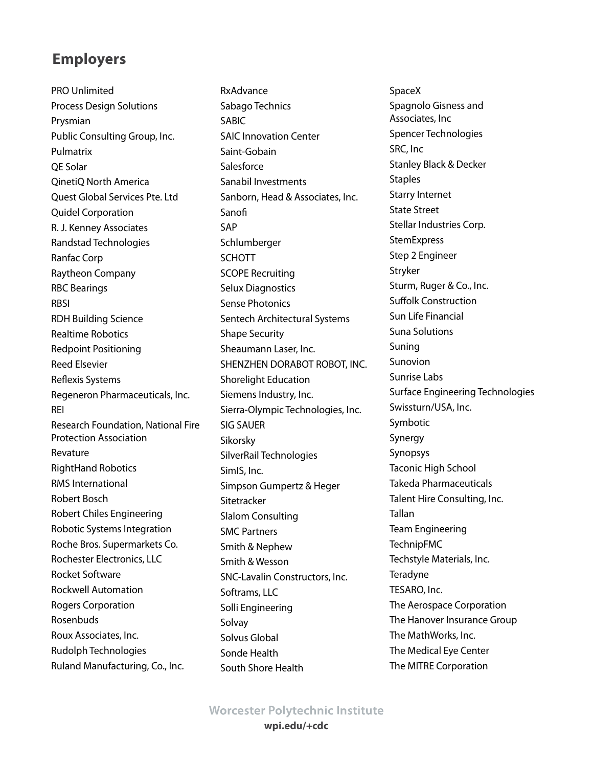PRO Unlimited Process Design Solutions Prysmian Public Consulting Group, Inc. Pulmatrix QE Solar QinetiQ North America Quest Global Services Pte. Ltd Quidel Corporation R. J. Kenney Associates Randstad Technologies Ranfac Corp Raytheon Company RBC Bearings RBSI RDH Building Science Realtime Robotics Redpoint Positioning Reed Elsevier Reflexis Systems Regeneron Pharmaceuticals, Inc. REI Research Foundation, National Fire Protection Association Revature RightHand Robotics RMS International Robert Bosch Robert Chiles Engineering Robotic Systems Integration Roche Bros. Supermarkets Co. Rochester Electronics, LLC Rocket Software Rockwell Automation Rogers Corporation Rosenbuds Roux Associates, Inc. Rudolph Technologies Ruland Manufacturing, Co., Inc.

**RxAdvance** Sabago Technics SABIC SAIC Innovation Center Saint-Gobain Salesforce Sanabil Investments Sanborn, Head & Associates, Inc. Sanofi SAP Schlumberger SCHOTT SCOPE Recruiting Selux Diagnostics Sense Photonics Sentech Architectural Systems Shape Security Sheaumann Laser, Inc. SHENZHEN DORABOT ROBOT, INC. Shorelight Education Siemens Industry, Inc. Sierra-Olympic Technologies, Inc. SIG SAUER Sikorsky SilverRail Technologies SimIS, Inc. Simpson Gumpertz & Heger Sitetracker Slalom Consulting SMC Partners Smith & Nephew Smith & Wesson SNC-Lavalin Constructors, Inc. Softrams, LLC Solli Engineering Solvay Solvus Global Sonde Health South Shore Health

SpaceX Spagnolo Gisness and Associates, Inc Spencer Technologies SRC, Inc Stanley Black & Decker **Staples** Starry Internet State Street Stellar Industries Corp. **StemExpress** Step 2 Engineer Stryker Sturm, Ruger & Co., Inc. Suffolk Construction Sun Life Financial Suna Solutions Suning Sunovion Sunrise Labs Surface Engineering Technologies Swissturn/USA, Inc. Symbotic Synergy Synopsys Taconic High School Takeda Pharmaceuticals Talent Hire Consulting, Inc. Tallan Team Engineering TechnipFMC Techstyle Materials, Inc. **Teradyne** TESARO, Inc. The Aerospace Corporation The Hanover Insurance Group The MathWorks, Inc. The Medical Eye Center The MITRE Corporation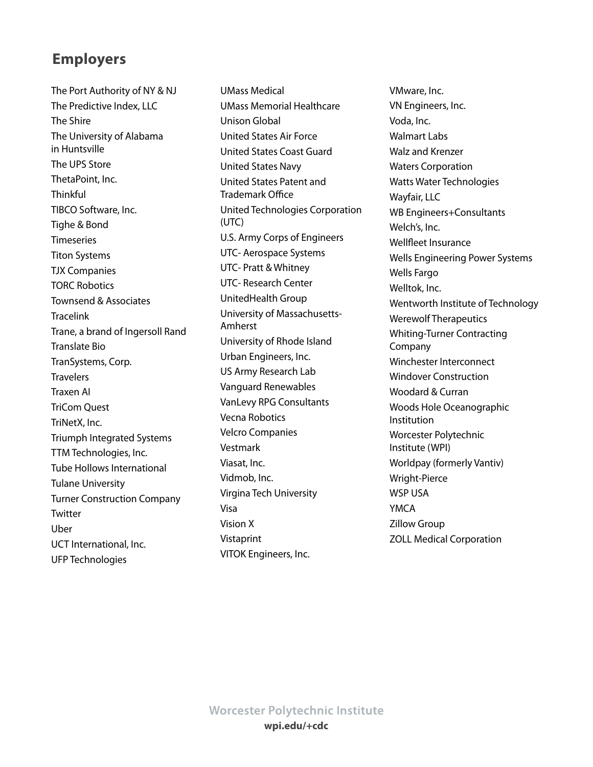The Port Authority of NY & NJ The Predictive Index, LLC The Shire The University of Alabama in Huntsville The UPS Store ThetaPoint, Inc. **Thinkful** TIBCO Software, Inc. Tighe & Bond Timeseries Titon Systems TJX Companies TORC Robotics Townsend & Associates **Tracelink** Trane, a brand of Ingersoll Rand Translate Bio TranSystems, Corp. **Travelers** Traxen AI TriCom Quest TriNetX, Inc. Triumph Integrated Systems TTM Technologies, Inc. Tube Hollows International Tulane University Turner Construction Company **Twitter** Uber UCT International, Inc. UFP Technologies

UMass Medical UMass Memorial Healthcare Unison Global United States Air Force United States Coast Guard United States Navy United States Patent and Trademark Office United Technologies Corporation (UTC) U.S. Army Corps of Engineers UTC- Aerospace Systems UTC- Pratt & Whitney UTC- Research Center UnitedHealth Group University of Massachusetts-Amherst University of Rhode Island Urban Engineers, Inc. US Army Research Lab Vanguard Renewables VanLevy RPG Consultants Vecna Robotics Velcro Companies Vestmark Viasat, Inc. Vidmob, Inc. Virgina Tech University Visa Vision X Vistaprint VITOK Engineers, Inc.

VMware, Inc. VN Engineers, Inc. Voda, Inc. Walmart Labs Walz and Krenzer Waters Corporation Watts Water Technologies Wayfair, LLC WB Engineers+Consultants Welch's, Inc. Wellfleet Insurance Wells Engineering Power Systems Wells Fargo Welltok, Inc. Wentworth Institute of Technology Werewolf Therapeutics Whiting-Turner Contracting Company Winchester Interconnect Windover Construction Woodard & Curran Woods Hole Oceanographic Institution Worcester Polytechnic Institute (WPI) Worldpay (formerly Vantiv) Wright-Pierce WSP USA YMCA Zillow Group ZOLL Medical Corporation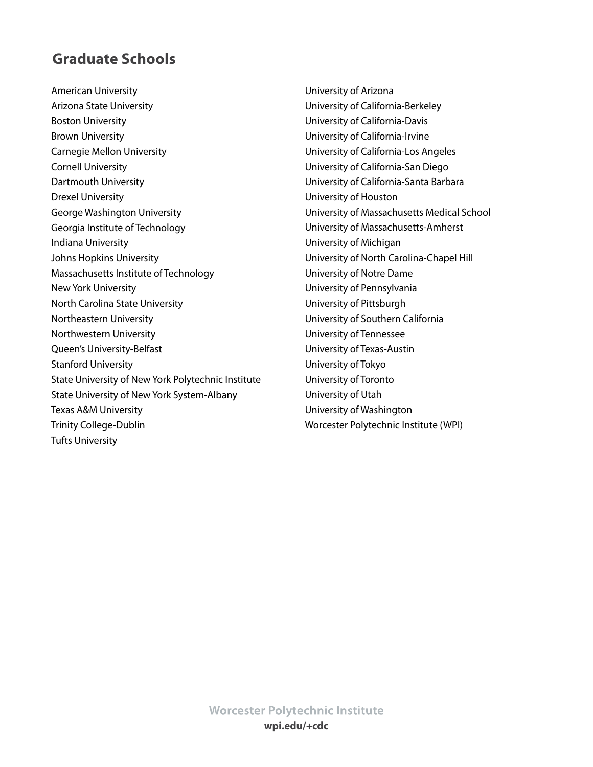# <span id="page-65-0"></span>**Graduate Schools**

American University Arizona State University Boston University Brown University Carnegie Mellon University Cornell University Dartmouth University Drexel University George Washington University Georgia Institute of Technology Indiana University Johns Hopkins University Massachusetts Institute of Technology New York University North Carolina State University Northeastern University Northwestern University Queen's University-Belfast Stanford University State University of New York Polytechnic Institute State University of New York System-Albany Texas A&M University Trinity College-Dublin Tufts University

University of Arizona University of California-Berkeley University of California-Davis University of California-Irvine University of California-Los Angeles University of California-San Diego University of California-Santa Barbara University of Houston University of Massachusetts Medical School University of Massachusetts-Amherst University of Michigan University of North Carolina-Chapel Hill University of Notre Dame University of Pennsylvania University of Pittsburgh University of Southern California University of Tennessee University of Texas-Austin University of Tokyo University of Toronto University of Utah University of Washington Worcester Polytechnic Institute (WPI)

**Worcester Polytechnic Institute wpi.edu/+cdc**